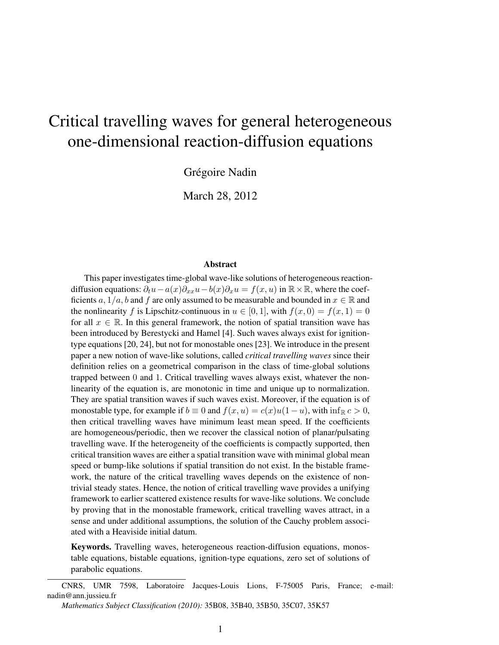# Critical travelling waves for general heterogeneous one-dimensional reaction-diffusion equations

Grégoire Nadin

March 28, 2012

#### Abstract

This paper investigates time-global wave-like solutions of heterogeneous reactiondiffusion equations:  $\partial_t u - a(x)\partial_{xx}u - b(x)\partial_x u = f(x, u)$  in  $\mathbb{R} \times \mathbb{R}$ , where the coefficients a,  $1/a$ , b and f are only assumed to be measurable and bounded in  $x \in \mathbb{R}$  and the nonlinearity f is Lipschitz-continuous in  $u \in [0, 1]$ , with  $f(x, 0) = f(x, 1) = 0$ for all  $x \in \mathbb{R}$ . In this general framework, the notion of spatial transition wave has been introduced by Berestycki and Hamel [4]. Such waves always exist for ignitiontype equations [20, 24], but not for monostable ones [23]. We introduce in the present paper a new notion of wave-like solutions, called *critical travelling waves* since their definition relies on a geometrical comparison in the class of time-global solutions trapped between 0 and 1. Critical travelling waves always exist, whatever the nonlinearity of the equation is, are monotonic in time and unique up to normalization. They are spatial transition waves if such waves exist. Moreover, if the equation is of monostable type, for example if  $b \equiv 0$  and  $f(x, u) = c(x)u(1-u)$ , with  $\inf_{\mathbb{R}} c > 0$ , then critical travelling waves have minimum least mean speed. If the coefficients are homogeneous/periodic, then we recover the classical notion of planar/pulsating travelling wave. If the heterogeneity of the coefficients is compactly supported, then critical transition waves are either a spatial transition wave with minimal global mean speed or bump-like solutions if spatial transition do not exist. In the bistable framework, the nature of the critical travelling waves depends on the existence of nontrivial steady states. Hence, the notion of critical travelling wave provides a unifying framework to earlier scattered existence results for wave-like solutions. We conclude by proving that in the monostable framework, critical travelling waves attract, in a sense and under additional assumptions, the solution of the Cauchy problem associated with a Heaviside initial datum.

Keywords. Travelling waves, heterogeneous reaction-diffusion equations, monostable equations, bistable equations, ignition-type equations, zero set of solutions of parabolic equations.

CNRS, UMR 7598, Laboratoire Jacques-Louis Lions, F-75005 Paris, France; e-mail: nadin@ann.jussieu.fr

*Mathematics Subject Classification (2010):* 35B08, 35B40, 35B50, 35C07, 35K57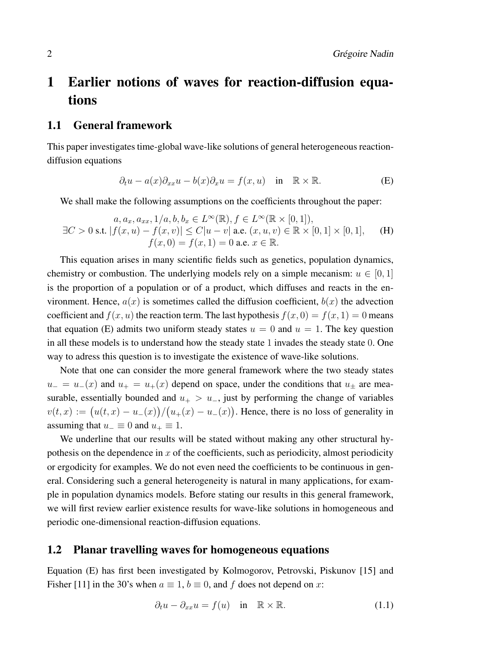# 1 Earlier notions of waves for reaction-diffusion equations

### 1.1 General framework

This paper investigates time-global wave-like solutions of general heterogeneous reactiondiffusion equations

$$
\partial_t u - a(x)\partial_{xx} u - b(x)\partial_x u = f(x, u) \quad \text{in} \quad \mathbb{R} \times \mathbb{R}.
$$
 (E)

We shall make the following assumptions on the coefficients throughout the paper:

$$
a, a_x, a_{xx}, 1/a, b, b_x \in L^{\infty}(\mathbb{R}), f \in L^{\infty}(\mathbb{R} \times [0, 1]),
$$
  
\n
$$
\exists C > 0 \text{ s.t. } |f(x, u) - f(x, v)| \le C|u - v| \text{ a.e. } (x, u, v) \in \mathbb{R} \times [0, 1] \times [0, 1], \quad \text{(H)}
$$
  
\n
$$
f(x, 0) = f(x, 1) = 0 \text{ a.e. } x \in \mathbb{R}.
$$

This equation arises in many scientific fields such as genetics, population dynamics, chemistry or combustion. The underlying models rely on a simple mecanism:  $u \in [0, 1]$ is the proportion of a population or of a product, which diffuses and reacts in the environment. Hence,  $a(x)$  is sometimes called the diffusion coefficient,  $b(x)$  the advection coefficient and  $f(x, u)$  the reaction term. The last hypothesis  $f(x, 0) = f(x, 1) = 0$  means that equation (E) admits two uniform steady states  $u = 0$  and  $u = 1$ . The key question in all these models is to understand how the steady state 1 invades the steady state 0. One way to adress this question is to investigate the existence of wave-like solutions.

Note that one can consider the more general framework where the two steady states  $u_-=u_-(x)$  and  $u_+=u_+(x)$  depend on space, under the conditions that  $u_{\pm}$  are measurable, essentially bounded and  $u_{+} > u_{-}$ , just by performing the change of variables  $v(t,x) := (u(t,x) - u_-(x))/(u_+(x) - u_-(x)).$  Hence, there is no loss of generality in assuming that  $u_-\equiv 0$  and  $u_+\equiv 1$ .

We underline that our results will be stated without making any other structural hypothesis on the dependence in  $x$  of the coefficients, such as periodicity, almost periodicity or ergodicity for examples. We do not even need the coefficients to be continuous in general. Considering such a general heterogeneity is natural in many applications, for example in population dynamics models. Before stating our results in this general framework, we will first review earlier existence results for wave-like solutions in homogeneous and periodic one-dimensional reaction-diffusion equations.

## 1.2 Planar travelling waves for homogeneous equations

Equation (E) has first been investigated by Kolmogorov, Petrovski, Piskunov [15] and Fisher [11] in the 30's when  $a \equiv 1$ ,  $b \equiv 0$ , and f does not depend on x:

$$
\partial_t u - \partial_{xx} u = f(u) \quad \text{in} \quad \mathbb{R} \times \mathbb{R}.
$$
 (1.1)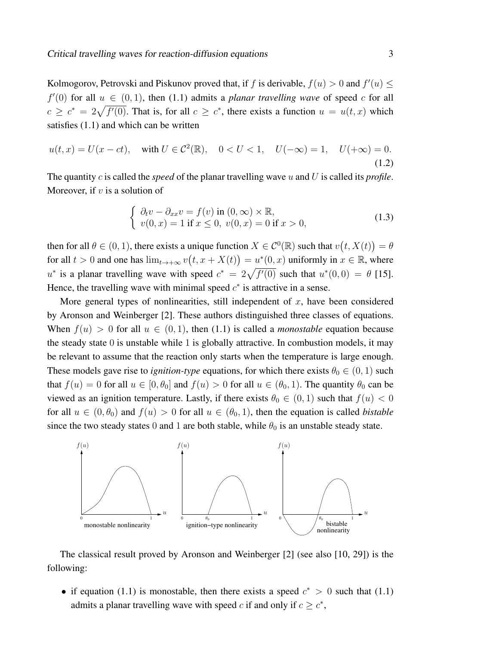Kolmogorov, Petrovski and Piskunov proved that, if f is derivable,  $f(u) > 0$  and  $f'(u) \leq$  $f'(0)$  for all  $u \in (0,1)$ , then (1.1) admits a *planar travelling wave* of speed c for all  $c \geq c^* = 2\sqrt{f'(0)}$ . That is, for all  $c \geq c^*$ , there exists a function  $u = u(t, x)$  which satisfies (1.1) and which can be written

$$
u(t,x) = U(x - ct), \quad \text{with } U \in \mathcal{C}^2(\mathbb{R}), \quad 0 < U < 1, \quad U(-\infty) = 1, \quad U(+\infty) = 0. \tag{1.2}
$$

The quantity c is called the *speed* of the planar travelling wave u and U is called its *profile*. Moreover, if  $v$  is a solution of

$$
\begin{cases}\n\partial_t v - \partial_{xx} v = f(v) \text{ in } (0, \infty) \times \mathbb{R}, \\
v(0, x) = 1 \text{ if } x \le 0, \ v(0, x) = 0 \text{ if } x > 0,\n\end{cases}
$$
\n(1.3)

then for all  $\theta \in (0, 1)$ , there exists a unique function  $X \in C^0(\mathbb{R})$  such that  $v(t, X(t)) = \theta$ for all  $t > 0$  and one has  $\lim_{t \to +\infty} v(t, x + X(t)) = u^*(0, x)$  uniformly in  $x \in \mathbb{R}$ , where u<sup>\*</sup> is a planar travelling wave with speed  $c^* = 2\sqrt{f'(0)}$  such that  $u^*(0,0) = \theta$  [15]. Hence, the travelling wave with minimal speed  $c^*$  is attractive in a sense.

More general types of nonlinearities, still independent of  $x$ , have been considered by Aronson and Weinberger [2]. These authors distinguished three classes of equations. When  $f(u) > 0$  for all  $u \in (0, 1)$ , then (1.1) is called a *monostable* equation because the steady state 0 is unstable while 1 is globally attractive. In combustion models, it may be relevant to assume that the reaction only starts when the temperature is large enough. These models gave rise to *ignition-type* equations, for which there exists  $\theta_0 \in (0, 1)$  such that  $f(u) = 0$  for all  $u \in [0, \theta_0]$  and  $f(u) > 0$  for all  $u \in (\theta_0, 1)$ . The quantity  $\theta_0$  can be viewed as an ignition temperature. Lastly, if there exists  $\theta_0 \in (0,1)$  such that  $f(u) < 0$ for all  $u \in (0, \theta_0)$  and  $f(u) > 0$  for all  $u \in (\theta_0, 1)$ , then the equation is called *bistable* since the two steady states 0 and 1 are both stable, while  $\theta_0$  is an unstable steady state.



The classical result proved by Aronson and Weinberger [2] (see also [10, 29]) is the following:

• if equation (1.1) is monostable, then there exists a speed  $c^* > 0$  such that (1.1) admits a planar travelling wave with speed c if and only if  $c \geq c^*$ ,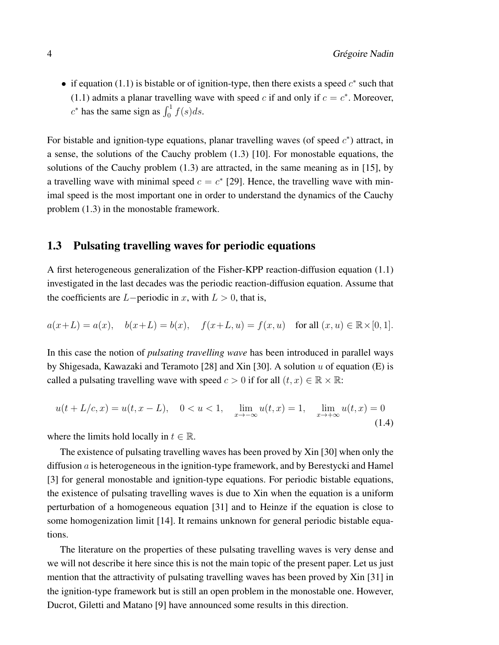• if equation (1.1) is bistable or of ignition-type, then there exists a speed  $c^*$  such that (1.1) admits a planar travelling wave with speed c if and only if  $c = c^*$ . Moreover,  $c^*$  has the same sign as  $\int_0^1 f(s)ds$ .

For bistable and ignition-type equations, planar travelling waves (of speed  $c^*$ ) attract, in a sense, the solutions of the Cauchy problem (1.3) [10]. For monostable equations, the solutions of the Cauchy problem (1.3) are attracted, in the same meaning as in [15], by a travelling wave with minimal speed  $c = c^*$  [29]. Hence, the travelling wave with minimal speed is the most important one in order to understand the dynamics of the Cauchy problem (1.3) in the monostable framework.

### 1.3 Pulsating travelling waves for periodic equations

A first heterogeneous generalization of the Fisher-KPP reaction-diffusion equation (1.1) investigated in the last decades was the periodic reaction-diffusion equation. Assume that the coefficients are  $L$ −periodic in x, with  $L > 0$ , that is,

$$
a(x+L) = a(x),
$$
  $b(x+L) = b(x),$   $f(x+L, u) = f(x, u)$  for all  $(x, u) \in \mathbb{R} \times [0, 1].$ 

In this case the notion of *pulsating travelling wave* has been introduced in parallel ways by Shigesada, Kawazaki and Teramoto [28] and Xin [30]. A solution  $u$  of equation (E) is called a pulsating travelling wave with speed  $c > 0$  if for all  $(t, x) \in \mathbb{R} \times \mathbb{R}$ :

$$
u(t + L/c, x) = u(t, x - L), \quad 0 < u < 1, \quad \lim_{x \to -\infty} u(t, x) = 1, \quad \lim_{x \to +\infty} u(t, x) = 0
$$
\n(1.4)

where the limits hold locally in  $t \in \mathbb{R}$ .

The existence of pulsating travelling waves has been proved by Xin [30] when only the diffusion a is heterogeneous in the ignition-type framework, and by Berestycki and Hamel [3] for general monostable and ignition-type equations. For periodic bistable equations, the existence of pulsating travelling waves is due to Xin when the equation is a uniform perturbation of a homogeneous equation [31] and to Heinze if the equation is close to some homogenization limit [14]. It remains unknown for general periodic bistable equations.

The literature on the properties of these pulsating travelling waves is very dense and we will not describe it here since this is not the main topic of the present paper. Let us just mention that the attractivity of pulsating travelling waves has been proved by Xin [31] in the ignition-type framework but is still an open problem in the monostable one. However, Ducrot, Giletti and Matano [9] have announced some results in this direction.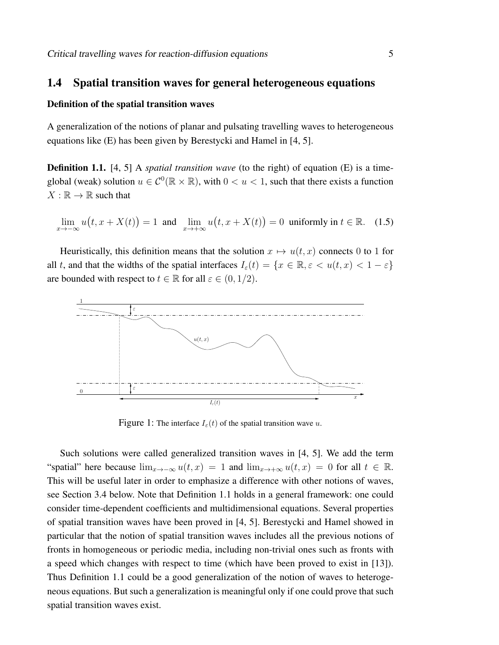### 1.4 Spatial transition waves for general heterogeneous equations

### Definition of the spatial transition waves

A generalization of the notions of planar and pulsating travelling waves to heterogeneous equations like (E) has been given by Berestycki and Hamel in [4, 5].

**Definition 1.1.** [4, 5] A *spatial transition wave* (to the right) of equation (E) is a timeglobal (weak) solution  $u \in C^0(\mathbb{R} \times \mathbb{R})$ , with  $0 < u < 1$ , such that there exists a function  $X : \mathbb{R} \to \mathbb{R}$  such that

$$
\lim_{x \to -\infty} u(t, x + X(t)) = 1 \text{ and } \lim_{x \to +\infty} u(t, x + X(t)) = 0 \text{ uniformly in } t \in \mathbb{R}. \quad (1.5)
$$

Heuristically, this definition means that the solution  $x \mapsto u(t, x)$  connects 0 to 1 for all t, and that the widths of the spatial interfaces  $I_{\varepsilon}(t) = \{x \in \mathbb{R}, \varepsilon < u(t, x) < 1 - \varepsilon\}$ are bounded with respect to  $t \in \mathbb{R}$  for all  $\varepsilon \in (0, 1/2)$ .



Figure 1: The interface  $I_{\varepsilon}(t)$  of the spatial transition wave u.

Such solutions were called generalized transition waves in [4, 5]. We add the term "spatial" here because  $\lim_{x\to-\infty} u(t,x) = 1$  and  $\lim_{x\to+\infty} u(t,x) = 0$  for all  $t \in \mathbb{R}$ . This will be useful later in order to emphasize a difference with other notions of waves, see Section 3.4 below. Note that Definition 1.1 holds in a general framework: one could consider time-dependent coefficients and multidimensional equations. Several properties of spatial transition waves have been proved in [4, 5]. Berestycki and Hamel showed in particular that the notion of spatial transition waves includes all the previous notions of fronts in homogeneous or periodic media, including non-trivial ones such as fronts with a speed which changes with respect to time (which have been proved to exist in [13]). Thus Definition 1.1 could be a good generalization of the notion of waves to heterogeneous equations. But such a generalization is meaningful only if one could prove that such spatial transition waves exist.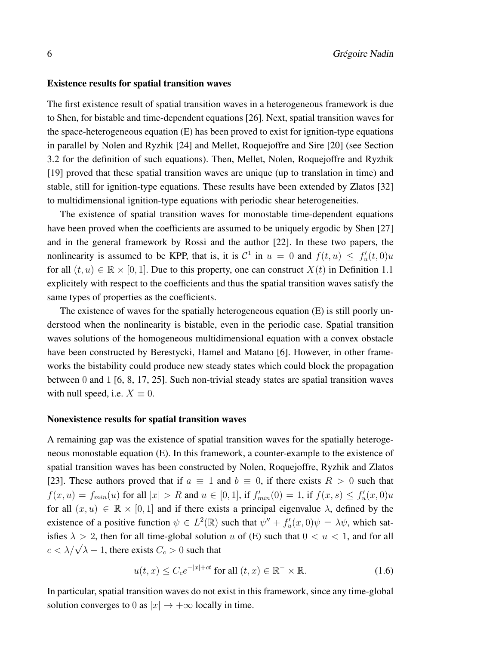#### Existence results for spatial transition waves

The first existence result of spatial transition waves in a heterogeneous framework is due to Shen, for bistable and time-dependent equations [26]. Next, spatial transition waves for the space-heterogeneous equation (E) has been proved to exist for ignition-type equations in parallel by Nolen and Ryzhik [24] and Mellet, Roquejoffre and Sire [20] (see Section 3.2 for the definition of such equations). Then, Mellet, Nolen, Roquejoffre and Ryzhik [19] proved that these spatial transition waves are unique (up to translation in time) and stable, still for ignition-type equations. These results have been extended by Zlatos [32] to multidimensional ignition-type equations with periodic shear heterogeneities.

The existence of spatial transition waves for monostable time-dependent equations have been proved when the coefficients are assumed to be uniquely ergodic by Shen [27] and in the general framework by Rossi and the author [22]. In these two papers, the nonlinearity is assumed to be KPP, that is, it is  $C^1$  in  $u = 0$  and  $f(t, u) \le f'_u(t, 0)u$ for all  $(t, u) \in \mathbb{R} \times [0, 1]$ . Due to this property, one can construct  $X(t)$  in Definition 1.1 explicitely with respect to the coefficients and thus the spatial transition waves satisfy the same types of properties as the coefficients.

The existence of waves for the spatially heterogeneous equation (E) is still poorly understood when the nonlinearity is bistable, even in the periodic case. Spatial transition waves solutions of the homogeneous multidimensional equation with a convex obstacle have been constructed by Berestycki, Hamel and Matano [6]. However, in other frameworks the bistability could produce new steady states which could block the propagation between 0 and 1 [6, 8, 17, 25]. Such non-trivial steady states are spatial transition waves with null speed, i.e.  $X \equiv 0$ .

#### Nonexistence results for spatial transition waves

A remaining gap was the existence of spatial transition waves for the spatially heterogeneous monostable equation (E). In this framework, a counter-example to the existence of spatial transition waves has been constructed by Nolen, Roquejoffre, Ryzhik and Zlatos [23]. These authors proved that if  $a \equiv 1$  and  $b \equiv 0$ , if there exists  $R > 0$  such that  $f(x, u) = f_{min}(u)$  for all  $|x| > R$  and  $u \in [0, 1]$ , if  $f'_{min}(0) = 1$ , if  $f(x, s) \le f'_{u}(x, 0)u$ for all  $(x, u) \in \mathbb{R} \times [0, 1]$  and if there exists a principal eigenvalue  $\lambda$ , defined by the existence of a positive function  $\psi \in L^2(\mathbb{R})$  such that  $\psi'' + f'_u(x,0)\psi = \lambda \psi$ , which satisfies  $\lambda > 2$ , then for all time-global solution u of (E) such that  $0 < u < 1$ , and for all  $c < \lambda/\sqrt{\lambda - 1}$ , there exists  $C_c > 0$  such that

$$
u(t,x) \le C_c e^{-|x|+ct} \text{ for all } (t,x) \in \mathbb{R}^- \times \mathbb{R}.
$$
 (1.6)

In particular, spatial transition waves do not exist in this framework, since any time-global solution converges to 0 as  $|x| \to +\infty$  locally in time.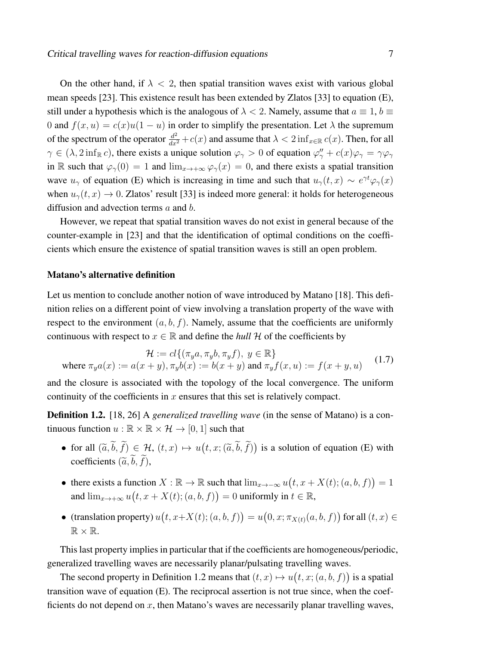On the other hand, if  $\lambda < 2$ , then spatial transition waves exist with various global mean speeds [23]. This existence result has been extended by Zlatos [33] to equation (E), still under a hypothesis which is the analogous of  $\lambda < 2$ . Namely, assume that  $a \equiv 1, b \equiv 1$ 0 and  $f(x, u) = c(x)u(1 - u)$  in order to simplify the presentation. Let  $\lambda$  the supremum of the spectrum of the operator  $\frac{d^2}{dx^2} + c(x)$  and assume that  $\lambda < 2 \inf_{x \in \mathbb{R}} c(x)$ . Then, for all  $\gamma \in (\lambda, 2 \inf_{\mathbb{R}^n} c)$ , there exists a unique solution  $\varphi_{\gamma} > 0$  of equation  $\varphi''_{\gamma} + c(x)\varphi_{\gamma} = \gamma \varphi_{\gamma}$ in R such that  $\varphi_{\gamma}(0) = 1$  and  $\lim_{x \to +\infty} \varphi_{\gamma}(x) = 0$ , and there exists a spatial transition wave  $u_\gamma$  of equation (E) which is increasing in time and such that  $u_\gamma(t,x) \sim e^{\gamma t} \varphi_\gamma(x)$ when  $u_{\gamma}(t, x) \rightarrow 0$ . Zlatos' result [33] is indeed more general: it holds for heterogeneous diffusion and advection terms a and b.

However, we repeat that spatial transition waves do not exist in general because of the counter-example in [23] and that the identification of optimal conditions on the coefficients which ensure the existence of spatial transition waves is still an open problem.

#### Matano's alternative definition

Let us mention to conclude another notion of wave introduced by Matano [18]. This definition relies on a different point of view involving a translation property of the wave with respect to the environment  $(a, b, f)$ . Namely, assume that the coefficients are uniformly continuous with respect to  $x \in \mathbb{R}$  and define the *hull* H of the coefficients by

$$
\mathcal{H} := cl\{(\pi_y a, \pi_y b, \pi_y f), y \in \mathbb{R}\}
$$
  
where  $\pi_y a(x) := a(x + y), \pi_y b(x) := b(x + y)$  and  $\pi_y f(x, u) := f(x + y, u)$  (1.7)

and the closure is associated with the topology of the local convergence. The uniform continuity of the coefficients in  $x$  ensures that this set is relatively compact.

Definition 1.2. [18, 26] A *generalized travelling wave* (in the sense of Matano) is a continuous function  $u : \mathbb{R} \times \mathbb{R} \times \mathcal{H} \rightarrow [0, 1]$  such that

- for all  $(\tilde{a}, \tilde{b}, \tilde{f}) \in \mathcal{H}$ ,  $(t, x) \mapsto u(t, x; (\tilde{a}, \tilde{b}, \tilde{f}))$  is a solution of equation (E) with coefficients  $(\widetilde{a}, \widetilde{b}, \widetilde{f})$ ,
- there exists a function  $X : \mathbb{R} \to \mathbb{R}$  such that  $\lim_{x \to -\infty} u(t, x + X(t); (a, b, f)) = 1$ and  $\lim_{x\to+\infty}u(t,x+X(t);(a,b,f))=0$  uniformly in  $t\in\mathbb{R}$ ,
- (translation property)  $u(t, x+X(t); (a, b, f)) = u(0, x; \pi_{X(t)}(a, b, f))$  for all  $(t, x) \in$  $\mathbb{R} \times \mathbb{R}$ .

This last property implies in particular that if the coefficients are homogeneous/periodic, generalized travelling waves are necessarily planar/pulsating travelling waves.

The second property in Definition 1.2 means that  $(t, x) \mapsto u(t, x; (a, b, f))$  is a spatial transition wave of equation (E). The reciprocal assertion is not true since, when the coefficients do not depend on  $x$ , then Matano's waves are necessarily planar travelling waves,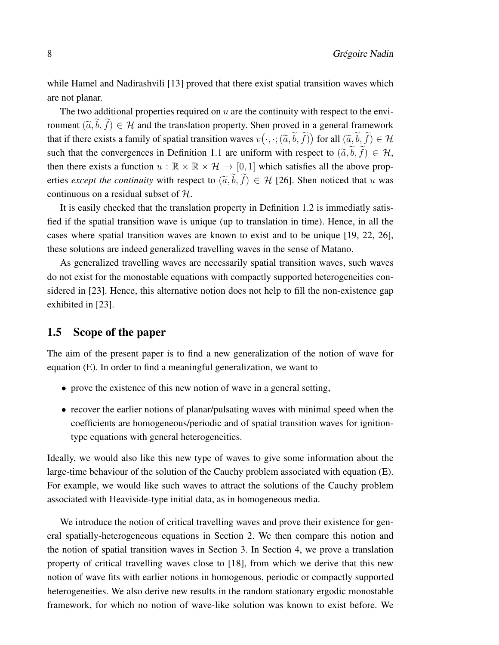while Hamel and Nadirashvili [13] proved that there exist spatial transition waves which are not planar.

The two additional properties required on  $u$  are the continuity with respect to the environment  $(\tilde{a}, b, f) \in \mathcal{H}$  and the translation property. Shen proved in a general framework that if there exists a family of spatial transition waves  $v(\cdot, \cdot; (\tilde{a}, \tilde{b}, \tilde{f}))$  for all  $(\tilde{a}, \tilde{b}, \tilde{f}) \in \mathcal{H}$ such that the convergences in Definition 1.1 are uniform with respect to  $(\tilde{a}, \tilde{b}, \tilde{f}) \in \mathcal{H}$ , then there exists a function  $u : \mathbb{R} \times \mathbb{R} \times \mathcal{H} \to [0, 1]$  which satisfies all the above properties *except the continuity* with respect to  $(\tilde{a}, \tilde{b}, \tilde{f}) \in \mathcal{H}$  [26]. Shen noticed that u was continuous on a residual subset of H.

It is easily checked that the translation property in Definition 1.2 is immediatly satisfied if the spatial transition wave is unique (up to translation in time). Hence, in all the cases where spatial transition waves are known to exist and to be unique [19, 22, 26], these solutions are indeed generalized travelling waves in the sense of Matano.

As generalized travelling waves are necessarily spatial transition waves, such waves do not exist for the monostable equations with compactly supported heterogeneities considered in [23]. Hence, this alternative notion does not help to fill the non-existence gap exhibited in [23].

### 1.5 Scope of the paper

The aim of the present paper is to find a new generalization of the notion of wave for equation (E). In order to find a meaningful generalization, we want to

- prove the existence of this new notion of wave in a general setting,
- recover the earlier notions of planar/pulsating waves with minimal speed when the coefficients are homogeneous/periodic and of spatial transition waves for ignitiontype equations with general heterogeneities.

Ideally, we would also like this new type of waves to give some information about the large-time behaviour of the solution of the Cauchy problem associated with equation (E). For example, we would like such waves to attract the solutions of the Cauchy problem associated with Heaviside-type initial data, as in homogeneous media.

We introduce the notion of critical travelling waves and prove their existence for general spatially-heterogeneous equations in Section 2. We then compare this notion and the notion of spatial transition waves in Section 3. In Section 4, we prove a translation property of critical travelling waves close to [18], from which we derive that this new notion of wave fits with earlier notions in homogenous, periodic or compactly supported heterogeneities. We also derive new results in the random stationary ergodic monostable framework, for which no notion of wave-like solution was known to exist before. We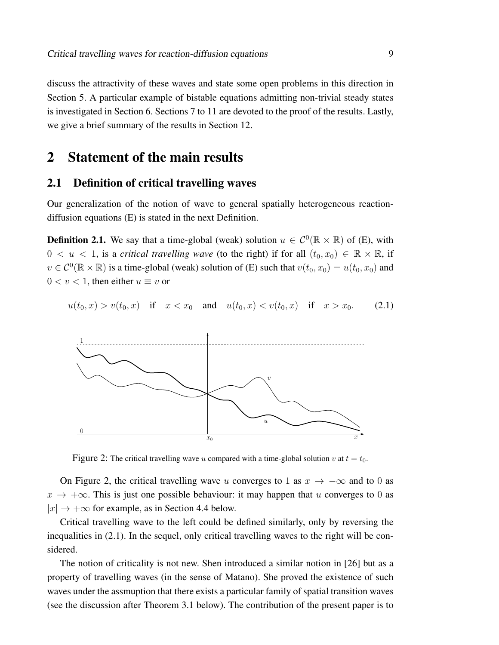discuss the attractivity of these waves and state some open problems in this direction in Section 5. A particular example of bistable equations admitting non-trivial steady states is investigated in Section 6. Sections 7 to 11 are devoted to the proof of the results. Lastly, we give a brief summary of the results in Section 12.

## 2 Statement of the main results

### 2.1 Definition of critical travelling waves

Our generalization of the notion of wave to general spatially heterogeneous reactiondiffusion equations (E) is stated in the next Definition.

**Definition 2.1.** We say that a time-global (weak) solution  $u \in C^0(\mathbb{R} \times \mathbb{R})$  of (E), with  $0 < u < 1$ , is a *critical travelling wave* (to the right) if for all  $(t_0, x_0) \in \mathbb{R} \times \mathbb{R}$ , if  $v \in C^0(\mathbb{R} \times \mathbb{R})$  is a time-global (weak) solution of (E) such that  $v(t_0, x_0) = u(t_0, x_0)$  and  $0 < v < 1$ , then either  $u \equiv v$  or

 $u(t_0, x) > v(t_0, x)$  if  $x < x_0$  and  $u(t_0, x) < v(t_0, x)$  if  $x > x_0$ . (2.1)



Figure 2: The critical travelling wave u compared with a time-global solution v at  $t = t_0$ .

On Figure 2, the critical travelling wave u converges to 1 as  $x \to -\infty$  and to 0 as  $x \to +\infty$ . This is just one possible behaviour: it may happen that u converges to 0 as  $|x| \rightarrow +\infty$  for example, as in Section 4.4 below.

Critical travelling wave to the left could be defined similarly, only by reversing the inequalities in (2.1). In the sequel, only critical travelling waves to the right will be considered.

The notion of criticality is not new. Shen introduced a similar notion in [26] but as a property of travelling waves (in the sense of Matano). She proved the existence of such waves under the assmuption that there exists a particular family of spatial transition waves (see the discussion after Theorem 3.1 below). The contribution of the present paper is to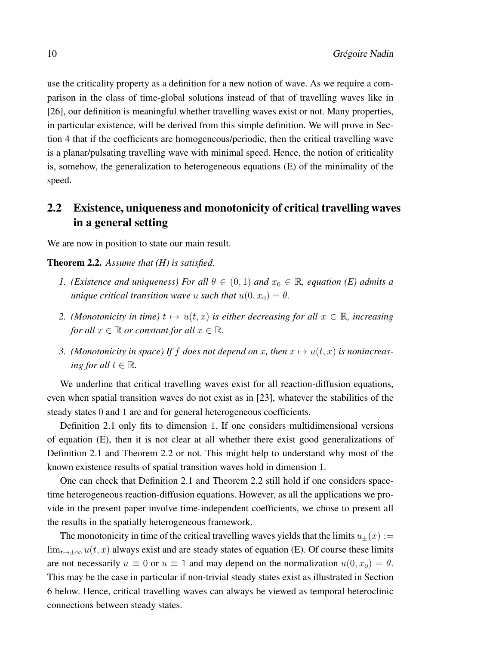use the criticality property as a definition for a new notion of wave. As we require a comparison in the class of time-global solutions instead of that of travelling waves like in [26], our definition is meaningful whether travelling waves exist or not. Many properties, in particular existence, will be derived from this simple definition. We will prove in Section 4 that if the coefficients are homogeneous/periodic, then the critical travelling wave is a planar/pulsating travelling wave with minimal speed. Hence, the notion of criticality is, somehow, the generalization to heterogeneous equations (E) of the minimality of the speed.

## 2.2 Existence, uniqueness and monotonicity of critical travelling waves in a general setting

We are now in position to state our main result.

#### Theorem 2.2. *Assume that (H) is satisfied.*

- *1. (Existence and uniqueness) For all*  $\theta \in (0,1)$  *and*  $x_0 \in \mathbb{R}$ *, equation (E) admits a unique critical transition wave* u *such that*  $u(0, x_0) = \theta$ .
- *2. (Monotonicity in time)*  $t \mapsto u(t, x)$  *is either decreasing for all*  $x \in \mathbb{R}$ *, increasing for all*  $x \in \mathbb{R}$  *or constant for all*  $x \in \mathbb{R}$ *.*
- *3. (Monotonicity in space)* If f does not depend on x, then  $x \mapsto u(t, x)$  is nonincreas*ing for all*  $t \in \mathbb{R}$ *.*

We underline that critical travelling waves exist for all reaction-diffusion equations, even when spatial transition waves do not exist as in [23], whatever the stabilities of the steady states 0 and 1 are and for general heterogeneous coefficients.

Definition 2.1 only fits to dimension 1. If one considers multidimensional versions of equation (E), then it is not clear at all whether there exist good generalizations of Definition 2.1 and Theorem 2.2 or not. This might help to understand why most of the known existence results of spatial transition waves hold in dimension 1.

One can check that Definition 2.1 and Theorem 2.2 still hold if one considers spacetime heterogeneous reaction-diffusion equations. However, as all the applications we provide in the present paper involve time-independent coefficients, we chose to present all the results in the spatially heterogeneous framework.

The monotonicity in time of the critical travelling waves yields that the limits  $u_{\pm}(x) :=$  $\lim_{t\to\pm\infty} u(t, x)$  always exist and are steady states of equation (E). Of course these limits are not necessarily  $u \equiv 0$  or  $u \equiv 1$  and may depend on the normalization  $u(0, x_0) = \theta$ . This may be the case in particular if non-trivial steady states exist as illustrated in Section 6 below. Hence, critical travelling waves can always be viewed as temporal heteroclinic connections between steady states.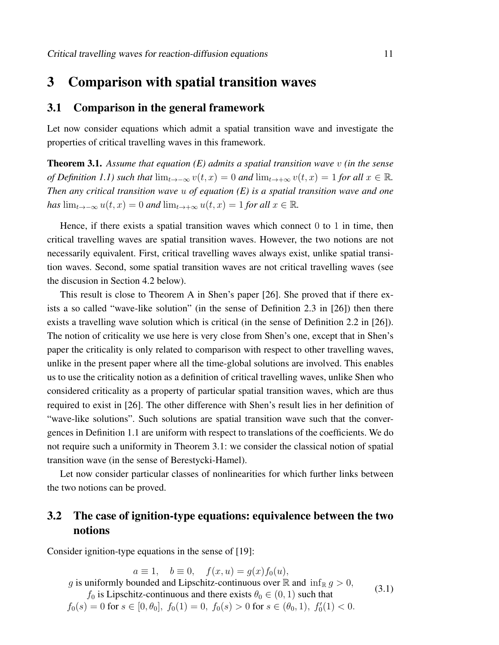## 3 Comparison with spatial transition waves

### 3.1 Comparison in the general framework

Let now consider equations which admit a spatial transition wave and investigate the properties of critical travelling waves in this framework.

Theorem 3.1. *Assume that equation (E) admits a spatial transition wave* v *(in the sense of Definition 1.1) such that*  $\lim_{t\to-\infty} v(t,x) = 0$  *and*  $\lim_{t\to+\infty} v(t,x) = 1$  *for all*  $x \in \mathbb{R}$ *. Then any critical transition wave* u *of equation (E) is a spatial transition wave and one has*  $\lim_{t\to-\infty} u(t,x) = 0$  *and*  $\lim_{t\to+\infty} u(t,x) = 1$  *for all*  $x \in \mathbb{R}$ *.* 

Hence, if there exists a spatial transition waves which connect  $0$  to  $1$  in time, then critical travelling waves are spatial transition waves. However, the two notions are not necessarily equivalent. First, critical travelling waves always exist, unlike spatial transition waves. Second, some spatial transition waves are not critical travelling waves (see the discusion in Section 4.2 below).

This result is close to Theorem A in Shen's paper [26]. She proved that if there exists a so called "wave-like solution" (in the sense of Definition 2.3 in [26]) then there exists a travelling wave solution which is critical (in the sense of Definition 2.2 in [26]). The notion of criticality we use here is very close from Shen's one, except that in Shen's paper the criticality is only related to comparison with respect to other travelling waves, unlike in the present paper where all the time-global solutions are involved. This enables us to use the criticality notion as a definition of critical travelling waves, unlike Shen who considered criticality as a property of particular spatial transition waves, which are thus required to exist in [26]. The other difference with Shen's result lies in her definition of "wave-like solutions". Such solutions are spatial transition wave such that the convergences in Definition 1.1 are uniform with respect to translations of the coefficients. We do not require such a uniformity in Theorem 3.1: we consider the classical notion of spatial transition wave (in the sense of Berestycki-Hamel).

Let now consider particular classes of nonlinearities for which further links between the two notions can be proved.

## 3.2 The case of ignition-type equations: equivalence between the two notions

Consider ignition-type equations in the sense of [19]:

 $a \equiv 1$ ,  $b \equiv 0$ ,  $f(x, u) = g(x)f_0(u)$ , g is uniformly bounded and Lipschitz-continuous over  $\mathbb R$  and  $\inf_{\mathbb R} g > 0$ ,  $f_0$  is Lipschitz-continuous and there exists  $\theta_0 \in (0, 1)$  such that  $f_0(s) = 0$  for  $s \in [0, \theta_0], f_0(1) = 0, f_0(s) > 0$  for  $s \in (\theta_0, 1), f_0'(1) < 0$ . (3.1)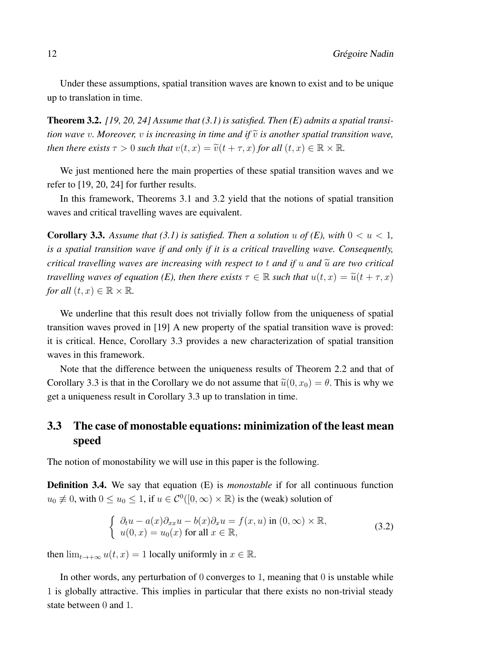Under these assumptions, spatial transition waves are known to exist and to be unique up to translation in time.

Theorem 3.2. *[19, 20, 24] Assume that (3.1) is satisfied. Then (E) admits a spatial transition wave v. Moreover, v is increasing in time and if*  $\tilde{v}$  *is another spatial transition wave, then there exists*  $\tau > 0$  *such that*  $v(t, x) = \tilde{v}(t + \tau, x)$  *for all*  $(t, x) \in \mathbb{R} \times \mathbb{R}$ *.* 

We just mentioned here the main properties of these spatial transition waves and we refer to [19, 20, 24] for further results.

In this framework, Theorems 3.1 and 3.2 yield that the notions of spatial transition waves and critical travelling waves are equivalent.

**Corollary 3.3.** Assume that (3.1) is satisfied. Then a solution u of (E), with  $0 < u < 1$ , *is a spatial transition wave if and only if it is a critical travelling wave. Consequently, critical travelling waves are increasing with respect to t and if u and*  $\tilde{u}$  *are two critical travelling waves of equation (E), then there exists*  $\tau \in \mathbb{R}$  *such that*  $u(t, x) = \tilde{u}(t + \tau, x)$ *for all*  $(t, x) \in \mathbb{R} \times \mathbb{R}$ *.* 

We underline that this result does not trivially follow from the uniqueness of spatial transition waves proved in [19] A new property of the spatial transition wave is proved: it is critical. Hence, Corollary 3.3 provides a new characterization of spatial transition waves in this framework.

Note that the difference between the uniqueness results of Theorem 2.2 and that of Corollary 3.3 is that in the Corollary we do not assume that  $\tilde{u}(0, x_0) = \theta$ . This is why we get a uniqueness result in Corollary 3.3 up to translation in time.

## 3.3 The case of monostable equations: minimization of the least mean speed

The notion of monostability we will use in this paper is the following.

Definition 3.4. We say that equation (E) is *monostable* if for all continuous function  $u_0 \neq 0$ , with  $0 \leq u_0 \leq 1$ , if  $u \in C^0([0,\infty) \times \mathbb{R})$  is the (weak) solution of

$$
\begin{cases}\n\partial_t u - a(x)\partial_{xx} u - b(x)\partial_x u = f(x, u) \text{ in } (0, \infty) \times \mathbb{R}, \\
u(0, x) = u_0(x) \text{ for all } x \in \mathbb{R},\n\end{cases}
$$
\n(3.2)

then  $\lim_{t\to+\infty} u(t,x) = 1$  locally uniformly in  $x \in \mathbb{R}$ .

In other words, any perturbation of  $0$  converges to 1, meaning that  $0$  is unstable while 1 is globally attractive. This implies in particular that there exists no non-trivial steady state between 0 and 1.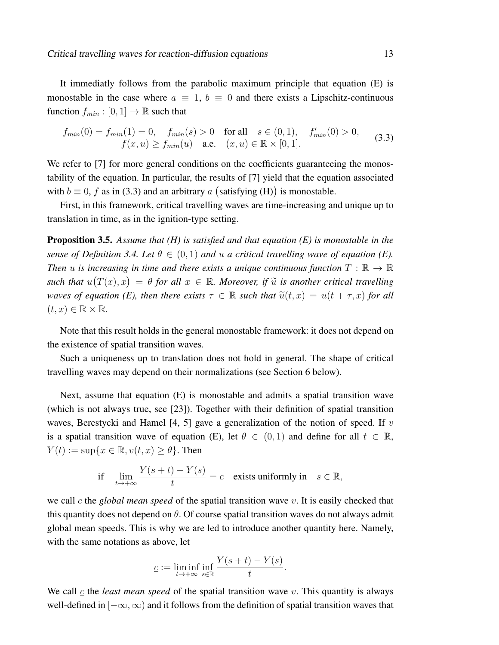$$
f_{min}(0) = f_{min}(1) = 0, \quad f_{min}(s) > 0 \quad \text{for all} \quad s \in (0, 1), \quad f'_{min}(0) > 0, f(x, u) \ge f_{min}(u) \quad \text{a.e.} \quad (x, u) \in \mathbb{R} \times [0, 1].
$$
 (3.3)

We refer to [7] for more general conditions on the coefficients guaranteeing the monostability of the equation. In particular, the results of [7] yield that the equation associated with  $b \equiv 0$ , f as in (3.3) and an arbitrary a (satisfying (H)) is monostable.

First, in this framework, critical travelling waves are time-increasing and unique up to translation in time, as in the ignition-type setting.

Proposition 3.5. *Assume that (H) is satisfied and that equation (E) is monostable in the sense of Definition 3.4. Let*  $\theta \in (0,1)$  *and*  $u$  *a critical travelling wave of equation (E). Then* u *is increasing in time and there exists a unique continuous function*  $T : \mathbb{R} \to \mathbb{R}$  $\text{such that } u(T(x),x) = \theta \text{ for all } x \in \mathbb{R}$ . Moreover, if  $\tilde{u}$  is another critical travelling *waves of equation (E), then there exists*  $\tau \in \mathbb{R}$  *such that*  $\tilde{u}(t, x) = u(t + \tau, x)$  *for all*  $(t, x) \in \mathbb{R} \times \mathbb{R}$ .

Note that this result holds in the general monostable framework: it does not depend on the existence of spatial transition waves.

Such a uniqueness up to translation does not hold in general. The shape of critical travelling waves may depend on their normalizations (see Section 6 below).

Next, assume that equation (E) is monostable and admits a spatial transition wave (which is not always true, see [23]). Together with their definition of spatial transition waves, Berestycki and Hamel  $[4, 5]$  gave a generalization of the notion of speed. If v is a spatial transition wave of equation (E), let  $\theta \in (0,1)$  and define for all  $t \in \mathbb{R}$ ,  $Y(t) := \sup\{x \in \mathbb{R}, v(t, x) \geq \theta\}.$  Then

if 
$$
\lim_{t \to +\infty} \frac{Y(s+t) - Y(s)}{t} = c
$$
 exists uniformly in  $s \in \mathbb{R}$ ,

we call c the *global mean speed* of the spatial transition wave v. It is easily checked that this quantity does not depend on  $\theta$ . Of course spatial transition waves do not always admit global mean speeds. This is why we are led to introduce another quantity here. Namely, with the same notations as above, let

$$
\underline{c} := \liminf_{t \to +\infty} \inf_{s \in \mathbb{R}} \frac{Y(s+t) - Y(s)}{t}
$$

.

We call  $\mathfrak c$  the *least mean speed* of the spatial transition wave  $v$ . This quantity is always well-defined in  $[-\infty, \infty)$  and it follows from the definition of spatial transition waves that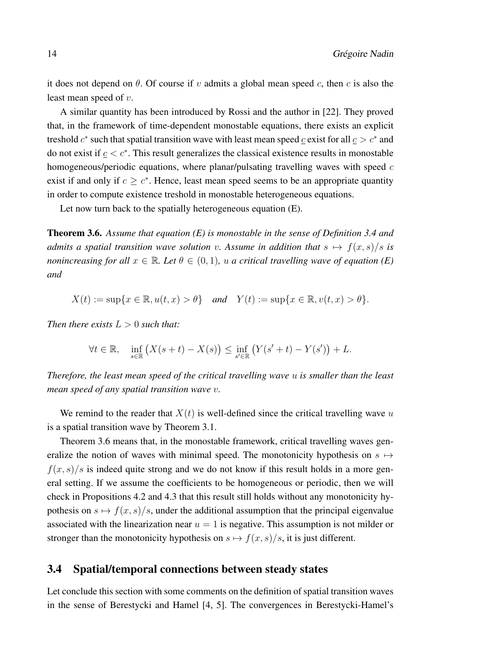it does not depend on  $\theta$ . Of course if v admits a global mean speed c, then c is also the least mean speed of v.

A similar quantity has been introduced by Rossi and the author in [22]. They proved that, in the framework of time-dependent monostable equations, there exists an explicit treshold  $c^*$  such that spatial transition wave with least mean speed  $\underline{c}$  exist for all  $\underline{c} > c^*$  and do not exist if  $c < c^*$ . This result generalizes the classical existence results in monostable homogeneous/periodic equations, where planar/pulsating travelling waves with speed c exist if and only if  $c \geq c^*$ . Hence, least mean speed seems to be an appropriate quantity in order to compute existence treshold in monostable heterogeneous equations.

Let now turn back to the spatially heterogeneous equation (E).

Theorem 3.6. *Assume that equation (E) is monostable in the sense of Definition 3.4 and admits a spatial transition wave solution* v. Assume in addition that  $s \mapsto f(x, s)/s$  is *nonincreasing for all*  $x \in \mathbb{R}$ *. Let*  $\theta \in (0,1)$ *, u a critical travelling wave of equation* (*E*) *and*

$$
X(t) := \sup\{x \in \mathbb{R}, u(t, x) > \theta\} \quad \text{and} \quad Y(t) := \sup\{x \in \mathbb{R}, v(t, x) > \theta\}.
$$

*Then there exists*  $L > 0$  *such that:* 

$$
\forall t \in \mathbb{R}, \quad \inf_{s \in \mathbb{R}} \left( X(s+t) - X(s) \right) \le \inf_{s' \in \mathbb{R}} \left( Y(s'+t) - Y(s') \right) + L.
$$

*Therefore, the least mean speed of the critical travelling wave* u *is smaller than the least mean speed of any spatial transition wave* v*.*

We remind to the reader that  $X(t)$  is well-defined since the critical travelling wave u is a spatial transition wave by Theorem 3.1.

Theorem 3.6 means that, in the monostable framework, critical travelling waves generalize the notion of waves with minimal speed. The monotonicity hypothesis on  $s \mapsto$  $f(x, s)/s$  is indeed quite strong and we do not know if this result holds in a more general setting. If we assume the coefficients to be homogeneous or periodic, then we will check in Propositions 4.2 and 4.3 that this result still holds without any monotonicity hypothesis on  $s \mapsto f(x, s)/s$ , under the additional assumption that the principal eigenvalue associated with the linearization near  $u = 1$  is negative. This assumption is not milder or stronger than the monotonicity hypothesis on  $s \mapsto f(x, s)/s$ , it is just different.

## 3.4 Spatial/temporal connections between steady states

Let conclude this section with some comments on the definition of spatial transition waves in the sense of Berestycki and Hamel [4, 5]. The convergences in Berestycki-Hamel's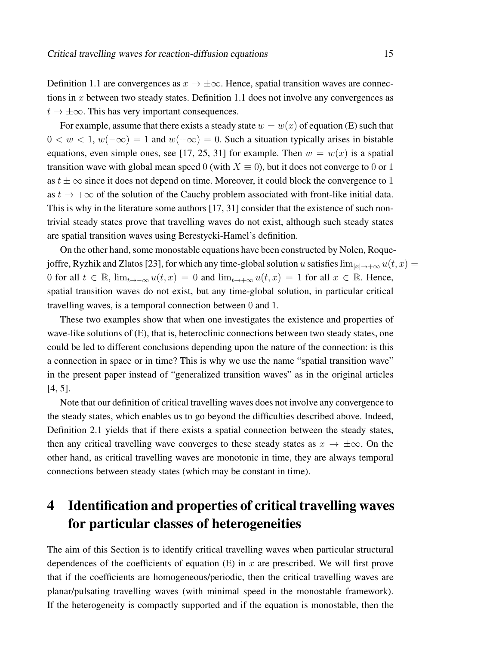Definition 1.1 are convergences as  $x \to \pm \infty$ . Hence, spatial transition waves are connections in x between two steady states. Definition 1.1 does not involve any convergences as  $t \to \pm \infty$ . This has very important consequences.

For example, assume that there exists a steady state  $w = w(x)$  of equation (E) such that  $0 < w < 1, w(-\infty) = 1$  and  $w(+\infty) = 0$ . Such a situation typically arises in bistable equations, even simple ones, see [17, 25, 31] for example. Then  $w = w(x)$  is a spatial transition wave with global mean speed 0 (with  $X \equiv 0$ ), but it does not converge to 0 or 1 as  $t \pm \infty$  since it does not depend on time. Moreover, it could block the convergence to 1 as  $t \to +\infty$  of the solution of the Cauchy problem associated with front-like initial data. This is why in the literature some authors [17, 31] consider that the existence of such nontrivial steady states prove that travelling waves do not exist, although such steady states are spatial transition waves using Berestycki-Hamel's definition.

On the other hand, some monostable equations have been constructed by Nolen, Roquejoffre, Ryzhik and Zlatos [23], for which any time-global solution u satisfies  $\lim_{|x|\to+\infty} u(t, x) =$ 0 for all  $t \in \mathbb{R}$ ,  $\lim_{t \to -\infty} u(t, x) = 0$  and  $\lim_{t \to +\infty} u(t, x) = 1$  for all  $x \in \mathbb{R}$ . Hence, spatial transition waves do not exist, but any time-global solution, in particular critical travelling waves, is a temporal connection between 0 and 1.

These two examples show that when one investigates the existence and properties of wave-like solutions of (E), that is, heteroclinic connections between two steady states, one could be led to different conclusions depending upon the nature of the connection: is this a connection in space or in time? This is why we use the name "spatial transition wave" in the present paper instead of "generalized transition waves" as in the original articles [4, 5].

Note that our definition of critical travelling waves does not involve any convergence to the steady states, which enables us to go beyond the difficulties described above. Indeed, Definition 2.1 yields that if there exists a spatial connection between the steady states, then any critical travelling wave converges to these steady states as  $x \to \pm \infty$ . On the other hand, as critical travelling waves are monotonic in time, they are always temporal connections between steady states (which may be constant in time).

# 4 Identification and properties of critical travelling waves for particular classes of heterogeneities

The aim of this Section is to identify critical travelling waves when particular structural dependences of the coefficients of equation  $(E)$  in x are prescribed. We will first prove that if the coefficients are homogeneous/periodic, then the critical travelling waves are planar/pulsating travelling waves (with minimal speed in the monostable framework). If the heterogeneity is compactly supported and if the equation is monostable, then the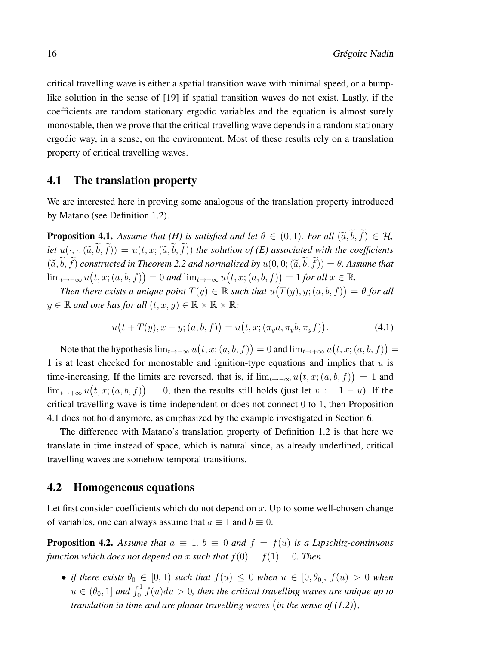critical travelling wave is either a spatial transition wave with minimal speed, or a bumplike solution in the sense of [19] if spatial transition waves do not exist. Lastly, if the coefficients are random stationary ergodic variables and the equation is almost surely monostable, then we prove that the critical travelling wave depends in a random stationary ergodic way, in a sense, on the environment. Most of these results rely on a translation property of critical travelling waves.

### 4.1 The translation property

We are interested here in proving some analogous of the translation property introduced by Matano (see Definition 1.2).

**Proposition 4.1.** *Assume that (H) is satisfied and let*  $\theta \in (0,1)$ *. For all*  $(\tilde{a}, \tilde{b}, \tilde{f}) \in \mathcal{H}$ *, let*  $u(\cdot, \cdot; (\tilde{a}, \tilde{b}, \tilde{f})) = u(t, x; (\tilde{a}, \tilde{b}, \tilde{f}))$  *the solution of (E) associated with the coefficients*  $(\widetilde{a},\widetilde{b},\widetilde{f})$  *constructed in Theorem 2.2 and normalized by*  $u(0,0; (\widetilde{a},\widetilde{b},\widetilde{f})) = \theta$ *. Assume that* lim<sub>t→−∞</sub>  $u(t, x; (a, b, f)) = 0$  and lim<sub>t→+∞</sub>  $u(t, x; (a, b, f)) = 1$  for all  $x \in \mathbb{R}$ .

*Then there exists a unique point*  $T(y) \in \mathbb{R}$  such that  $u(T(y), y; (a, b, f)) = \theta$  for all  $y \in \mathbb{R}$  *and one has for all*  $(t, x, y) \in \mathbb{R} \times \mathbb{R} \times \mathbb{R}$ *:* 

$$
u(t + T(y), x + y; (a, b, f)) = u(t, x; (\pi_y a, \pi_y b, \pi_y f)).
$$
\n(4.1)

Note that the hypothesis  $\lim_{t\to -\infty} u(t, x; (a, b, f)) = 0$  and  $\lim_{t\to +\infty} u(t, x; (a, b, f)) = 0$ 1 is at least checked for monostable and ignition-type equations and implies that  $u$  is time-increasing. If the limits are reversed, that is, if  $\lim_{t\to-\infty} u(t, x; (a, b, f)) = 1$  and  $\lim_{t\to+\infty}u(t,x;(a,b,f))=0$ , then the results still holds (just let  $v:=1-u$ ). If the critical travelling wave is time-independent or does not connect 0 to 1, then Proposition 4.1 does not hold anymore, as emphasized by the example investigated in Section 6.

The difference with Matano's translation property of Definition 1.2 is that here we translate in time instead of space, which is natural since, as already underlined, critical travelling waves are somehow temporal transitions.

### 4.2 Homogeneous equations

Let first consider coefficients which do not depend on  $x$ . Up to some well-chosen change of variables, one can always assume that  $a \equiv 1$  and  $b \equiv 0$ .

**Proposition 4.2.** Assume that  $a \equiv 1$ ,  $b \equiv 0$  and  $f = f(u)$  is a Lipschitz-continuous *function which does not depend on* x *such that*  $f(0) = f(1) = 0$ *. Then* 

• *if there exists*  $\theta_0 \in [0, 1)$  *such that*  $f(u) \leq 0$  *when*  $u \in [0, \theta_0]$ *,*  $f(u) > 0$  *when*  $u \in (\theta_0, 1]$  and  $\int_0^1 f(u) du > 0$ , then the critical travelling waves are unique up to *translation in time and are planar travelling waves in the sense of (1.2) ,*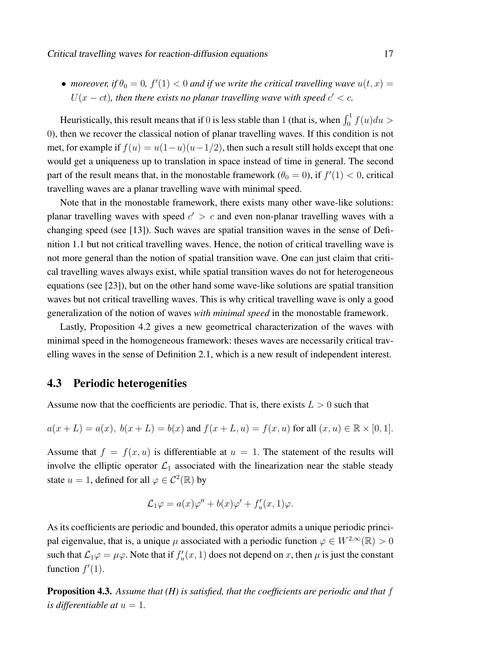• *moreover, if*  $\theta_0 = 0$ ,  $f'(1) < 0$  *and if we write the critical travelling wave*  $u(t, x) =$  $U(x-ct)$ , then there exists no planar travelling wave with speed  $c' < c$ .

Heuristically, this result means that if 0 is less stable than 1 (that is, when  $\int_0^1 f(u) du >$ 0), then we recover the classical notion of planar travelling waves. If this condition is not met, for example if  $f(u) = u(1-u)(u-1/2)$ , then such a result still holds except that one would get a uniqueness up to translation in space instead of time in general. The second part of the result means that, in the monostable framework  $(\theta_0 = 0)$ , if  $f'(1) < 0$ , critical travelling waves are a planar travelling wave with minimal speed.

Note that in the monostable framework, there exists many other wave-like solutions: planar travelling waves with speed  $c' > c$  and even non-planar travelling waves with a changing speed (see [13]). Such waves are spatial transition waves in the sense of Definition 1.1 but not critical travelling waves. Hence, the notion of critical travelling wave is not more general than the notion of spatial transition wave. One can just claim that critical travelling waves always exist, while spatial transition waves do not for heterogeneous equations (see [23]), but on the other hand some wave-like solutions are spatial transition waves but not critical travelling waves. This is why critical travelling wave is only a good generalization of the notion of waves *with minimal speed* in the monostable framework.

Lastly, Proposition 4.2 gives a new geometrical characterization of the waves with minimal speed in the homogeneous framework: theses waves are necessarily critical travelling waves in the sense of Definition 2.1, which is a new result of independent interest.

### 4.3 Periodic heterogenities

Assume now that the coefficients are periodic. That is, there exists  $L > 0$  such that

$$
a(x + L) = a(x), b(x + L) = b(x)
$$
 and  $f(x + L, u) = f(x, u)$  for all  $(x, u) \in \mathbb{R} \times [0, 1]$ .

Assume that  $f = f(x, u)$  is differentiable at  $u = 1$ . The statement of the results will involve the elliptic operator  $\mathcal{L}_1$  associated with the linearization near the stable steady state  $u = 1$ , defined for all  $\varphi \in C^2(\mathbb{R})$  by

$$
\mathcal{L}_1\varphi = a(x)\varphi'' + b(x)\varphi' + f'_u(x,1)\varphi.
$$

As its coefficients are periodic and bounded, this operator admits a unique periodic principal eigenvalue, that is, a unique  $\mu$  associated with a periodic function  $\varphi \in W^{2,\infty}(\mathbb{R}) > 0$ such that  $\mathcal{L}_1\varphi = \mu\varphi$ . Note that if  $f'_u(x, 1)$  does not depend on x, then  $\mu$  is just the constant function  $f'(1)$ .

Proposition 4.3. *Assume that (H) is satisfied, that the coefficients are periodic and that* f *is differentiable at*  $u = 1$ .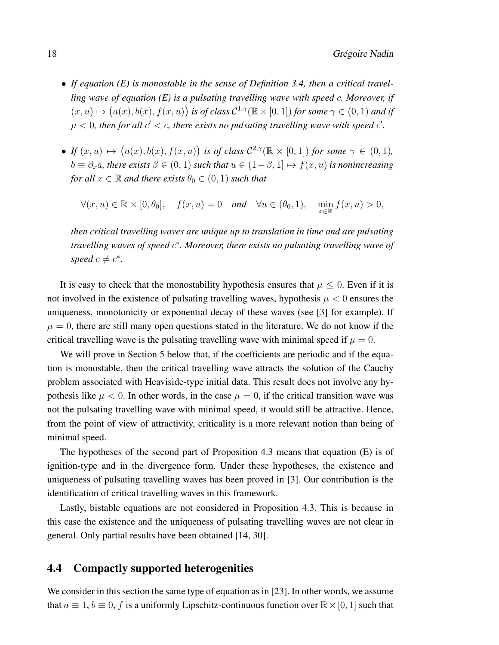- *If equation (E) is monostable in the sense of Definition 3.4, then a critical travelling wave of equation (E) is a pulsating travelling wave with speed* c*. Moreover, if*  $(x, u) \mapsto (a(x), b(x), f(x, u))$  *is of class*  $C^{1,\gamma}(\mathbb{R} \times [0, 1])$  *for some*  $\gamma \in (0, 1)$  *and if*  $\mu$  < 0, then for all  $c' < c$ , there exists no pulsating travelling wave with speed  $c'$ .
- If  $(x, u) \mapsto (a(x), b(x), f(x, u))$  is of class  $C^{2,\gamma}(\mathbb{R} \times [0, 1])$  for some  $\gamma \in (0, 1)$ ,  $b \equiv \partial_x a$ , there exists  $\beta \in (0,1)$  such that  $u \in (1-\beta,1] \mapsto f(x,u)$  is nonincreasing *for all*  $x \in \mathbb{R}$  *and there exists*  $\theta_0 \in (0, 1)$  *such that*

 $\forall (x, u) \in \mathbb{R} \times [0, \theta_0], \quad f(x, u) = 0 \quad \text{and} \quad \forall u \in (\theta_0, 1), \quad \min_{x \in \mathbb{R}} f(x, u) > 0,$ 

*then critical travelling waves are unique up to translation in time and are pulsating travelling waves of speed* c ∗ *. Moreover, there exists no pulsating travelling wave of speed*  $c \neq c^*$ *.* 

It is easy to check that the monostability hypothesis ensures that  $\mu \leq 0$ . Even if it is not involved in the existence of pulsating travelling waves, hypothesis  $\mu < 0$  ensures the uniqueness, monotonicity or exponential decay of these waves (see [3] for example). If  $\mu = 0$ , there are still many open questions stated in the literature. We do not know if the critical travelling wave is the pulsating travelling wave with minimal speed if  $\mu = 0$ .

We will prove in Section 5 below that, if the coefficients are periodic and if the equation is monostable, then the critical travelling wave attracts the solution of the Cauchy problem associated with Heaviside-type initial data. This result does not involve any hypothesis like  $\mu < 0$ . In other words, in the case  $\mu = 0$ , if the critical transition wave was not the pulsating travelling wave with minimal speed, it would still be attractive. Hence, from the point of view of attractivity, criticality is a more relevant notion than being of minimal speed.

The hypotheses of the second part of Proposition 4.3 means that equation (E) is of ignition-type and in the divergence form. Under these hypotheses, the existence and uniqueness of pulsating travelling waves has been proved in [3]. Our contribution is the identification of critical travelling waves in this framework.

Lastly, bistable equations are not considered in Proposition 4.3. This is because in this case the existence and the uniqueness of pulsating travelling waves are not clear in general. Only partial results have been obtained [14, 30].

### 4.4 Compactly supported heterogenities

We consider in this section the same type of equation as in [23]. In other words, we assume that  $a \equiv 1, b \equiv 0, f$  is a uniformly Lipschitz-continuous function over  $\mathbb{R} \times [0, 1]$  such that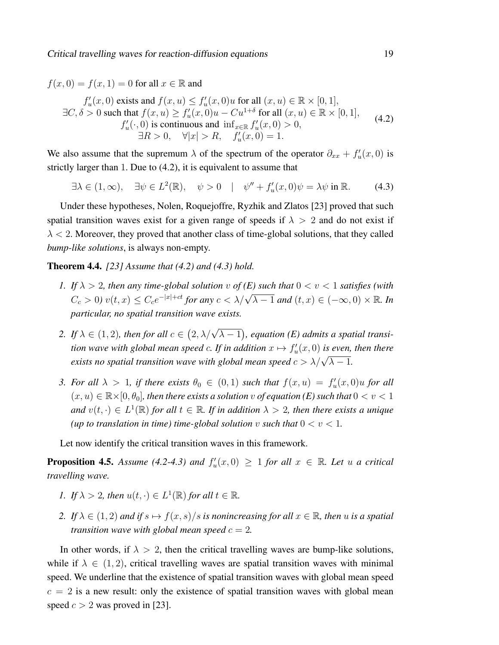$f(x, 0) = f(x, 1) = 0$  for all  $x \in \mathbb{R}$  and

$$
f'_u(x,0) \text{ exists and } f(x,u) \le f'_u(x,0)u \text{ for all } (x,u) \in \mathbb{R} \times [0,1],
$$
  
\n
$$
\exists C, \delta > 0 \text{ such that } f(x,u) \ge f'_u(x,0)u - Cu^{1+\delta} \text{ for all } (x,u) \in \mathbb{R} \times [0,1],
$$
  
\n
$$
f'_u(\cdot,0) \text{ is continuous and } \inf_{x \in \mathbb{R}} f'_u(x,0) > 0,
$$
  
\n
$$
\exists R > 0, \quad \forall |x| > R, \quad f'_u(x,0) = 1.
$$
\n(4.2)

We also assume that the supremum  $\lambda$  of the spectrum of the operator  $\partial_{xx} + f'_u(x,0)$  is strictly larger than 1. Due to (4.2), it is equivalent to assume that

$$
\exists \lambda \in (1, \infty), \quad \exists \psi \in L^2(\mathbb{R}), \quad \psi > 0 \quad | \quad \psi'' + f_u'(x, 0)\psi = \lambda \psi \text{ in } \mathbb{R}. \tag{4.3}
$$

Under these hypotheses, Nolen, Roquejoffre, Ryzhik and Zlatos [23] proved that such spatial transition waves exist for a given range of speeds if  $\lambda > 2$  and do not exist if  $\lambda$  < 2. Moreover, they proved that another class of time-global solutions, that they called *bump-like solutions*, is always non-empty.

Theorem 4.4. *[23] Assume that (4.2) and (4.3) hold.*

- *1.* If  $\lambda > 2$ , then any time-global solution v of (E) such that  $0 < v < 1$  satisfies (with  $C_c > 0$ )  $v(t, x) \le C_c e^{-|x|+ct}$  for any  $c < \lambda/\sqrt{\lambda-1}$  and  $(t, x) \in (-\infty, 0) \times \mathbb{R}$ . In *particular, no spatial transition wave exists.*
- 2. If  $\lambda \in (1, 2)$ , then for all  $c \in (2, \lambda/\sqrt{\lambda 1})$ , equation (E) admits a spatial transition wave with global mean speed  $c$ . If in addition  $x \mapsto f_u'(x, 0)$  is even, then there *exists no spatial transition wave with global mean speed*  $c > \lambda/\sqrt{\lambda - 1}$ *.*
- 3. For all  $\lambda > 1$ , if there exists  $\theta_0 \in (0,1)$  such that  $f(x, u) = f'_u(x, 0)u$  for all  $(x, u) \in \mathbb{R} \times [0, \theta_0]$ , then there exists a solution v of equation (E) such that  $0 < v < 1$ and  $v(t, \cdot) \in L^1(\mathbb{R})$  for all  $t \in \mathbb{R}$ . If in addition  $\lambda > 2$ , then there exists a unique *(up to translation in time) time-global solution* v *such that*  $0 < v < 1$ *.*

Let now identify the critical transition waves in this framework.

**Proposition 4.5.** Assume (4.2-4.3) and  $f'_u(x,0) \ge 1$  for all  $x \in \mathbb{R}$ . Let u a critical *travelling wave.*

- *1. If*  $\lambda > 2$ *, then*  $u(t, \cdot) \in L^1(\mathbb{R})$  *for all*  $t \in \mathbb{R}$ *.*
- *2. If*  $\lambda \in (1, 2)$  *and if*  $s \mapsto f(x, s)/s$  *is nonincreasing for all*  $x \in \mathbb{R}$ *, then* u *is a spatial transition wave with global mean speed*  $c = 2$ .

In other words, if  $\lambda > 2$ , then the critical travelling waves are bump-like solutions, while if  $\lambda \in (1, 2)$ , critical travelling waves are spatial transition waves with minimal speed. We underline that the existence of spatial transition waves with global mean speed  $c = 2$  is a new result: only the existence of spatial transition waves with global mean speed  $c > 2$  was proved in [23].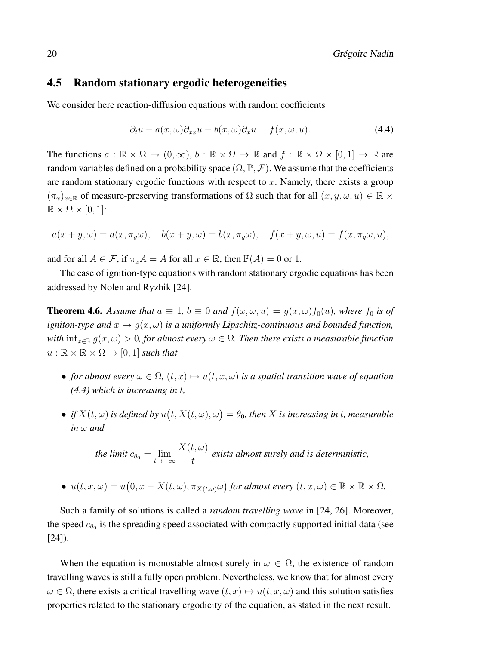### 4.5 Random stationary ergodic heterogeneities

We consider here reaction-diffusion equations with random coefficients

$$
\partial_t u - a(x, \omega) \partial_{xx} u - b(x, \omega) \partial_x u = f(x, \omega, u). \tag{4.4}
$$

The functions  $a : \mathbb{R} \times \Omega \to (0, \infty), b : \mathbb{R} \times \Omega \to \mathbb{R}$  and  $f : \mathbb{R} \times \Omega \times [0, 1] \to \mathbb{R}$  are random variables defined on a probability space  $(\Omega, \mathbb{P}, \mathcal{F})$ . We assume that the coefficients are random stationary ergodic functions with respect to  $x$ . Namely, there exists a group  $(\pi_x)_{x\in\mathbb{R}}$  of measure-preserving transformations of  $\Omega$  such that for all  $(x, y, \omega, u) \in \mathbb{R} \times$  $\mathbb{R} \times \Omega \times [0,1]$ :

$$
a(x + y, \omega) = a(x, \pi_y \omega), \quad b(x + y, \omega) = b(x, \pi_y \omega), \quad f(x + y, \omega, u) = f(x, \pi_y \omega, u),
$$

and for all  $A \in \mathcal{F}$ , if  $\pi_x A = A$  for all  $x \in \mathbb{R}$ , then  $\mathbb{P}(A) = 0$  or 1.

The case of ignition-type equations with random stationary ergodic equations has been addressed by Nolen and Ryzhik [24].

**Theorem 4.6.** Assume that  $a \equiv 1$ ,  $b \equiv 0$  and  $f(x, \omega, u) = g(x, \omega) f_0(u)$ , where  $f_0$  is of *igniton-type and*  $x \mapsto g(x, \omega)$  *is a uniformly Lipschitz-continuous and bounded function, with*  $\inf_{x \in \mathbb{R}} g(x, \omega) > 0$ , for almost every  $\omega \in \Omega$ . Then there exists a measurable function  $u : \mathbb{R} \times \mathbb{R} \times \Omega \rightarrow [0, 1]$  *such that* 

- *for almost every*  $\omega \in \Omega$ ,  $(t, x) \mapsto u(t, x, \omega)$  *is a spatial transition wave of equation (4.4) which is increasing in* t*,*
- *if*  $X(t, \omega)$  *is defined by*  $u(t, X(t, \omega), \omega) = \theta_0$ , then X *is increasing in t, measurable in* ω *and*

the limit 
$$
c_{\theta_0} = \lim_{t \to +\infty} \frac{X(t,\omega)}{t}
$$
 exists almost surely and is deterministic,

• 
$$
u(t, x, \omega) = u(0, x - X(t, \omega), \pi_{X(t, \omega)}\omega)
$$
 for almost every  $(t, x, \omega) \in \mathbb{R} \times \mathbb{R} \times \Omega$ .

Such a family of solutions is called a *random travelling wave* in [24, 26]. Moreover, the speed  $c_{\theta_0}$  is the spreading speed associated with compactly supported initial data (see  $[24]$ .

When the equation is monostable almost surely in  $\omega \in \Omega$ , the existence of random travelling waves is still a fully open problem. Nevertheless, we know that for almost every  $\omega \in \Omega$ , there exists a critical travelling wave  $(t, x) \mapsto u(t, x, \omega)$  and this solution satisfies properties related to the stationary ergodicity of the equation, as stated in the next result.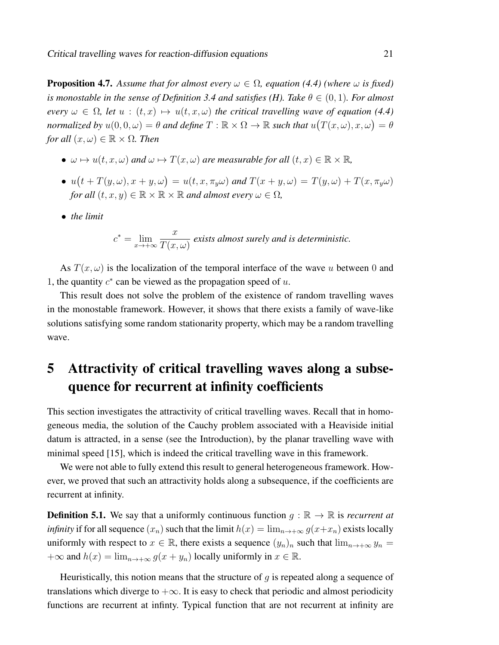**Proposition 4.7.** Assume that for almost every  $\omega \in \Omega$ , equation (4.4) (where  $\omega$  is fixed) *is monostable in the sense of Definition 3.4 and satisfies (H). Take*  $\theta \in (0, 1)$ *. For almost every*  $\omega \in \Omega$ , let  $u : (t, x) \mapsto u(t, x, \omega)$  the critical travelling wave of equation (4.4) *normalized by*  $u(0,0,\omega) = \theta$  *and define*  $T : \mathbb{R} \times \Omega \to \mathbb{R}$  *such that*  $u(T(x,\omega),x,\omega) = \theta$ *for all*  $(x, \omega) \in \mathbb{R} \times \Omega$ *. Then* 

- $\omega \mapsto u(t, x, \omega)$  *and*  $\omega \mapsto T(x, \omega)$  *are measurable for all*  $(t, x) \in \mathbb{R} \times \mathbb{R}$ *,*
- $u(t+T(y,\omega),x+y,\omega) = u(t,x,\pi_y\omega)$  and  $T(x+y,\omega) = T(y,\omega) + T(x,\pi_y\omega)$ *for all*  $(t, x, y) \in \mathbb{R} \times \mathbb{R} \times \mathbb{R}$  *and almost every*  $\omega \in \Omega$ *,*
- *the limit*

$$
c^* = \lim_{x \to +\infty} \frac{x}{T(x,\omega)}
$$
 exists almost surely and is deterministic.

As  $T(x, \omega)$  is the localization of the temporal interface of the wave u between 0 and 1, the quantity  $c^*$  can be viewed as the propagation speed of  $u$ .

This result does not solve the problem of the existence of random travelling waves in the monostable framework. However, it shows that there exists a family of wave-like solutions satisfying some random stationarity property, which may be a random travelling wave.

# 5 Attractivity of critical travelling waves along a subsequence for recurrent at infinity coefficients

This section investigates the attractivity of critical travelling waves. Recall that in homogeneous media, the solution of the Cauchy problem associated with a Heaviside initial datum is attracted, in a sense (see the Introduction), by the planar travelling wave with minimal speed [15], which is indeed the critical travelling wave in this framework.

We were not able to fully extend this result to general heterogeneous framework. However, we proved that such an attractivity holds along a subsequence, if the coefficients are recurrent at infinity.

**Definition 5.1.** We say that a uniformly continuous function  $q : \mathbb{R} \to \mathbb{R}$  is *recurrent at infinity* if for all sequence  $(x_n)$  such that the limit  $h(x) = \lim_{n \to +\infty} g(x+x_n)$  exists locally uniformly with respect to  $x \in \mathbb{R}$ , there exists a sequence  $(y_n)_n$  such that  $\lim_{n \to +\infty} y_n =$  $+\infty$  and  $h(x) = \lim_{n \to +\infty} g(x + y_n)$  locally uniformly in  $x \in \mathbb{R}$ .

Heuristically, this notion means that the structure of  $q$  is repeated along a sequence of translations which diverge to  $+\infty$ . It is easy to check that periodic and almost periodicity functions are recurrent at infinty. Typical function that are not recurrent at infinity are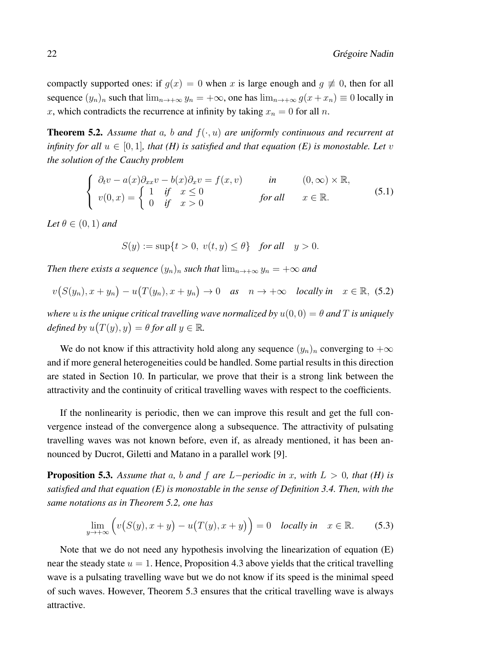compactly supported ones: if  $g(x) = 0$  when x is large enough and  $g \neq 0$ , then for all sequence  $(y_n)_n$  such that  $\lim_{n\to+\infty} y_n = +\infty$ , one has  $\lim_{n\to+\infty} g(x + x_n) \equiv 0$  locally in x, which contradicts the recurrence at infinity by taking  $x_n = 0$  for all n.

**Theorem 5.2.** Assume that a, b and  $f(\cdot, u)$  are uniformly continuous and recurrent at *infinity for all*  $u \in [0, 1]$ *, that (H) is satisfied and that equation (E) is monostable. Let* v *the solution of the Cauchy problem*

$$
\begin{cases}\n\partial_t v - a(x)\partial_{xx}v - b(x)\partial_x v = f(x, v) & \text{in} \quad (0, \infty) \times \mathbb{R}, \\
v(0, x) = \begin{cases}\n1 & \text{if } x \le 0 \\
0 & \text{if } x > 0\n\end{cases} & \text{for all} \quad x \in \mathbb{R}.\n\end{cases}
$$
\n(5.1)

*Let*  $\theta \in (0,1)$  *and* 

$$
S(y) := \sup\{t > 0, v(t, y) \le \theta\} \quad \text{for all} \quad y > 0.
$$

*Then there exists a sequence*  $(y_n)_n$  *such that*  $\lim_{n\to+\infty} y_n = +\infty$  *and* 

$$
v(S(y_n), x + y_n) - u(T(y_n), x + y_n) \to 0 \quad \text{as} \quad n \to +\infty \quad \text{locally in} \quad x \in \mathbb{R}, \tag{5.2}
$$

*where u is the unique critical travelling wave normalized by*  $u(0, 0) = \theta$  *and* T *is uniquely defined by*  $u(T(y), y) = \theta$  *for all*  $y \in \mathbb{R}$ *.* 

We do not know if this attractivity hold along any sequence  $(y_n)_n$  converging to  $+\infty$ and if more general heterogeneities could be handled. Some partial results in this direction are stated in Section 10. In particular, we prove that their is a strong link between the attractivity and the continuity of critical travelling waves with respect to the coefficients.

If the nonlinearity is periodic, then we can improve this result and get the full convergence instead of the convergence along a subsequence. The attractivity of pulsating travelling waves was not known before, even if, as already mentioned, it has been announced by Ducrot, Giletti and Matano in a parallel work [9].

**Proposition 5.3.** Assume that a, b and f are  $L$ −*periodic in* x, with  $L > 0$ , that (H) is *satisfied and that equation (E) is monostable in the sense of Definition 3.4. Then, with the same notations as in Theorem 5.2, one has*

$$
\lim_{y \to +\infty} \left( v(S(y), x + y) - u(T(y), x + y) \right) = 0 \quad \text{locally in} \quad x \in \mathbb{R}.
$$
 (5.3)

Note that we do not need any hypothesis involving the linearization of equation (E) near the steady state  $u = 1$ . Hence, Proposition 4.3 above yields that the critical travelling wave is a pulsating travelling wave but we do not know if its speed is the minimal speed of such waves. However, Theorem 5.3 ensures that the critical travelling wave is always attractive.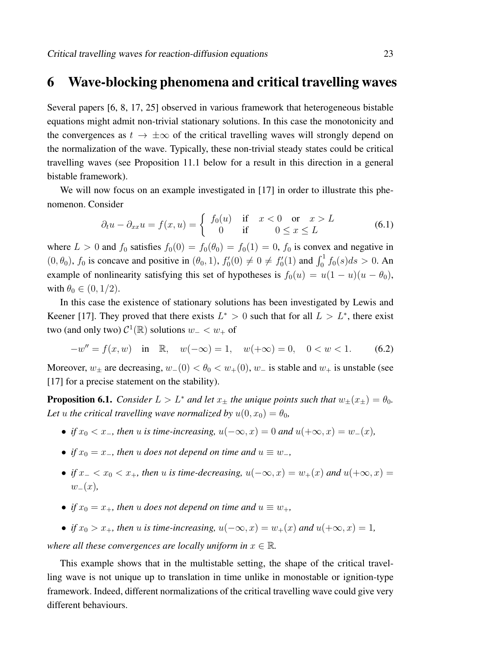## 6 Wave-blocking phenomena and critical travelling waves

Several papers [6, 8, 17, 25] observed in various framework that heterogeneous bistable equations might admit non-trivial stationary solutions. In this case the monotonicity and the convergences as  $t \to \pm \infty$  of the critical travelling waves will strongly depend on the normalization of the wave. Typically, these non-trivial steady states could be critical travelling waves (see Proposition 11.1 below for a result in this direction in a general bistable framework).

We will now focus on an example investigated in [17] in order to illustrate this phenomenon. Consider

$$
\partial_t u - \partial_{xx} u = f(x, u) = \begin{cases} f_0(u) & \text{if } x < 0 \text{ or } x > L \\ 0 & \text{if } 0 \le x \le L \end{cases}
$$
(6.1)

where  $L > 0$  and  $f_0$  satisfies  $f_0(0) = f_0(\theta_0) = f_0(1) = 0$ ,  $f_0$  is convex and negative in  $(0, \theta_0)$ ,  $f_0$  is concave and positive in  $(\theta_0, 1)$ ,  $f'_0(0) \neq 0 \neq f'_0(1)$  and  $\int_0^1 f_0(s) ds > 0$ . An example of nonlinearity satisfying this set of hypotheses is  $f_0(u) = u(1 - u)(u - \theta_0)$ , with  $\theta_0 \in (0, 1/2)$ .

In this case the existence of stationary solutions has been investigated by Lewis and Keener [17]. They proved that there exists  $L^* > 0$  such that for all  $L > L^*$ , there exist two (and only two)  $\mathcal{C}^1(\mathbb{R})$  solutions  $w_- < w_+$  of

$$
-w'' = f(x, w) \quad \text{in} \quad \mathbb{R}, \quad w(-\infty) = 1, \quad w(+\infty) = 0, \quad 0 < w < 1. \tag{6.2}
$$

Moreover,  $w_{\pm}$  are decreasing,  $w_{-}(0) < \theta_0 < w_{+}(0)$ ,  $w_{-}$  is stable and  $w_{+}$  is unstable (see [17] for a precise statement on the stability).

**Proposition 6.1.** *Consider*  $L > L^*$  *and let*  $x_{\pm}$  *the unique points such that*  $w_{\pm}(x_{\pm}) = \theta_0$ *.* Let *u* the critical travelling wave normalized by  $u(0, x_0) = \theta_0$ ,

- *if*  $x_0 < x_$ *, then*  $u$  *is time-increasing,*  $u(-\infty, x) = 0$  *and*  $u(+\infty, x) = w_-(x)$ *,*
- *if*  $x_0 = x_$ *, then*  $u$  *does not depend on time and*  $u \equiv w_$ *,*
- *if*  $x_-\langle x_0 \rangle \langle x_+$ , then u *is time-decreasing*,  $u(-\infty, x) = w_+(x)$  and  $u(+\infty, x) = w_+(x)$  $w_-(x)$ ,
- *if*  $x_0 = x_+$ *, then u does not depend on time and*  $u \equiv w_+$ *,*
- *if*  $x_0 > x_+$ *, then u is time-increasing,*  $u(-\infty, x) = w_+(x)$  *and*  $u(+\infty, x) = 1$ *,*

*where all these convergences are locally uniform in*  $x \in \mathbb{R}$ .

This example shows that in the multistable setting, the shape of the critical travelling wave is not unique up to translation in time unlike in monostable or ignition-type framework. Indeed, different normalizations of the critical travelling wave could give very different behaviours.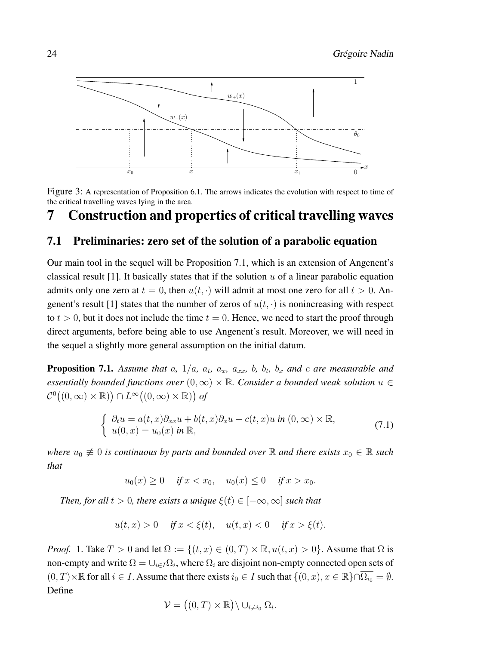

Figure 3: A representation of Proposition 6.1. The arrows indicates the evolution with respect to time of the critical travelling waves lying in the area.

# 7 Construction and properties of critical travelling waves

### 7.1 Preliminaries: zero set of the solution of a parabolic equation

Our main tool in the sequel will be Proposition 7.1, which is an extension of Angenent's classical result [1]. It basically states that if the solution  $u$  of a linear parabolic equation admits only one zero at  $t = 0$ , then  $u(t, \cdot)$  will admit at most one zero for all  $t > 0$ . Angenent's result [1] states that the number of zeros of  $u(t, \cdot)$  is nonincreasing with respect to  $t > 0$ , but it does not include the time  $t = 0$ . Hence, we need to start the proof through direct arguments, before being able to use Angenent's result. Moreover, we will need in the sequel a slightly more general assumption on the initial datum.

**Proposition 7.1.** Assume that a,  $1/a$ ,  $a_t$ ,  $a_x$ ,  $a_{xx}$ ,  $b$ ,  $b_t$ ,  $b_x$  and c are measurable and *essentially bounded functions over*  $(0, \infty) \times \mathbb{R}$ *. Consider a bounded weak solution*  $u \in$  $\mathcal{C}^0((0,\infty)\times\mathbb{R})\big)\cap L^\infty((0,\infty)\times\mathbb{R})$  of

$$
\begin{cases}\n\partial_t u = a(t, x)\partial_{xx} u + b(t, x)\partial_x u + c(t, x)u \text{ in } (0, \infty) \times \mathbb{R}, \\
u(0, x) = u_0(x) \text{ in } \mathbb{R},\n\end{cases}
$$
\n(7.1)

*where*  $u_0 \neq 0$  *is continuous by parts and bounded over* R *and there exists*  $x_0 \in \mathbb{R}$  *such that*

$$
u_0(x) \ge 0
$$
 if  $x < x_0$ ,  $u_0(x) \le 0$  if  $x > x_0$ .

*Then, for all*  $t > 0$ *, there exists a unique*  $\xi(t) \in [-\infty, \infty]$  *such that* 

$$
u(t, x) > 0
$$
 if  $x < \xi(t)$ ,  $u(t, x) < 0$  if  $x > \xi(t)$ .

*Proof.* 1. Take  $T > 0$  and let  $\Omega := \{(t, x) \in (0, T) \times \mathbb{R}, u(t, x) > 0\}$ . Assume that  $\Omega$  is non-empty and write  $\Omega = \cup_{i \in I} \Omega_i$ , where  $\Omega_i$  are disjoint non-empty connected open sets of  $(0, T) \times \mathbb{R}$  for all  $i \in I$ . Assume that there exists  $i_0 \in I$  such that  $\{(0, x), x \in \mathbb{R}\}\cap \overline{\Omega_{i_0}} = \emptyset$ . Define

$$
\mathcal{V} = ((0, T) \times \mathbb{R}) \setminus \cup_{i \neq i_0} \overline{\Omega}_i.
$$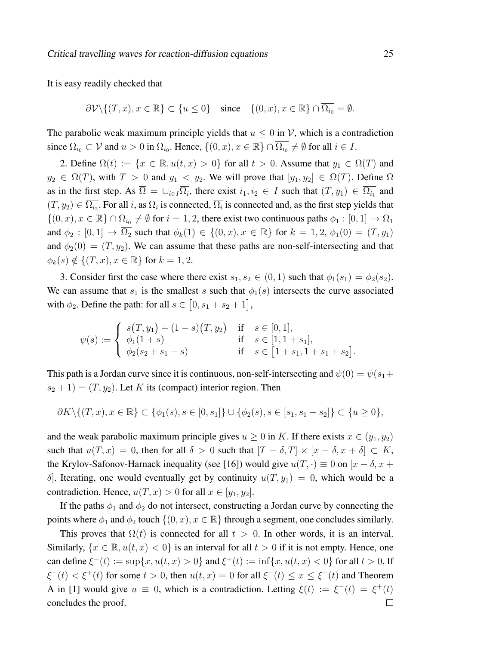It is easy readily checked that

$$
\partial \mathcal{V} \setminus \{(T, x), x \in \mathbb{R}\} \subset \{u \le 0\} \quad \text{since} \quad \{(0, x), x \in \mathbb{R}\} \cap \overline{\Omega_{i_0}} = \emptyset.
$$

The parabolic weak maximum principle yields that  $u \leq 0$  in V, which is a contradiction since  $\Omega_{i_0} \subset \mathcal{V}$  and  $u > 0$  in  $\Omega_{i_0}$ . Hence,  $\{(0, x), x \in \mathbb{R}\}\cap \overline{\Omega_{i_0}} \neq \emptyset$  for all  $i \in I$ .

2. Define  $\Omega(t) := \{x \in \mathbb{R}, u(t, x) > 0\}$  for all  $t > 0$ . Assume that  $y_1 \in \Omega(T)$  and  $y_2 \in \Omega(T)$ , with  $T > 0$  and  $y_1 < y_2$ . We will prove that  $[y_1, y_2] \in \Omega(T)$ . Define  $\Omega$ as in the first step. As  $\overline{\Omega} = \cup_{i \in I} \overline{\Omega_i}$ , there exist  $i_1, i_2 \in I$  such that  $(T, y_1) \in \overline{\Omega_{i_1}}$  and  $(T,y_2) \in \overline{\Omega_{i_2}}$ . For all i, as  $\Omega_i$  is connected,  $\overline{\Omega_i}$  is connected and, as the first step yields that  $\{(0, x), x \in \mathbb{R}\}\cap \overline{\Omega_{i_0}} \neq \emptyset$  for  $i = 1, 2$ , there exist two continuous paths  $\phi_1 : [0, 1] \to \overline{\Omega_1}$ and  $\phi_2 : [0,1] \to \overline{\Omega_2}$  such that  $\phi_k(1) \in \{(0,x), x \in \mathbb{R}\}$  for  $k = 1, 2, \phi_1(0) = (T, y_1)$ and  $\phi_2(0) = (T, y_2)$ . We can assume that these paths are non-self-intersecting and that  $\phi_k(s) \notin \{ (T, x), x \in \mathbb{R} \}$  for  $k = 1, 2$ .

3. Consider first the case where there exist  $s_1, s_2 \in (0, 1)$  such that  $\phi_1(s_1) = \phi_2(s_2)$ . We can assume that  $s_1$  is the smallest s such that  $\phi_1(s)$  intersects the curve associated with  $\phi_2$ . Define the path: for all  $s \in [0, s_1 + s_2 + 1]$ ,

$$
\psi(s) := \begin{cases}\ns(T, y_1) + (1 - s)(T, y_2) & \text{if } s \in [0, 1], \\
\phi_1(1 + s) & \text{if } s \in [1, 1 + s_1], \\
\phi_2(s_2 + s_1 - s) & \text{if } s \in [1 + s_1, 1 + s_1 + s_2].\n\end{cases}
$$

This path is a Jordan curve since it is continuous, non-self-intersecting and  $\psi(0) = \psi(s_1 + \mathbf{I})$  $s_2 + 1$  =  $(T, y_2)$ . Let K its (compact) interior region. Then

$$
\partial K \setminus \{(T, x), x \in \mathbb{R}\} \subset \{\phi_1(s), s \in [0, s_1]\} \cup \{\phi_2(s), s \in [s_1, s_1 + s_2]\} \subset \{u \ge 0\},\
$$

and the weak parabolic maximum principle gives  $u \geq 0$  in K. If there exists  $x \in (y_1, y_2)$ such that  $u(T, x) = 0$ , then for all  $\delta > 0$  such that  $[T - \delta, T] \times [x - \delta, x + \delta] \subset K$ , the Krylov-Safonov-Harnack inequality (see [16]) would give  $u(T, \cdot) \equiv 0$  on  $[x - \delta, x +$ δ. Iterating, one would eventually get by continuity  $u(T, y_1) = 0$ , which would be a contradiction. Hence,  $u(T, x) > 0$  for all  $x \in [y_1, y_2]$ .

If the paths  $\phi_1$  and  $\phi_2$  do not intersect, constructing a Jordan curve by connecting the points where  $\phi_1$  and  $\phi_2$  touch  $\{(0, x), x \in \mathbb{R}\}\$  through a segment, one concludes similarly.

This proves that  $\Omega(t)$  is connected for all  $t > 0$ . In other words, it is an interval. Similarly,  $\{x \in \mathbb{R}, u(t, x) < 0\}$  is an interval for all  $t > 0$  if it is not empty. Hence, one can define  $\xi^-(t) := \sup\{x, u(t, x) > 0\}$  and  $\xi^+(t) := \inf\{x, u(t, x) < 0\}$  for all  $t > 0$ . If  $\xi^-(t) < \xi^+(t)$  for some  $t > 0$ , then  $u(t, x) = 0$  for all  $\xi^-(t) \le x \le \xi^+(t)$  and Theorem A in [1] would give  $u \equiv 0$ , which is a contradiction. Letting  $\xi(t) := \xi^-(t) = \xi^+(t)$ concludes the proof. $\Box$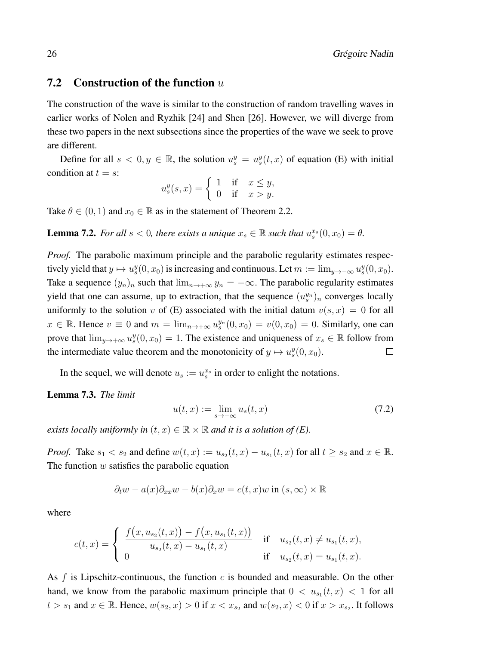## **7.2** Construction of the function  $u$

The construction of the wave is similar to the construction of random travelling waves in earlier works of Nolen and Ryzhik [24] and Shen [26]. However, we will diverge from these two papers in the next subsections since the properties of the wave we seek to prove are different.

Define for all  $s < 0, y \in \mathbb{R}$ , the solution  $u_s^y = u_s^y(t, x)$  of equation (E) with initial condition at  $t = s$ :

$$
u_s^y(s,x) = \begin{cases} 1 & \text{if } x \le y, \\ 0 & \text{if } x > y. \end{cases}
$$

Take  $\theta \in (0, 1)$  and  $x_0 \in \mathbb{R}$  as in the statement of Theorem 2.2.

**Lemma 7.2.** For all  $s < 0$ , there exists a unique  $x_s \in \mathbb{R}$  such that  $u_s^{x_s}(0, x_0) = \theta$ .

*Proof.* The parabolic maximum principle and the parabolic regularity estimates respectively yield that  $y \mapsto u_s^y(0, x_0)$  is increasing and continuous. Let  $m := \lim_{y \to -\infty} u_s^y(0, x_0)$ . Take a sequence  $(y_n)_n$  such that  $\lim_{n\to+\infty} y_n = -\infty$ . The parabolic regularity estimates yield that one can assume, up to extraction, that the sequence  $(u_s^{y_n})_n$  converges locally uniformly to the solution v of (E) associated with the initial datum  $v(s, x) = 0$  for all  $x \in \mathbb{R}$ . Hence  $v \equiv 0$  and  $m = \lim_{n \to +\infty} u_s^{y_n}(0, x_0) = v(0, x_0) = 0$ . Similarly, one can prove that  $\lim_{y\to+\infty}u_s^y(0,x_0)=1$ . The existence and uniqueness of  $x_s\in\mathbb{R}$  follow from the intermediate value theorem and the monotonicity of  $y \mapsto u_s^y(0, x_0)$ .  $\Box$ 

In the sequel, we will denote  $u_s := u_s^{x_s}$  in order to enlight the notations.

### Lemma 7.3. *The limit*

$$
u(t,x) := \lim_{s \to -\infty} u_s(t,x) \tag{7.2}
$$

*exists locally uniformly in*  $(t, x) \in \mathbb{R} \times \mathbb{R}$  and it is a solution of (E).

*Proof.* Take  $s_1 < s_2$  and define  $w(t, x) := u_{s_2}(t, x) - u_{s_1}(t, x)$  for all  $t \geq s_2$  and  $x \in \mathbb{R}$ . The function  $w$  satisfies the parabolic equation

$$
\partial_t w - a(x)\partial_{xx}w - b(x)\partial_x w = c(t, x)w \text{ in } (s, \infty) \times \mathbb{R}
$$

where

$$
c(t,x) = \begin{cases} \frac{f(x, u_{s_2}(t,x)) - f(x, u_{s_1}(t,x))}{u_{s_2}(t,x) - u_{s_1}(t,x)} & \text{if } u_{s_2}(t,x) \neq u_{s_1}(t,x), \\ 0 & \text{if } u_{s_2}(t,x) = u_{s_1}(t,x). \end{cases}
$$

As  $f$  is Lipschitz-continuous, the function  $c$  is bounded and measurable. On the other hand, we know from the parabolic maximum principle that  $0 < u_{s_1}(t,x) < 1$  for all  $t > s_1$  and  $x \in \mathbb{R}$ . Hence,  $w(s_2, x) > 0$  if  $x < x_{s_2}$  and  $w(s_2, x) < 0$  if  $x > x_{s_2}$ . It follows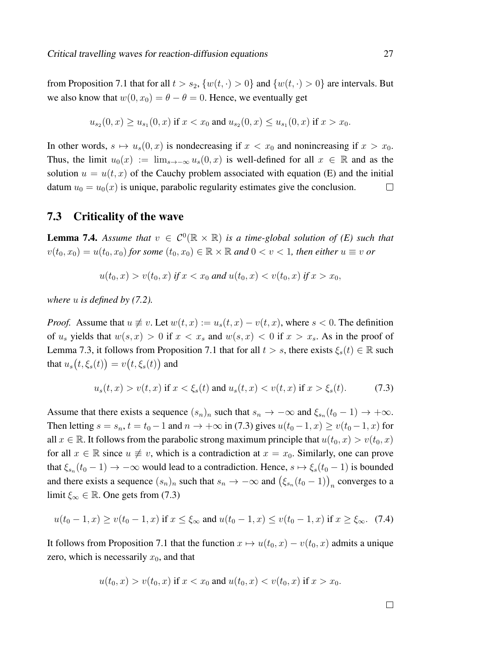from Proposition 7.1 that for all  $t > s_2$ ,  $\{w(t, \cdot) > 0\}$  and  $\{w(t, \cdot) > 0\}$  are intervals. But we also know that  $w(0, x_0) = \theta - \theta = 0$ . Hence, we eventually get

$$
u_{s_2}(0, x) \ge u_{s_1}(0, x) \text{ if } x < x_0 \text{ and } u_{s_2}(0, x) \le u_{s_1}(0, x) \text{ if } x > x_0.
$$

In other words,  $s \mapsto u_s(0, x)$  is nondecreasing if  $x < x_0$  and nonincreasing if  $x > x_0$ . Thus, the limit  $u_0(x) := \lim_{s\to-\infty} u_s(0,x)$  is well-defined for all  $x \in \mathbb{R}$  and as the solution  $u = u(t, x)$  of the Cauchy problem associated with equation (E) and the initial datum  $u_0 = u_0(x)$  is unique, parabolic regularity estimates give the conclusion.  $\Box$ 

## 7.3 Criticality of the wave

**Lemma 7.4.** Assume that  $v \in C^0(\mathbb{R} \times \mathbb{R})$  is a time-global solution of (E) such that  $v(t_0, x_0) = u(t_0, x_0)$  *for some*  $(t_0, x_0) \in \mathbb{R} \times \mathbb{R}$  *and*  $0 < v < 1$ *, then either*  $u \equiv v$  *or* 

$$
u(t_0, x) > v(t_0, x) \text{ if } x < x_0 \text{ and } u(t_0, x) < v(t_0, x) \text{ if } x > x_0,
$$

*where* u *is defined by (7.2).*

*Proof.* Assume that  $u \neq v$ . Let  $w(t, x) := u_s(t, x) - v(t, x)$ , where  $s < 0$ . The definition of  $u_s$  yields that  $w(s, x) > 0$  if  $x < x_s$  and  $w(s, x) < 0$  if  $x > x_s$ . As in the proof of Lemma 7.3, it follows from Proposition 7.1 that for all  $t > s$ , there exists  $\xi_s(t) \in \mathbb{R}$  such that  $u_s\bigl(t,\xi_s(t)\bigr)=v\bigl(t,\xi_s(t)\bigr)$  and

$$
u_s(t, x) > v(t, x)
$$
 if  $x < \xi_s(t)$  and  $u_s(t, x) < v(t, x)$  if  $x > \xi_s(t)$ . (7.3)

Assume that there exists a sequence  $(s_n)_n$  such that  $s_n \to -\infty$  and  $\xi_{s_n}(t_0 - 1) \to +\infty$ . Then letting  $s = s_n$ ,  $t = t_0 - 1$  and  $n \to +\infty$  in (7.3) gives  $u(t_0 - 1, x) \ge v(t_0 - 1, x)$  for all  $x \in \mathbb{R}$ . It follows from the parabolic strong maximum principle that  $u(t_0, x) > v(t_0, x)$ for all  $x \in \mathbb{R}$  since  $u \neq v$ , which is a contradiction at  $x = x_0$ . Similarly, one can prove that  $\xi_{s_n}(t_0-1) \to -\infty$  would lead to a contradiction. Hence,  $s \mapsto \xi_s(t_0-1)$  is bounded and there exists a sequence  $(s_n)_n$  such that  $s_n \to -\infty$  and  $(\xi_{s_n}(t_0-1))_n$  converges to a limit  $\xi_{\infty} \in \mathbb{R}$ . One gets from (7.3)

$$
u(t_0 - 1, x) \ge v(t_0 - 1, x)
$$
 if  $x \le \xi_\infty$  and  $u(t_0 - 1, x) \le v(t_0 - 1, x)$  if  $x \ge \xi_\infty$ . (7.4)

It follows from Proposition 7.1 that the function  $x \mapsto u(t_0, x) - v(t_0, x)$  admits a unique zero, which is necessarily  $x_0$ , and that

$$
u(t_0, x) > v(t_0, x)
$$
 if  $x < x_0$  and  $u(t_0, x) < v(t_0, x)$  if  $x > x_0$ .

 $\Box$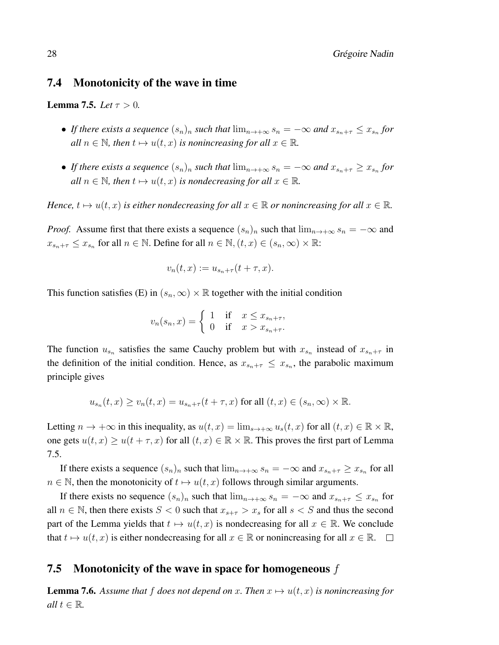### 7.4 Monotonicity of the wave in time

**Lemma 7.5.** *Let*  $\tau > 0$ *.* 

- If there exists a sequence  $(s_n)_n$  such that  $\lim_{n\to+\infty} s_n = -\infty$  and  $x_{s_n+\tau} \leq x_{s_n}$  for *all*  $n \in \mathbb{N}$ , then  $t \mapsto u(t, x)$  *is nonincreasing for all*  $x \in \mathbb{R}$ *.*
- If there exists a sequence  $(s_n)_n$  such that  $\lim_{n\to+\infty} s_n = -\infty$  and  $x_{s_n+\tau} \ge x_{s_n}$  for *all*  $n \in \mathbb{N}$ , then  $t \mapsto u(t, x)$  *is nondecreasing for all*  $x \in \mathbb{R}$ *.*

*Hence,*  $t \mapsto u(t, x)$  *is either nondecreasing for all*  $x \in \mathbb{R}$  *or nonincreasing for all*  $x \in \mathbb{R}$ *.* 

*Proof.* Assume first that there exists a sequence  $(s_n)_n$  such that  $\lim_{n\to+\infty} s_n = -\infty$  and  $x_{s_n+\tau} \leq x_{s_n}$  for all  $n \in \mathbb{N}$ . Define for all  $n \in \mathbb{N}$ ,  $(t, x) \in (s_n, \infty) \times \mathbb{R}$ :

$$
v_n(t,x) := u_{s_n+\tau}(t+\tau,x).
$$

This function satisfies (E) in  $(s_n, \infty) \times \mathbb{R}$  together with the initial condition

$$
v_n(s_n, x) = \begin{cases} 1 & \text{if } x \le x_{s_n + \tau}, \\ 0 & \text{if } x > x_{s_n + \tau}. \end{cases}
$$

The function  $u_{s_n}$  satisfies the same Cauchy problem but with  $x_{s_n}$  instead of  $x_{s_n+\tau}$  in the definition of the initial condition. Hence, as  $x_{s_n+\tau} \leq x_{s_n}$ , the parabolic maximum principle gives

$$
u_{s_n}(t,x) \ge v_n(t,x) = u_{s_n+\tau}(t+\tau,x) \text{ for all } (t,x) \in (s_n,\infty) \times \mathbb{R}.
$$

Letting  $n \to +\infty$  in this inequality, as  $u(t, x) = \lim_{s \to +\infty} u_s(t, x)$  for all  $(t, x) \in \mathbb{R} \times \mathbb{R}$ , one gets  $u(t, x) \ge u(t + \tau, x)$  for all  $(t, x) \in \mathbb{R} \times \mathbb{R}$ . This proves the first part of Lemma 7.5.

If there exists a sequence  $(s_n)_n$  such that  $\lim_{n\to+\infty} s_n = -\infty$  and  $x_{s_n+\tau} \ge x_{s_n}$  for all  $n \in \mathbb{N}$ , then the monotonicity of  $t \mapsto u(t, x)$  follows through similar arguments.

If there exists no sequence  $(s_n)_n$  such that  $\lim_{n\to+\infty} s_n = -\infty$  and  $x_{s_n+\tau} \leq x_{s_n}$  for all  $n \in \mathbb{N}$ , then there exists  $S < 0$  such that  $x_{s+\tau} > x_s$  for all  $s < S$  and thus the second part of the Lemma yields that  $t \mapsto u(t, x)$  is nondecreasing for all  $x \in \mathbb{R}$ . We conclude that  $t \mapsto u(t, x)$  is either nondecreasing for all  $x \in \mathbb{R}$  or nonincreasing for all  $x \in \mathbb{R}$ .  $\Box$ 

## 7.5 Monotonicity of the wave in space for homogeneous  $f$

**Lemma 7.6.** Assume that f does not depend on x. Then  $x \mapsto u(t, x)$  is nonincreasing for *all*  $t \in \mathbb{R}$ *.*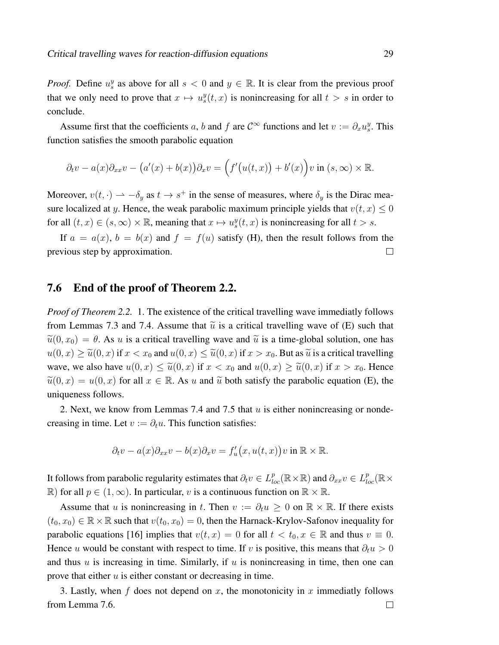*Proof.* Define  $u_s^y$  as above for all  $s < 0$  and  $y \in \mathbb{R}$ . It is clear from the previous proof that we only need to prove that  $x \mapsto u_s^y(t, x)$  is nonincreasing for all  $t > s$  in order to conclude.

Assume first that the coefficients a, b and f are  $C^{\infty}$  functions and let  $v := \partial_x u_g^y$ . This function satisfies the smooth parabolic equation

$$
\partial_t v - a(x)\partial_{xx}v - (a'(x) + b(x))\partial_x v = (f'(u(t,x)) + b'(x))v \text{ in } (s, \infty) \times \mathbb{R}.
$$

Moreover,  $v(t, \cdot) \to -\delta_y$  as  $t \to s^+$  in the sense of measures, where  $\delta_y$  is the Dirac measure localized at y. Hence, the weak parabolic maximum principle yields that  $v(t, x) \leq 0$ for all  $(t, x) \in (s, \infty) \times \mathbb{R}$ , meaning that  $x \mapsto u_s^y(t, x)$  is nonincreasing for all  $t > s$ .

If  $a = a(x)$ ,  $b = b(x)$  and  $f = f(u)$  satisfy (H), then the result follows from the previous step by approximation.  $\Box$ 

### 7.6 End of the proof of Theorem 2.2.

*Proof of Theorem 2.2.* 1. The existence of the critical travelling wave immediatly follows from Lemmas 7.3 and 7.4. Assume that  $\tilde{u}$  is a critical travelling wave of (E) such that  $\tilde{u}(0, x_0) = \theta$ . As u is a critical travelling wave and  $\tilde{u}$  is a time-global solution, one has  $u(0, x) \ge \tilde{u}(0, x)$  if  $x < x_0$  and  $u(0, x) \le \tilde{u}(0, x)$  if  $x > x_0$ . But as  $\tilde{u}$  is a critical travelling wave, we also have  $u(0, x) \leq \tilde{u}(0, x)$  if  $x < x_0$  and  $u(0, x) \geq \tilde{u}(0, x)$  if  $x > x_0$ . Hence  $\tilde{u}(0, x) = u(0, x)$  for all  $x \in \mathbb{R}$ . As u and  $\tilde{u}$  both satisfy the parabolic equation (E), the uniqueness follows.

2. Next, we know from Lemmas 7.4 and 7.5 that  $u$  is either nonincreasing or nondecreasing in time. Let  $v := \partial_t u$ . This function satisfies:

$$
\partial_t v - a(x)\partial_{xx}v - b(x)\partial_x v = f'_u(x, u(t, x))v \text{ in } \mathbb{R} \times \mathbb{R}.
$$

It follows from parabolic regularity estimates that  $\partial_t v \in L^p_{loc}(\R\times\R)$  and  $\partial_{xx} v \in L^p_{loc}(\R\times\R)$  $\mathbb{R}$ ) for all  $p \in (1, \infty)$ . In particular, v is a continuous function on  $\mathbb{R} \times \mathbb{R}$ .

Assume that u is nonincreasing in t. Then  $v := \partial_t u > 0$  on  $\mathbb{R} \times \mathbb{R}$ . If there exists  $(t_0, x_0) \in \mathbb{R} \times \mathbb{R}$  such that  $v(t_0, x_0) = 0$ , then the Harnack-Krylov-Safonov inequality for parabolic equations [16] implies that  $v(t, x) = 0$  for all  $t < t_0, x \in \mathbb{R}$  and thus  $v \equiv 0$ . Hence u would be constant with respect to time. If v is positive, this means that  $\partial_t u > 0$ and thus  $u$  is increasing in time. Similarly, if  $u$  is nonincreasing in time, then one can prove that either  $u$  is either constant or decreasing in time.

3. Lastly, when f does not depend on x, the monotonicity in x immediatly follows from Lemma 7.6. $\Box$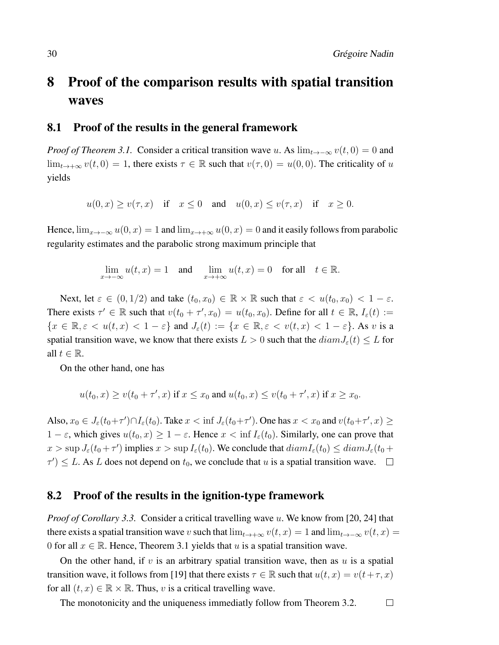# 8 Proof of the comparison results with spatial transition waves

### 8.1 Proof of the results in the general framework

*Proof of Theorem 3.1.* Consider a critical transition wave u. As  $\lim_{t\to-\infty} v(t,0) = 0$  and  $\lim_{t\to+\infty} v(t,0) = 1$ , there exists  $\tau \in \mathbb{R}$  such that  $v(\tau,0) = u(0,0)$ . The criticality of u yields

 $u(0, x) \ge v(\tau, x)$  if  $x \le 0$  and  $u(0, x) \le v(\tau, x)$  if  $x \ge 0$ .

Hence,  $\lim_{x\to-\infty} u(0, x) = 1$  and  $\lim_{x\to+\infty} u(0, x) = 0$  and it easily follows from parabolic regularity estimates and the parabolic strong maximum principle that

$$
\lim_{x \to -\infty} u(t, x) = 1 \quad \text{and} \quad \lim_{x \to +\infty} u(t, x) = 0 \quad \text{for all} \quad t \in \mathbb{R}.
$$

Next, let  $\varepsilon \in (0, 1/2)$  and take  $(t_0, x_0) \in \mathbb{R} \times \mathbb{R}$  such that  $\varepsilon < u(t_0, x_0) < 1 - \varepsilon$ . There exists  $\tau' \in \mathbb{R}$  such that  $v(t_0 + \tau', x_0) = u(t_0, x_0)$ . Define for all  $t \in \mathbb{R}$ ,  $I_{\varepsilon}(t) :=$  ${x \in \mathbb{R}, \varepsilon < u(t, x) < 1 - \varepsilon}$  and  $J_{\varepsilon}(t) := {x \in \mathbb{R}, \varepsilon < v(t, x) < 1 - \varepsilon}$ . As v is a spatial transition wave, we know that there exists  $L > 0$  such that the  $diam J_{\varepsilon}(t) \leq L$  for all  $t \in \mathbb{R}$ .

On the other hand, one has

$$
u(t_0, x) \ge v(t_0 + \tau', x)
$$
 if  $x \le x_0$  and  $u(t_0, x) \le v(t_0 + \tau', x)$  if  $x \ge x_0$ .

Also,  $x_0 \in J_\varepsilon(t_0 + \tau') \cap I_\varepsilon(t_0)$ . Take  $x < \inf J_\varepsilon(t_0 + \tau')$ . One has  $x < x_0$  and  $v(t_0 + \tau', x) \ge$  $1 - \varepsilon$ , which gives  $u(t_0, x) \geq 1 - \varepsilon$ . Hence  $x < \inf I_{\varepsilon}(t_0)$ . Similarly, one can prove that  $x > \sup J_\varepsilon(t_0 + \tau')$  implies  $x > \sup I_\varepsilon(t_0)$ . We conclude that  $diam I_\varepsilon(t_0) \leq diam J_\varepsilon(t_0 + \tau')$  $\tau'$ )  $\leq L$ . As L does not depend on  $t_0$ , we conclude that u is a spatial transition wave.

### 8.2 Proof of the results in the ignition-type framework

*Proof of Corollary 3.3.* Consider a critical travelling wave u. We know from [20, 24] that there exists a spatial transition wave v such that  $\lim_{t\to+\infty} v(t,x) = 1$  and  $\lim_{t\to-\infty} v(t,x) = 1$ 0 for all  $x \in \mathbb{R}$ . Hence, Theorem 3.1 yields that u is a spatial transition wave.

On the other hand, if v is an arbitrary spatial transition wave, then as  $u$  is a spatial transition wave, it follows from [19] that there exists  $\tau \in \mathbb{R}$  such that  $u(t, x) = v(t + \tau, x)$ for all  $(t, x) \in \mathbb{R} \times \mathbb{R}$ . Thus, v is a critical travelling wave.

The monotonicity and the uniqueness immediatly follow from Theorem 3.2. $\Box$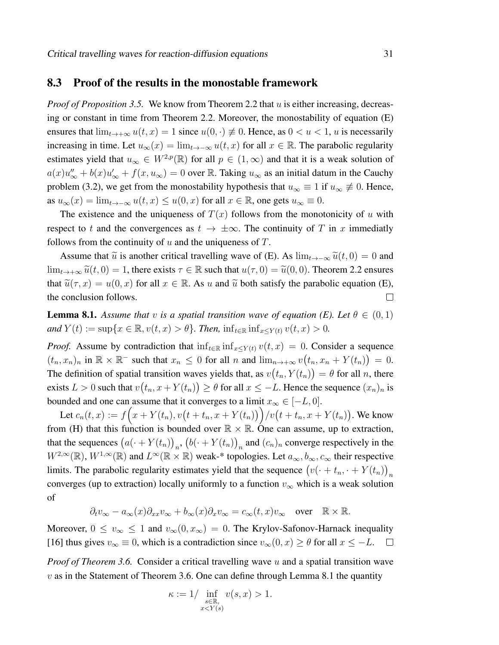### 8.3 Proof of the results in the monostable framework

*Proof of Proposition 3.5.* We know from Theorem 2.2 that u is either increasing, decreasing or constant in time from Theorem 2.2. Moreover, the monostability of equation (E) ensures that  $\lim_{t\to+\infty} u(t,x) = 1$  since  $u(0,\cdot) \neq 0$ . Hence, as  $0 < u < 1$ , u is necessarily increasing in time. Let  $u_{\infty}(x) = \lim_{t \to -\infty} u(t, x)$  for all  $x \in \mathbb{R}$ . The parabolic regularity estimates yield that  $u_{\infty} \in W^{2,p}(\mathbb{R})$  for all  $p \in (1,\infty)$  and that it is a weak solution of  $a(x)u''_{\infty} + b(x)u'_{\infty} + f(x, u_{\infty}) = 0$  over R. Taking  $u_{\infty}$  as an initial datum in the Cauchy problem (3.2), we get from the monostability hypothesis that  $u_{\infty} \equiv 1$  if  $u_{\infty} \not\equiv 0$ . Hence, as  $u_{\infty}(x) = \lim_{t \to -\infty} u(t, x) \leq u(0, x)$  for all  $x \in \mathbb{R}$ , one gets  $u_{\infty} \equiv 0$ .

The existence and the uniqueness of  $T(x)$  follows from the monotonicity of u with respect to t and the convergences as  $t \to \pm \infty$ . The continuity of T in x immediatly follows from the continuity of  $u$  and the uniqueness of  $T$ .

Assume that  $\tilde{u}$  is another critical travelling wave of (E). As  $\lim_{t\to-\infty} \tilde{u}(t, 0) = 0$  and  $\lim_{t\to+\infty} \tilde{u}(t,0) = 1$ , there exists  $\tau \in \mathbb{R}$  such that  $u(\tau,0) = \tilde{u}(0,0)$ . Theorem 2.2 ensures that  $\tilde{u}(\tau, x) = u(0, x)$  for all  $x \in \mathbb{R}$ . As u and  $\tilde{u}$  both satisfy the parabolic equation (E), the conclusion follows. the conclusion follows.

**Lemma 8.1.** *Assume that* v *is a spatial transition wave of equation (E). Let*  $\theta \in (0,1)$ *and*  $Y(t) := \sup\{x \in \mathbb{R}, v(t, x) > \theta\}$ *. Then,*  $\inf_{t \in \mathbb{R}} \inf_{x \le Y(t)} v(t, x) > 0$ *.* 

*Proof.* Assume by contradiction that  $\inf_{t \in \mathbb{R}} \inf_{x \le Y(t)} v(t, x) = 0$ . Consider a sequence  $(t_n, x_n)_n$  in  $\mathbb{R} \times \mathbb{R}^-$  such that  $x_n \leq 0$  for all n and  $\lim_{n \to +\infty} v(t_n, x_n + Y(t_n)) = 0$ . The definition of spatial transition waves yields that, as  $v(t_n, Y(t_n)) = \theta$  for all n, there exists  $L > 0$  such that  $v(t_n, x + Y(t_n)) \ge \theta$  for all  $x \le -L$ . Hence the sequence  $(x_n)_n$  is bounded and one can assume that it converges to a limit  $x_{\infty} \in [-L, 0]$ .

Let  $c_n(t, x) := f(x + Y(t_n), v(t + t_n, x + Y(t_n))) / v(t + t_n, x + Y(t_n)).$  We know from (H) that this function is bounded over  $\mathbb{R} \times \mathbb{R}$ . One can assume, up to extraction, that the sequences  $(a(\cdot + Y(t_n))_n, (b(\cdot + Y(t_n))_n)$  and  $(c_n)_n$  converge respectively in the  $W^{2,\infty}(\mathbb{R})$ ,  $W^{1,\infty}(\mathbb{R})$  and  $L^{\infty}(\mathbb{R} \times \mathbb{R})$  weak-\* topologies. Let  $a_{\infty}, b_{\infty}, c_{\infty}$  their respective limits. The parabolic regularity estimates yield that the sequence  $(v(\cdot + t_n, \cdot + Y(t_n))_n)$ converges (up to extraction) locally uniformly to a function  $v_{\infty}$  which is a weak solution of

$$
\partial_t v_\infty - a_\infty(x)\partial_{xx}v_\infty + b_\infty(x)\partial_x v_\infty = c_\infty(t,x)v_\infty \quad \text{over } \quad \mathbb{R} \times \mathbb{R}.
$$

Moreover,  $0 \le v_{\infty} \le 1$  and  $v_{\infty}(0, x_{\infty}) = 0$ . The Krylov-Safonov-Harnack inequality [16] thus gives  $v_{\infty} \equiv 0$ , which is a contradiction since  $v_{\infty}(0, x) \ge \theta$  for all  $x \le -L$ .  $\overline{\phantom{a}}$ 

*Proof of Theorem 3.6.* Consider a critical travelling wave u and a spatial transition wave  $v$  as in the Statement of Theorem 3.6. One can define through Lemma 8.1 the quantity

$$
\kappa := 1 / \inf_{\substack{s \in \mathbb{R}, \\ x < Y(s)}} v(s, x) > 1.
$$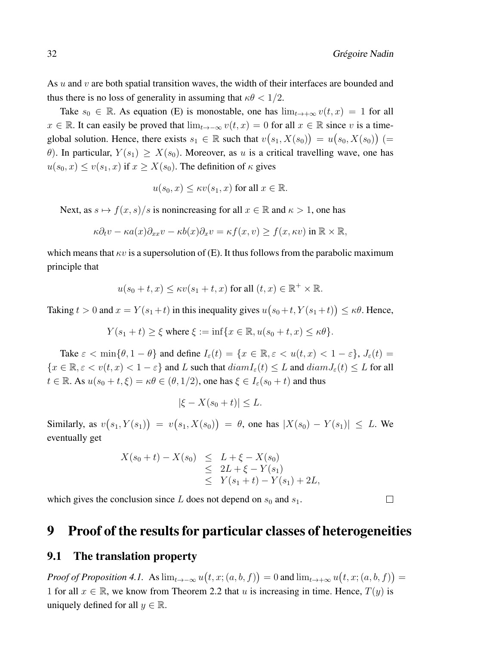$\Box$ 

As  $u$  and  $v$  are both spatial transition waves, the width of their interfaces are bounded and thus there is no loss of generality in assuming that  $\kappa\theta < 1/2$ .

Take  $s_0 \in \mathbb{R}$ . As equation (E) is monostable, one has  $\lim_{t \to +\infty} v(t, x) = 1$  for all  $x \in \mathbb{R}$ . It can easily be proved that  $\lim_{t \to -\infty} v(t, x) = 0$  for all  $x \in \mathbb{R}$  since v is a timeglobal solution. Hence, there exists  $s_1 \in \mathbb{R}$  such that  $v(s_1, X(s_0)) = u(s_0, X(s_0))$  (= θ). In particular,  $Y(s_1) \geq X(s_0)$ . Moreover, as u is a critical travelling wave, one has  $u(s_0, x) \le v(s_1, x)$  if  $x \ge X(s_0)$ . The definition of  $\kappa$  gives

$$
u(s_0, x) \leq \kappa v(s_1, x)
$$
 for all  $x \in \mathbb{R}$ .

Next, as  $s \mapsto f(x, s)/s$  is nonincreasing for all  $x \in \mathbb{R}$  and  $\kappa > 1$ , one has

$$
\kappa \partial_t v - \kappa a(x) \partial_{xx} v - \kappa b(x) \partial_x v = \kappa f(x, v) \ge f(x, \kappa v) \text{ in } \mathbb{R} \times \mathbb{R},
$$

which means that  $\kappa v$  is a supersolution of (E). It thus follows from the parabolic maximum principle that

$$
u(s_0 + t, x) \leq \kappa v(s_1 + t, x)
$$
 for all  $(t, x) \in \mathbb{R}^+ \times \mathbb{R}$ .

Taking  $t > 0$  and  $x = Y(s_1 + t)$  in this inequality gives  $u(s_0 + t, Y(s_1 + t)) \leq \kappa \theta$ . Hence,

$$
Y(s_1 + t) \ge \xi \text{ where } \xi := \inf \{ x \in \mathbb{R}, u(s_0 + t, x) \le \kappa \theta \}.
$$

Take  $\varepsilon < \min\{\theta, 1-\theta\}$  and define  $I_{\varepsilon}(t) = \{x \in \mathbb{R}, \varepsilon < u(t, x) < 1-\varepsilon\}, J_{\varepsilon}(t) =$  ${x \in \mathbb{R}, \varepsilon < v(t, x) < 1 - \varepsilon}$  and L such that  $diam I_{\varepsilon}(t) \leq L$  and  $diam J_{\varepsilon}(t) \leq L$  for all  $t \in \mathbb{R}$ . As  $u(s_0 + t, \xi) = \kappa \theta \in (\theta, 1/2)$ , one has  $\xi \in I_{\varepsilon}(s_0 + t)$  and thus

$$
|\xi - X(s_0 + t)| \le L.
$$

Similarly, as  $v(s_1, Y(s_1)) = v(s_1, X(s_0)) = \theta$ , one has  $|X(s_0) - Y(s_1)| \leq L$ . We eventually get

$$
X(s_0 + t) - X(s_0) \leq L + \xi - X(s_0)
$$
  
\n
$$
\leq 2L + \xi - Y(s_1)
$$
  
\n
$$
\leq Y(s_1 + t) - Y(s_1) + 2L,
$$

which gives the conclusion since L does not depend on  $s_0$  and  $s_1$ .

## 9 Proof of the results for particular classes of heterogeneities

### 9.1 The translation property

*Proof of Proposition 4.1.* As  $\lim_{t\to -\infty} u(t, x; (a, b, f)) = 0$  and  $\lim_{t\to +\infty} u(t, x; (a, b, f)) = 0$ 1 for all  $x \in \mathbb{R}$ , we know from Theorem 2.2 that u is increasing in time. Hence,  $T(y)$  is uniquely defined for all  $y \in \mathbb{R}$ .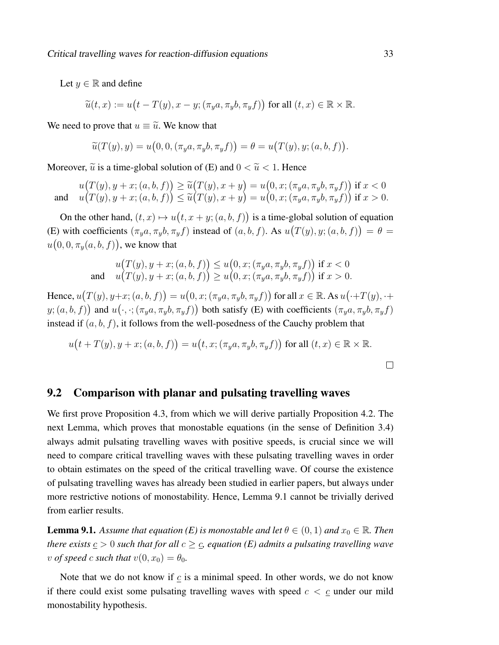Let  $y \in \mathbb{R}$  and define

 $\widetilde{u}(t,x) := u\big(t - T(y), x - y; (\pi_y a, \pi_y b, \pi_y f)\big)$  for all  $(t,x) \in \mathbb{R} \times \mathbb{R}$ .

We need to prove that  $u \equiv \tilde{u}$ . We know that

$$
\widetilde{u}(T(y),y) = u\big(0,0,(\pi_y a,\pi_y b,\pi_y f)\big) = \theta = u\big(T(y),y;(a,b,f)\big).
$$

Moreover,  $\tilde{u}$  is a time-global solution of (E) and  $0 < \tilde{u} < 1$ . Hence

 $u(T(y), y + x; (a, b, f)) \ge \tilde{u}(T(y), x + y) = u(0, x; (\pi_y a, \pi_y b, \pi_y f))$  if  $x < 0$ <br>  $u(T(x), y + x; (a, b, f)) \le \tilde{u}(T(y), x + y) = u(0, x; (\pi_y a, \pi_y b, \pi_y f))$  if  $x > 0$ and  $(T(y), y + x; (a, b, f)) \leq \tilde{u}(T(y), x + y) = u(0, x; (\pi_y a, \pi_y b, \pi_y f))$  if  $x > 0$ .

On the other hand,  $(t, x) \mapsto u(t, x + y; (a, b, f))$  is a time-global solution of equation (E) with coefficients  $(\pi_y a, \pi_y b, \pi_y f)$  instead of  $(a, b, f)$ . As  $u(T(y), y; (a, b, f)) = \theta =$  $u(0,0,\pi_y(a,b,f))$ , we know that

$$
u(T(y), y + x; (a, b, f)) \le u(0, x; (\pi_y a, \pi_y b, \pi_y f)) \text{ if } x < 0
$$
  
and 
$$
u(T(y), y + x; (a, b, f)) \ge u(0, x; (\pi_y a, \pi_y b, \pi_y f)) \text{ if } x > 0.
$$

Hence,  $u(T(y), y+x; (a, b, f)) = u(0, x; (\pi_y a, \pi_y b, \pi_y f))$  for all  $x \in \mathbb{R}$ . As  $u(\cdot + T(y), \cdot +$  $y$ ;  $(a, b, f)$  and  $u(\cdot, \cdot; (\pi_y a, \pi_y b, \pi_y f))$  both satisfy (E) with coefficients  $(\pi_y a, \pi_y b, \pi_y f)$ instead if  $(a, b, f)$ , it follows from the well-posedness of the Cauchy problem that

$$
u(t+T(y), y+x; (a, b, f)) = u(t, x; (\pi_y a, \pi_y b, \pi_y f))
$$
 for all  $(t, x) \in \mathbb{R} \times \mathbb{R}$ .

 $\Box$ 

### 9.2 Comparison with planar and pulsating travelling waves

We first prove Proposition 4.3, from which we will derive partially Proposition 4.2. The next Lemma, which proves that monostable equations (in the sense of Definition 3.4) always admit pulsating travelling waves with positive speeds, is crucial since we will need to compare critical travelling waves with these pulsating travelling waves in order to obtain estimates on the speed of the critical travelling wave. Of course the existence of pulsating travelling waves has already been studied in earlier papers, but always under more restrictive notions of monostability. Hence, Lemma 9.1 cannot be trivially derived from earlier results.

**Lemma 9.1.** *Assume that equation (E) is monostable and let*  $\theta \in (0, 1)$  *and*  $x_0 \in \mathbb{R}$ *. Then there exists*  $c > 0$  *such that for all*  $c \geq c$ , *equation* (*E*) *admits a pulsating travelling wave v of speed c such that*  $v(0, x_0) = \theta_0$ .

Note that we do not know if  $c$  is a minimal speed. In other words, we do not know if there could exist some pulsating travelling waves with speed  $c < c$  under our mild monostability hypothesis.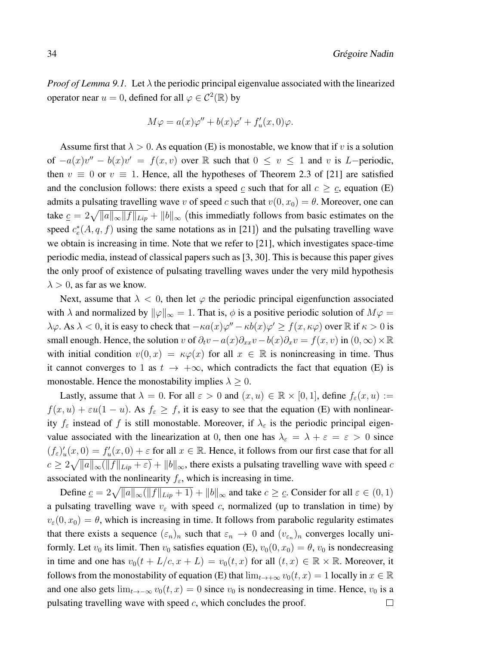*Proof of Lemma 9.1.* Let  $\lambda$  the periodic principal eigenvalue associated with the linearized operator near  $u = 0$ , defined for all  $\varphi \in C^2(\mathbb{R})$  by

$$
M\varphi = a(x)\varphi'' + b(x)\varphi' + f'_u(x,0)\varphi.
$$

Assume first that  $\lambda > 0$ . As equation (E) is monostable, we know that if v is a solution of  $-a(x)v'' - b(x)v' = f(x, v)$  over R such that  $0 \le v \le 1$  and v is L-periodic, then  $v \equiv 0$  or  $v \equiv 1$ . Hence, all the hypotheses of Theorem 2.3 of [21] are satisfied and the conclusion follows: there exists a speed  $\mathfrak c$  such that for all  $c \geq \mathfrak c$ , equation (E) admits a pulsating travelling wave v of speed c such that  $v(0, x_0) = \theta$ . Moreover, one can take  $c = 2\sqrt{\|a\|_{\infty}\|f\|_{Lip}} + \|b\|_{\infty}$  (this immediatly follows from basic estimates on the speed  $c_e^*(A, q, f)$  using the same notations as in [21]) and the pulsating travelling wave we obtain is increasing in time. Note that we refer to [21], which investigates space-time periodic media, instead of classical papers such as [3, 30]. This is because this paper gives the only proof of existence of pulsating travelling waves under the very mild hypothesis  $\lambda > 0$ , as far as we know.

Next, assume that  $\lambda < 0$ , then let  $\varphi$  the periodic principal eigenfunction associated with  $\lambda$  and normalized by  $\|\varphi\|_{\infty} = 1$ . That is,  $\phi$  is a positive periodic solution of  $M\varphi =$  $\lambda\varphi$ . As  $\lambda < 0$ , it is easy to check that  $-\kappa a(x)\varphi'' - \kappa b(x)\varphi' \ge f(x, \kappa\varphi)$  over  $\mathbb R$  if  $\kappa > 0$  is small enough. Hence, the solution v of  $\partial_t v - a(x)\partial_{xx}v - b(x)\partial_x v = f(x, v)$  in  $(0, \infty) \times \mathbb{R}$ with initial condition  $v(0, x) = \kappa \varphi(x)$  for all  $x \in \mathbb{R}$  is nonincreasing in time. Thus it cannot converges to 1 as  $t \to +\infty$ , which contradicts the fact that equation (E) is monostable. Hence the monostability implies  $\lambda \geq 0$ .

Lastly, assume that  $\lambda = 0$ . For all  $\varepsilon > 0$  and  $(x, u) \in \mathbb{R} \times [0, 1]$ , define  $f_{\varepsilon}(x, u) :=$  $f(x, u) + \varepsilon u(1 - u)$ . As  $f_{\varepsilon} \geq f$ , it is easy to see that the equation (E) with nonlinearity  $f_{\varepsilon}$  instead of f is still monostable. Moreover, if  $\lambda_{\varepsilon}$  is the periodic principal eigenvalue associated with the linearization at 0, then one has  $\lambda_{\varepsilon} = \lambda + \varepsilon = \varepsilon > 0$  since  $(f_{\varepsilon})'_u(x,0) = f'_u(x,0) + \varepsilon$  for all  $x \in \mathbb{R}$ . Hence, it follows from our first case that for all  $c \geq 2\sqrt{\|a\|_{\infty}(\|f\|_{Lip} + \varepsilon)} + \|b\|_{\infty}$ , there exists a pulsating travelling wave with speed c associated with the nonlinearity  $f_{\varepsilon}$ , which is increasing in time.

Define  $c = 2\sqrt{\|a\|_{\infty}(\|f\|_{Lip} + 1)} + \|b\|_{\infty}$  and take  $c \geq c$ . Consider for all  $\varepsilon \in (0, 1)$ a pulsating travelling wave  $v_{\varepsilon}$  with speed c, normalized (up to translation in time) by  $v_{\varepsilon}(0, x_0) = \theta$ , which is increasing in time. It follows from parabolic regularity estimates that there exists a sequence  $(\epsilon_n)_n$  such that  $\epsilon_n \to 0$  and  $(v_{\epsilon_n})_n$  converges locally uniformly. Let  $v_0$  its limit. Then  $v_0$  satisfies equation (E),  $v_0(0, x_0) = \theta$ ,  $v_0$  is nondecreasing in time and one has  $v_0(t + L/c, x + L) = v_0(t, x)$  for all  $(t, x) \in \mathbb{R} \times \mathbb{R}$ . Moreover, it follows from the monostability of equation (E) that  $\lim_{t\to+\infty} v_0(t,x) = 1$  locally in  $x \in \mathbb{R}$ and one also gets lim<sub>t→−∞</sub>  $v_0(t, x) = 0$  since  $v_0$  is nondecreasing in time. Hence,  $v_0$  is a pulsating travelling wave with speed  $c$ , which concludes the proof.  $\Box$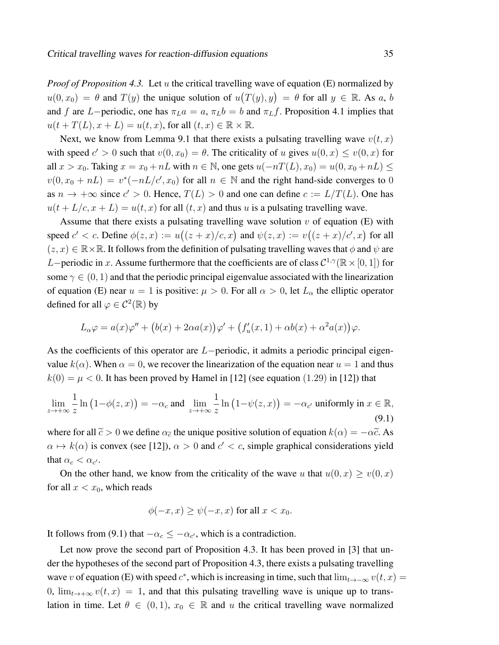*Proof of Proposition 4.3.* Let u the critical travelling wave of equation (E) normalized by  $u(0, x_0) = \theta$  and  $T(y)$  the unique solution of  $u(T(y), y) = \theta$  for all  $y \in \mathbb{R}$ . As a, b and f are L−periodic, one has  $\pi_L a = a$ ,  $\pi_L b = b$  and  $\pi_L f$ . Proposition 4.1 implies that  $u(t + T(L), x + L) = u(t, x)$ , for all  $(t, x) \in \mathbb{R} \times \mathbb{R}$ .

Next, we know from Lemma 9.1 that there exists a pulsating travelling wave  $v(t, x)$ with speed  $c' > 0$  such that  $v(0, x_0) = \theta$ . The criticality of u gives  $u(0, x) \le v(0, x)$  for all  $x > x_0$ . Taking  $x = x_0 + nL$  with  $n \in \mathbb{N}$ , one gets  $u(-nT(L), x_0) = u(0, x_0 + nL) \le$  $v(0, x_0 + nL) = v^*(-nL/c', x_0)$  for all  $n \in \mathbb{N}$  and the right hand-side converges to 0 as  $n \to +\infty$  since  $c' > 0$ . Hence,  $T(L) > 0$  and one can define  $c := L/T(L)$ . One has  $u(t + L/c, x + L) = u(t, x)$  for all  $(t, x)$  and thus u is a pulsating travelling wave.

Assume that there exists a pulsating travelling wave solution  $v$  of equation (E) with speed  $c' < c$ . Define  $\phi(z, x) := u((z + x)/c, x)$  and  $\psi(z, x) := v((z + x)/c', x)$  for all  $(z, x) \in \mathbb{R} \times \mathbb{R}$ . It follows from the definition of pulsating travelling waves that  $\phi$  and  $\psi$  are L–periodic in x. Assume furthermore that the coefficients are of class  $\mathcal{C}^{1,\gamma}(\mathbb{R} \times [0,1])$  for some  $\gamma \in (0, 1)$  and that the periodic principal eigenvalue associated with the linearization of equation (E) near  $u = 1$  is positive:  $\mu > 0$ . For all  $\alpha > 0$ , let  $L_{\alpha}$  the elliptic operator defined for all  $\varphi \in C^2(\mathbb{R})$  by

$$
L_{\alpha}\varphi = a(x)\varphi'' + (b(x) + 2\alpha a(x))\varphi' + (f_u'(x, 1) + \alpha b(x) + \alpha^2 a(x))\varphi.
$$

As the coefficients of this operator are L−periodic, it admits a periodic principal eigenvalue  $k(\alpha)$ . When  $\alpha = 0$ , we recover the linearization of the equation near  $u = 1$  and thus  $k(0) = \mu < 0$ . It has been proved by Hamel in [12] (see equation (1.29) in [12]) that

$$
\lim_{z \to +\infty} \frac{1}{z} \ln \left( 1 - \phi(z, x) \right) = -\alpha_c \text{ and } \lim_{z \to +\infty} \frac{1}{z} \ln \left( 1 - \psi(z, x) \right) = -\alpha_{c'} \text{ uniformly in } x \in \mathbb{R},\tag{9.1}
$$

where for all  $\tilde{c} > 0$  we define  $\alpha_{\tilde{c}}$  the unique positive solution of equation  $k(\alpha) = -\alpha \tilde{c}$ . As  $\alpha \mapsto k(\alpha)$  is convex (see [12]),  $\alpha > 0$  and  $c' < c$ , simple graphical considerations yield that  $\alpha_c < \alpha_{c'}$ .

On the other hand, we know from the criticality of the wave u that  $u(0, x) \ge v(0, x)$ for all  $x < x_0$ , which reads

$$
\phi(-x, x) \ge \psi(-x, x) \text{ for all } x < x_0.
$$

It follows from (9.1) that  $-\alpha_c \leq -\alpha_{c'}$ , which is a contradiction.

Let now prove the second part of Proposition 4.3. It has been proved in [3] that under the hypotheses of the second part of Proposition 4.3, there exists a pulsating travelling wave v of equation (E) with speed  $c^*$ , which is increasing in time, such that  $\lim_{t\to-\infty} v(t,x) =$ 0,  $\lim_{t\to+\infty} v(t, x) = 1$ , and that this pulsating travelling wave is unique up to translation in time. Let  $\theta \in (0, 1)$ ,  $x_0 \in \mathbb{R}$  and u the critical travelling wave normalized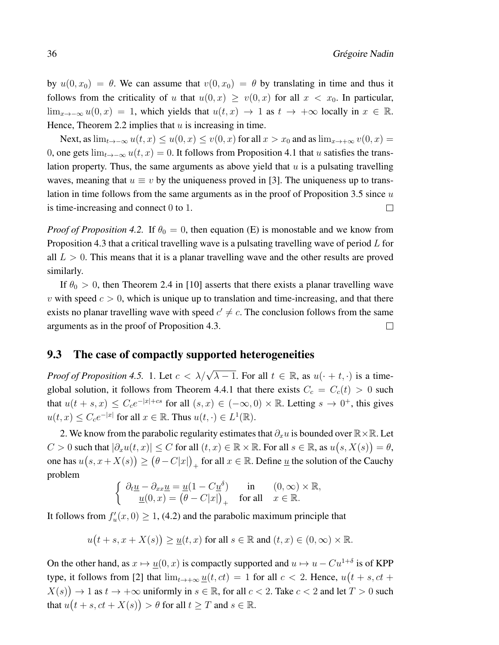by  $u(0, x_0) = \theta$ . We can assume that  $v(0, x_0) = \theta$  by translating in time and thus it follows from the criticality of u that  $u(0, x) \ge v(0, x)$  for all  $x < x_0$ . In particular,  $\lim_{x\to-\infty} u(0, x) = 1$ , which yields that  $u(t, x) \to 1$  as  $t \to +\infty$  locally in  $x \in \mathbb{R}$ . Hence, Theorem 2.2 implies that  $u$  is increasing in time.

Next, as  $\lim_{t\to-\infty}u(t,x)\leq u(0,x)\leq v(0,x)$  for all  $x>x_0$  and as  $\lim_{x\to+\infty}v(0,x)=$ 0, one gets  $\lim_{t\to-\infty} u(t, x) = 0$ . It follows from Proposition 4.1 that u satisfies the translation property. Thus, the same arguments as above yield that  $u$  is a pulsating travelling waves, meaning that  $u \equiv v$  by the uniqueness proved in [3]. The uniqueness up to translation in time follows from the same arguments as in the proof of Proposition 3.5 since  $u$ is time-increasing and connect 0 to 1.  $\Box$ 

*Proof of Proposition 4.2.* If  $\theta_0 = 0$ , then equation (E) is monostable and we know from Proposition 4.3 that a critical travelling wave is a pulsating travelling wave of period L for all  $L > 0$ . This means that it is a planar travelling wave and the other results are proved similarly.

If  $\theta_0 > 0$ , then Theorem 2.4 in [10] asserts that there exists a planar travelling wave v with speed  $c > 0$ , which is unique up to translation and time-increasing, and that there exists no planar travelling wave with speed  $c' \neq c$ . The conclusion follows from the same arguments as in the proof of Proposition 4.3.  $\Box$ 

### 9.3 The case of compactly supported heterogeneities

*Proof of Proposition 4.5.* 1. Let  $c < \lambda/\sqrt{\lambda - 1}$ . For all  $t \in \mathbb{R}$ , as  $u(\cdot + t, \cdot)$  is a timeglobal solution, it follows from Theorem 4.4.1 that there exists  $C_c = C_c(t) > 0$  such that  $u(t+s,x) \leq C_c e^{-|x|+cs}$  for all  $(s,x) \in (-\infty,0) \times \mathbb{R}$ . Letting  $s \to 0^+$ , this gives  $u(t, x) \leq C_c e^{-|x|}$  for all  $x \in \mathbb{R}$ . Thus  $u(t, \cdot) \in L^1(\mathbb{R})$ .

2. We know from the parabolic regularity estimates that  $\partial_x u$  is bounded over  $\mathbb{R} \times \mathbb{R}$ . Let  $C > 0$  such that  $|\partial_x u(t, x)| \le C$  for all  $(t, x) \in \mathbb{R} \times \mathbb{R}$ . For all  $s \in \mathbb{R}$ , as  $u(s, X(s)) = \theta$ , one has  $u(s,x+X(s))\geq \big(\theta-C|x|\big)_+$  for all  $x\in \mathbb{R}.$  Define  $\underline{u}$  the solution of the Cauchy problem

$$
\left\{\begin{array}{ll} \partial_t \underline{u}-\partial_{xx}\underline{u}=\underline{u}(1-C\underline{u}^\delta) & \text{in} & (0,\infty)\times\mathbb{R},\\ \underline{u}(0,x)=\left(\theta-C|x|\right)_+ & \text{for all} & x\in\mathbb{R}. \end{array}\right.
$$

It follows from  $f'_u(x, 0) \ge 1$ , (4.2) and the parabolic maximum principle that

$$
u(t+s, x+X(s)) \ge \underline{u}(t, x) \text{ for all } s \in \mathbb{R} \text{ and } (t, x) \in (0, \infty) \times \mathbb{R}.
$$

On the other hand, as  $x \mapsto \underline{u}(0, x)$  is compactly supported and  $u \mapsto u - Cu^{1+\delta}$  is of KPP type, it follows from [2] that  $\lim_{t\to+\infty} u(t,ct) = 1$  for all  $c < 2$ . Hence,  $u(t + s, ct +$  $X(s)$   $\rightarrow$  1 as  $t \rightarrow +\infty$  uniformly in  $s \in \mathbb{R}$ , for all  $c < 2$ . Take  $c < 2$  and let  $T > 0$  such that  $u(t+s, ct+X(s)) > \theta$  for all  $t \geq T$  and  $s \in \mathbb{R}$ .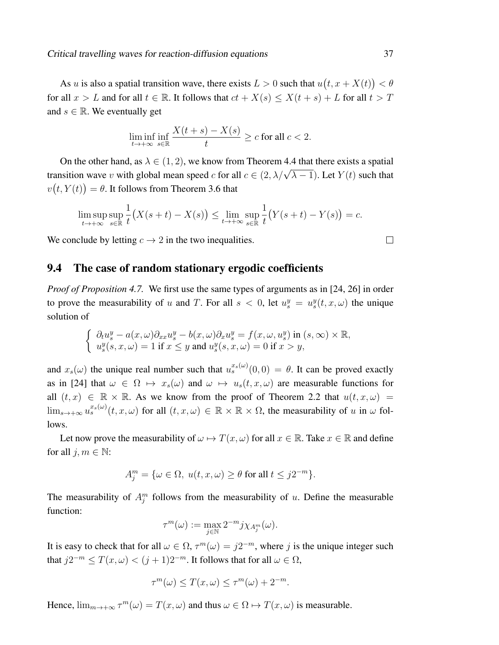As u is also a spatial transition wave, there exists  $L > 0$  such that  $u(t, x + X(t)) < \theta$ for all  $x > L$  and for all  $t \in \mathbb{R}$ . It follows that  $ct + X(s) \le X(t + s) + L$  for all  $t > T$ and  $s \in \mathbb{R}$ . We eventually get

$$
\liminf_{t \to +\infty} \inf_{s \in \mathbb{R}} \frac{X(t+s) - X(s)}{t} \ge c \text{ for all } c < 2.
$$

On the other hand, as  $\lambda \in (1, 2)$ , we know from Theorem 4.4 that there exists a spatial transition wave v with global mean speed c for all  $c \in (2, \lambda/\sqrt{\lambda - 1})$ . Let  $Y(t)$  such that  $v(t,Y(t)) = \theta$ . It follows from Theorem 3.6 that

$$
\limsup_{t \to +\infty} \sup_{s \in \mathbb{R}} \frac{1}{t} \big(X(s+t) - X(s)\big) \le \lim_{t \to +\infty} \sup_{s \in \mathbb{R}} \frac{1}{t} \big(Y(s+t) - Y(s)\big) = c.
$$

We conclude by letting  $c \to 2$  in the two inequalities.

### 9.4 The case of random stationary ergodic coefficients

*Proof of Proposition 4.7.* We first use the same types of arguments as in [24, 26] in order to prove the measurability of u and T. For all  $s < 0$ , let  $u_s^y = u_s^y(t, x, \omega)$  the unique solution of

$$
\label{eq:2.1} \left\{ \begin{array}{l} \partial_t u^y_s - a(x,\omega) \partial_{xx} u^y_s - b(x,\omega) \partial_x u^y_s = f(x,\omega,u^y_s) \text{ in } (s,\infty) \times \mathbb{R},\\ u^y_s(s,x,\omega) = 1 \text{ if } x \leq y \text{ and } u^y_s(s,x,\omega) = 0 \text{ if } x > y, \end{array} \right.
$$

and  $x_s(\omega)$  the unique real number such that  $u_s^{x_s(\omega)}(0,0) = \theta$ . It can be proved exactly as in [24] that  $\omega \in \Omega \mapsto x_s(\omega)$  and  $\omega \mapsto u_s(t, x, \omega)$  are measurable functions for all  $(t, x) \in \mathbb{R} \times \mathbb{R}$ . As we know from the proof of Theorem 2.2 that  $u(t, x, \omega)$  $\lim_{s\to+\infty}u_s^{x_s(\omega)}(t,x,\omega)$  for all  $(t,x,\omega)\in\mathbb{R}\times\mathbb{R}\times\Omega$ , the measurability of u in  $\omega$  follows.

Let now prove the measurability of  $\omega \mapsto T(x, \omega)$  for all  $x \in \mathbb{R}$ . Take  $x \in \mathbb{R}$  and define for all  $j, m \in \mathbb{N}$ :

$$
A_j^m = \{ \omega \in \Omega, \ u(t, x, \omega) \ge \theta \text{ for all } t \le j2^{-m} \}.
$$

The measurability of  $A_j^m$  follows from the measurability of u. Define the measurable function:

$$
\tau^m(\omega) := \max_{j \in \mathbb{N}} 2^{-m} j \chi_{A_j^m}(\omega).
$$

It is easy to check that for all  $\omega \in \Omega$ ,  $\tau^m(\omega) = j2^{-m}$ , where j is the unique integer such that  $j2^{-m} \leq T(x,\omega) < (j+1)2^{-m}$ . It follows that for all  $\omega \in \Omega$ ,

$$
\tau^m(\omega) \le T(x,\omega) \le \tau^m(\omega) + 2^{-m}.
$$

Hence,  $\lim_{m\to+\infty} \tau^m(\omega) = T(x,\omega)$  and thus  $\omega \in \Omega \mapsto T(x,\omega)$  is measurable.

 $\Box$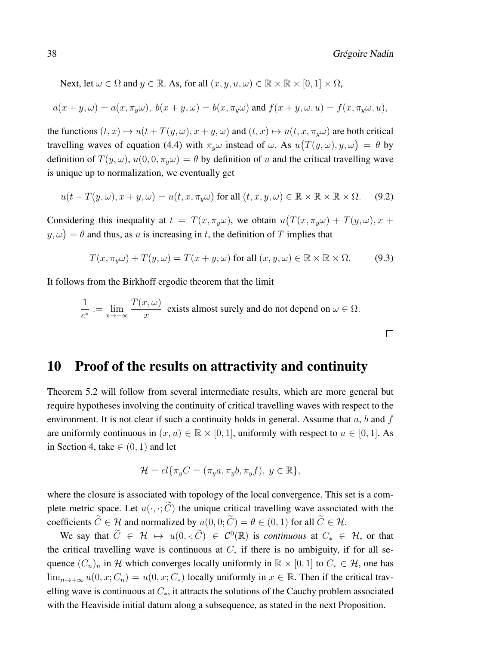Next, let  $\omega \in \Omega$  and  $y \in \mathbb{R}$ . As, for all  $(x, y, u, \omega) \in \mathbb{R} \times \mathbb{R} \times [0, 1] \times \Omega$ ,

$$
a(x + y, \omega) = a(x, \pi_y \omega), b(x + y, \omega) = b(x, \pi_y \omega)
$$
 and  $f(x + y, \omega, u) = f(x, \pi_y \omega, u)$ ,

the functions  $(t, x) \mapsto u(t + T(y, \omega), x + y, \omega)$  and  $(t, x) \mapsto u(t, x, \pi_y \omega)$  are both critical travelling waves of equation (4.4) with  $\pi_y \omega$  instead of  $\omega$ . As  $u(T(y, \omega), y, \omega) = \theta$  by definition of  $T(y, \omega)$ ,  $u(0, 0, \pi_{y}\omega) = \theta$  by definition of u and the critical travelling wave is unique up to normalization, we eventually get

$$
u(t + T(y, \omega), x + y, \omega) = u(t, x, \pi_y \omega) \text{ for all } (t, x, y, \omega) \in \mathbb{R} \times \mathbb{R} \times \mathbb{R} \times \Omega. \tag{9.2}
$$

Considering this inequality at  $t = T(x, \pi_y \omega)$ , we obtain  $u(T(x, \pi_y \omega) + T(y, \omega), x + \omega)$  $(y, \omega) = \theta$  and thus, as u is increasing in t, the definition of T implies that

$$
T(x, \pi_y \omega) + T(y, \omega) = T(x + y, \omega) \text{ for all } (x, y, \omega) \in \mathbb{R} \times \mathbb{R} \times \Omega. \tag{9.3}
$$

It follows from the Birkhoff ergodic theorem that the limit

$$
\frac{1}{c^*} := \lim_{x \to +\infty} \frac{T(x,\omega)}{x}
$$
 exists almost surely and do not depend on  $\omega \in \Omega$ .

10 Proof of the results on attractivity and continuity

Theorem 5.2 will follow from several intermediate results, which are more general but require hypotheses involving the continuity of critical travelling waves with respect to the environment. It is not clear if such a continuity holds in general. Assume that  $a, b$  and f are uniformly continuous in  $(x, u) \in \mathbb{R} \times [0, 1]$ , uniformly with respect to  $u \in [0, 1]$ . As in Section 4, take  $\in (0, 1)$  and let

$$
\mathcal{H} = cl\{\pi_y C = (\pi_y a, \pi_y b, \pi_y f), y \in \mathbb{R}\},\
$$

where the closure is associated with topology of the local convergence. This set is a complete metric space. Let  $u(\cdot, \cdot; \widetilde{C})$  the unique critical travelling wave associated with the coefficients  $\widetilde{C} \in \mathcal{H}$  and normalized by  $u(0, 0; \widetilde{C}) = \theta \in (0, 1)$  for all  $\widetilde{C} \in \mathcal{H}$ .

We say that  $\widetilde{C} \in \mathcal{H} \mapsto u(0, \cdot; \widetilde{C}) \in C^0(\mathbb{R})$  is *continuous* at  $C_* \in \mathcal{H}$ , or that the critical travelling wave is continuous at  $C_*$  if there is no ambiguity, if for all sequence  $(C_n)_n$  in H which converges locally uniformly in  $\mathbb{R} \times [0, 1]$  to  $C_* \in \mathcal{H}$ , one has  $\lim_{n\to+\infty} u(0, x; C_n) = u(0, x; C_*)$  locally uniformly in  $x \in \mathbb{R}$ . Then if the critical travelling wave is continuous at  $C_*,$  it attracts the solutions of the Cauchy problem associated with the Heaviside initial datum along a subsequence, as stated in the next Proposition.

 $\Box$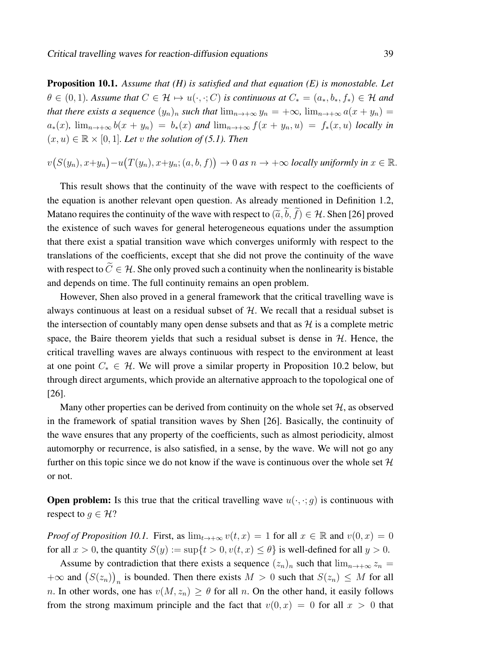Proposition 10.1. *Assume that (H) is satisfied and that equation (E) is monostable. Let*  $\theta \in (0, 1)$ *. Assume that*  $C \in \mathcal{H} \mapsto u(\cdot, \cdot; C)$  *is continuous at*  $C_* = (a_*, b_*, f_*) \in \mathcal{H}$  *and that there exists a sequence*  $(y_n)_n$  *such that*  $\lim_{n\to+\infty} y_n = +\infty$ ,  $\lim_{n\to+\infty} a(x+y_n) =$  $a_*(x)$ ,  $\lim_{n\to+\infty} b(x+y_n) = b_*(x)$  and  $\lim_{n\to+\infty} f(x+y_n, u) = f_*(x, u)$  *locally in*  $(x, u) \in \mathbb{R} \times [0, 1]$ *. Let* v the solution of (5.1). Then

 $v(S(y_n), x+y_n) - u(T(y_n), x+y_n; (a, b, f)) \to 0$  as  $n \to +\infty$  locally uniformly in  $x \in \mathbb{R}$ .

This result shows that the continuity of the wave with respect to the coefficients of the equation is another relevant open question. As already mentioned in Definition 1.2, Matano requires the continuity of the wave with respect to  $(\tilde{a}, \tilde{b}, \tilde{f}) \in \mathcal{H}$ . Shen [26] proved the existence of such waves for general heterogeneous equations under the assumption that there exist a spatial transition wave which converges uniformly with respect to the translations of the coefficients, except that she did not prove the continuity of the wave with respect to  $\tilde{C} \in \mathcal{H}$ . She only proved such a continuity when the nonlinearity is bistable and depends on time. The full continuity remains an open problem.

However, Shen also proved in a general framework that the critical travelling wave is always continuous at least on a residual subset of  $H$ . We recall that a residual subset is the intersection of countably many open dense subsets and that as  $\mathcal{H}$  is a complete metric space, the Baire theorem yields that such a residual subset is dense in  $H$ . Hence, the critical travelling waves are always continuous with respect to the environment at least at one point  $C_* \in \mathcal{H}$ . We will prove a similar property in Proposition 10.2 below, but through direct arguments, which provide an alternative approach to the topological one of [26].

Many other properties can be derived from continuity on the whole set  $H$ , as observed in the framework of spatial transition waves by Shen [26]. Basically, the continuity of the wave ensures that any property of the coefficients, such as almost periodicity, almost automorphy or recurrence, is also satisfied, in a sense, by the wave. We will not go any further on this topic since we do not know if the wave is continuous over the whole set  $H$ or not.

**Open problem:** Is this true that the critical travelling wave  $u(\cdot, \cdot; g)$  is continuous with respect to  $g \in \mathcal{H}$ ?

*Proof of Proposition 10.1.* First, as  $\lim_{t\to+\infty} v(t,x) = 1$  for all  $x \in \mathbb{R}$  and  $v(0,x) = 0$ for all  $x > 0$ , the quantity  $S(y) := \sup\{t > 0, v(t, x) \le \theta\}$  is well-defined for all  $y > 0$ .

Assume by contradiction that there exists a sequence  $(z_n)_n$  such that  $\lim_{n\to+\infty} z_n =$  $+\infty$  and  $(S(z_n))_n$  is bounded. Then there exists  $M > 0$  such that  $S(z_n) \leq M$  for all n. In other words, one has  $v(M, z_n) \ge \theta$  for all n. On the other hand, it easily follows from the strong maximum principle and the fact that  $v(0, x) = 0$  for all  $x > 0$  that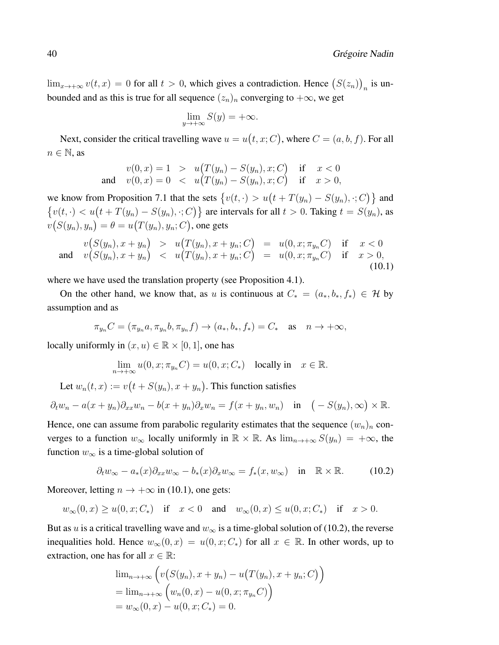$\lim_{x \to +\infty} v(t, x) = 0$  for all  $t > 0$ , which gives a contradiction. Hence  $(S(z_n))_n$  is unbounded and as this is true for all sequence  $(z_n)_n$  converging to  $+\infty$ , we get

$$
\lim_{y \to +\infty} S(y) = +\infty.
$$

Next, consider the critical travelling wave  $u = u(t, x; C)$ , where  $C = (a, b, f)$ . For all  $n \in \mathbb{N}$ , as

$$
v(0, x) = 1 > u(T(y_n) - S(y_n), x; C) \text{ if } x < 0
$$
  
and 
$$
v(0, x) = 0 < u(T(y_n) - S(y_n), x; C) \text{ if } x > 0,
$$

we know from Proposition 7.1 that the sets  $\{v(t, \cdot) > u(t + T(y_n) - S(y_n), \cdot; C)\}\$  and  $\{v(t, \cdot) < u(t + T(y_n) - S(y_n), \cdot; C)\}$  are intervals for all  $t > 0$ . Taking  $t = S(y_n)$ , as  $v(S(y_n), y_n) = \theta = u\big(T(y_n), y_n; C\big)$ , one gets

$$
v(S(y_n), x + y_n) > u(T(y_n), x + y_n; C) = u(0, x; \pi_{y_n}C) \text{ if } x < 0
$$
  
and 
$$
v(S(y_n), x + y_n) < u(T(y_n), x + y_n; C) = u(0, x; \pi_{y_n}C) \text{ if } x > 0,
$$
  
(10.1)

where we have used the translation property (see Proposition 4.1).

On the other hand, we know that, as u is continuous at  $C_* = (a_*, b_*, f_*) \in \mathcal{H}$  by assumption and as

$$
\pi_{y_n}C = (\pi_{y_n}a, \pi_{y_n}b, \pi_{y_n}f) \to (a_*, b_*, f_*) = C_* \quad \text{as} \quad n \to +\infty,
$$

locally uniformly in  $(x, u) \in \mathbb{R} \times [0, 1]$ , one has

$$
\lim_{n \to +\infty} u(0, x; \pi_{y_n}C) = u(0, x; C_*) \quad \text{locally in} \quad x \in \mathbb{R}.
$$

Let  $w_n(t, x) := v(t + S(y_n), x + y_n)$ . This function satisfies

$$
\partial_t w_n - a(x + y_n) \partial_{xx} w_n - b(x + y_n) \partial_x w_n = f(x + y_n, w_n) \quad \text{in} \quad (-S(y_n), \infty) \times \mathbb{R}.
$$

Hence, one can assume from parabolic regularity estimates that the sequence  $(w_n)_n$  converges to a function  $w_{\infty}$  locally uniformly in  $\mathbb{R} \times \mathbb{R}$ . As  $\lim_{n \to +\infty} S(y_n) = +\infty$ , the function  $w_{\infty}$  is a time-global solution of

$$
\partial_t w_{\infty} - a_*(x) \partial_{xx} w_{\infty} - b_*(x) \partial_x w_{\infty} = f_*(x, w_{\infty}) \quad \text{in} \quad \mathbb{R} \times \mathbb{R}.
$$
 (10.2)

Moreover, letting  $n \to +\infty$  in (10.1), one gets:

$$
w_{\infty}(0, x) \ge u(0, x; C_*)
$$
 if  $x < 0$  and  $w_{\infty}(0, x) \le u(0, x; C_*)$  if  $x > 0$ .

But as u is a critical travelling wave and  $w_{\infty}$  is a time-global solution of (10.2), the reverse inequalities hold. Hence  $w_{\infty}(0, x) = u(0, x; C_*)$  for all  $x \in \mathbb{R}$ . In other words, up to extraction, one has for all  $x \in \mathbb{R}$ :

$$
\lim_{n \to +\infty} \left( v(S(y_n), x + y_n) - u(T(y_n), x + y_n; C) \right)
$$
  
= 
$$
\lim_{n \to +\infty} \left( w_n(0, x) - u(0, x; \pi_{y_n} C) \right)
$$
  
= 
$$
w_{\infty}(0, x) - u(0, x; C_*) = 0.
$$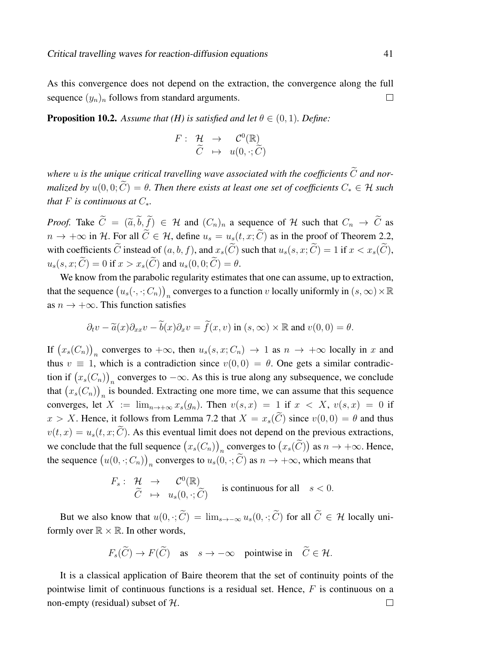As this convergence does not depend on the extraction, the convergence along the full sequence  $(y_n)_n$  follows from standard arguments.  $\Box$ 

**Proposition 10.2.** Assume that (H) is satisfied and let  $\theta \in (0, 1)$ . Define:

$$
F: \begin{array}{ccc} H & \to & \mathcal{C}^0(\mathbb{R}) \\ \widetilde{C} & \mapsto & u(0, \cdot; \widetilde{C}) \end{array}
$$

where  $u$  is the unique critical travelling wave associated with the coefficients  $\widetilde{C}$  and nor*malized by*  $u(0, 0; \tilde{C}) = \theta$ . Then there exists at least one set of coefficients  $C_* \in \mathcal{H}$  such *that*  $F$  *is continuous at*  $C_*$ .

*Proof.* Take  $\widetilde{C} = (\widetilde{a}, \widetilde{b}, \widetilde{f}) \in \mathcal{H}$  and  $(C_n)_n$  a sequence of H such that  $C_n \to \widetilde{C}$  as  $n \to +\infty$  in H. For all  $\tilde{C} \in \mathcal{H}$ , define  $u_s = u_s(t, x; \tilde{C})$  as in the proof of Theorem 2.2, with coefficients  $\widetilde{C}$  instead of  $(a, b, f)$ , and  $x_s(\widetilde{C})$  such that  $u_s(s, x; \widetilde{C}) = 1$  if  $x < x_s(\widetilde{C})$ ,  $u_s(s, x; \widetilde{C}) = 0$  if  $x > x_s(\widetilde{C})$  and  $u_s(0, 0; \widetilde{C}) = \theta$ .

We know from the parabolic regularity estimates that one can assume, up to extraction, that the sequence  $(u_s(\cdot,\cdot;C_n))_n$  converges to a function v locally uniformly in  $(s,\infty)\times\mathbb{R}$ as  $n \to +\infty$ . This function satisfies

$$
\partial_t v - \tilde{a}(x)\partial_{xx}v - \tilde{b}(x)\partial_x v = \tilde{f}(x,v)
$$
 in  $(s,\infty) \times \mathbb{R}$  and  $v(0,0) = \theta$ .

If  $(x_s(C_n))_n$  converges to  $+\infty$ , then  $u_s(s, x; C_n) \to 1$  as  $n \to +\infty$  locally in x and thus  $v \equiv 1$ , which is a contradiction since  $v(0, 0) = \theta$ . One gets a similar contradiction if  $(x_s(C_n))_n$  converges to  $-\infty$ . As this is true along any subsequence, we conclude that  $(x_s(C_n))_n$  is bounded. Extracting one more time, we can assume that this sequence converges, let  $X := \lim_{n \to +\infty} x_s(g_n)$ . Then  $v(s, x) = 1$  if  $x < X$ ,  $v(s, x) = 0$  if  $x > X$ . Hence, it follows from Lemma 7.2 that  $X = x_s(\widetilde{C})$  since  $v(0,0) = \theta$  and thus  $v(t, x) = u_s(t, x; \tilde{C})$ . As this eventual limit does not depend on the previous extractions, we conclude that the full sequence  $(x_s(C_n))_n$  converges to  $(x_s(C))$  as  $n \to +\infty$ . Hence, the sequence  $(u(0, \cdot; C_n))_n$  converges to  $u_s(0, \cdot; C)$  as  $n \to +\infty$ , which means that

$$
F_s: \begin{array}{ccc} \mathcal{H} & \to & \mathcal{C}^0(\mathbb{R}) \\ \widetilde{C} & \mapsto & u_s(0,\cdot;\widetilde{C}) \end{array} \text{ is continuous for all } s < 0.
$$

But we also know that  $u(0, \cdot; \widetilde{C}) = \lim_{s \to -\infty} u_s(0, \cdot; \widetilde{C})$  for all  $\widetilde{C} \in \mathcal{H}$  locally uniformly over  $\mathbb{R} \times \mathbb{R}$ . In other words,

$$
F_s(\widetilde{C}) \to F(\widetilde{C})
$$
 as  $s \to -\infty$  pointwise in  $\widetilde{C} \in \mathcal{H}$ .

It is a classical application of Baire theorem that the set of continuity points of the pointwise limit of continuous functions is a residual set. Hence,  $F$  is continuous on a non-empty (residual) subset of  $H$ .  $\Box$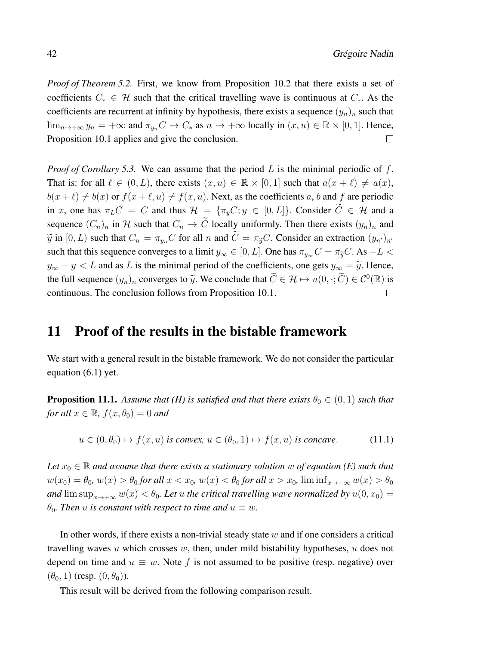*Proof of Theorem 5.2.* First, we know from Proposition 10.2 that there exists a set of coefficients  $C_* \in \mathcal{H}$  such that the critical travelling wave is continuous at  $C_*$ . As the coefficients are recurrent at infinity by hypothesis, there exists a sequence  $(y_n)_n$  such that  $\lim_{n\to+\infty} y_n = +\infty$  and  $\pi_{y_n} C \to C_*$  as  $n \to +\infty$  locally in  $(x, u) \in \mathbb{R} \times [0, 1]$ . Hence, Proposition 10.1 applies and give the conclusion.  $\Box$ 

*Proof of Corollary 5.3.* We can assume that the period L is the minimal periodic of f. That is: for all  $\ell \in (0, L)$ , there exists  $(x, u) \in \mathbb{R} \times [0, 1]$  such that  $a(x + \ell) \neq a(x)$ ,  $b(x + \ell) \neq b(x)$  or  $f(x + \ell, u) \neq f(x, u)$ . Next, as the coefficients a, b and f are periodic in x, one has  $\pi_L C = C$  and thus  $\mathcal{H} = {\pi_u C; y \in [0, L]}$ . Consider  $\widetilde{C} \in \mathcal{H}$  and a sequence  $(C_n)_n$  in H such that  $C_n \to \tilde{C}$  locally uniformly. Then there exists  $(y_n)_n$  and  $\tilde{y}$  in  $[0, L)$  such that  $C_n = \pi_{y_n} C$  for all n and  $\tilde{C} = \pi_{\tilde{y}} C$ . Consider an extraction  $(y_{n'})_{n'}$ such that this sequence converges to a limit  $y_\infty \in [0, L]$ . One has  $\pi_{y_\infty} C = \pi_{\widetilde{y}} C$ . As  $-L <$  $y_{\infty} - y < L$  and as L is the minimal period of the coefficients, one gets  $y_{\infty} = \tilde{y}$ . Hence, the full sequence  $(y_n)_n$  converges to  $\widetilde{y}$ . We conclude that  $\widetilde{C} \in \mathcal{H} \mapsto u(0, \cdot; \widetilde{C}) \in \mathcal{C}^0(\mathbb{R})$  is continuous. The conclusion follows from Proposition 10.1.  $\Box$ 

# 11 Proof of the results in the bistable framework

We start with a general result in the bistable framework. We do not consider the particular equation (6.1) yet.

**Proposition 11.1.** Assume that (H) is satisfied and that there exists  $\theta_0 \in (0,1)$  such that *for all*  $x \in \mathbb{R}$ *,*  $f(x, \theta_0) = 0$  *and* 

$$
u \in (0, \theta_0) \mapsto f(x, u) \text{ is convex, } u \in (\theta_0, 1) \mapsto f(x, u) \text{ is concave.}
$$
 (11.1)

*Let*  $x_0 \in \mathbb{R}$  *and assume that there exists a stationary solution* w *of equation* (*E*) *such that*  $w(x_0) = \theta_0, w(x) > \theta_0$  *for all*  $x < x_0, w(x) < \theta_0$  *for all*  $x > x_0$ ,  $\liminf_{x \to -\infty} w(x) > \theta_0$ *and*  $\limsup_{x\to+\infty} w(x) < \theta_0$ . Let u the critical travelling wave normalized by  $u(0, x_0) =$  $\theta_0$ *. Then u is constant with respect to time and*  $u \equiv w$ *.* 

In other words, if there exists a non-trivial steady state  $w$  and if one considers a critical travelling waves u which crosses w, then, under mild bistability hypotheses, u does not depend on time and  $u \equiv w$ . Note f is not assumed to be positive (resp. negative) over  $(\theta_0, 1)$  (resp.  $(0, \theta_0)$ ).

This result will be derived from the following comparison result.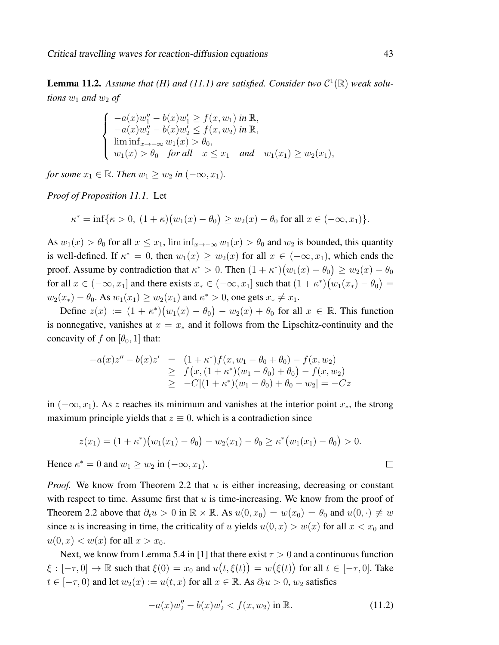**Lemma 11.2.** Assume that (*H*) and (11.1) are satisfied. Consider two  $C^1(\mathbb{R})$  weak solu*tions*  $w_1$  *and*  $w_2$  *of* 

$$
\begin{cases}\n-a(x)w_1'' - b(x)w_1' \ge f(x, w_1) \text{ in } \mathbb{R}, \\
-a(x)w_2'' - b(x)w_2' \le f(x, w_2) \text{ in } \mathbb{R}, \\
\liminf_{x \to -\infty} w_1(x) > \theta_0, \\
w_1(x) > \theta_0 \text{ for all } x \le x_1 \text{ and } w_1(x_1) \ge w_2(x_1),\n\end{cases}
$$

*for some*  $x_1 \in \mathbb{R}$ *. Then*  $w_1 \geq w_2$  *in*  $(-\infty, x_1)$ *.* 

*Proof of Proposition 11.1.* Let

$$
\kappa^* = \inf \{ \kappa > 0, \ (1 + \kappa)(w_1(x) - \theta_0) \ge w_2(x) - \theta_0 \text{ for all } x \in (-\infty, x_1) \}.
$$

As  $w_1(x) > \theta_0$  for all  $x \leq x_1$ ,  $\liminf_{x \to -\infty} w_1(x) > \theta_0$  and  $w_2$  is bounded, this quantity is well-defined. If  $\kappa^* = 0$ , then  $w_1(x) \ge w_2(x)$  for all  $x \in (-\infty, x_1)$ , which ends the proof. Assume by contradiction that  $\kappa^* > 0$ . Then  $(1 + \kappa^*) (w_1(x) - \theta_0) \ge w_2(x) - \theta_0$ for all  $x \in (-\infty, x_1]$  and there exists  $x_* \in (-\infty, x_1]$  such that  $(1 + \kappa^*)(w_1(x_*) - \theta_0) =$  $w_2(x_*) - \theta_0$ . As  $w_1(x_1) \ge w_2(x_1)$  and  $\kappa^* > 0$ , one gets  $x_* \ne x_1$ .

Define  $z(x) := (1 + \kappa^*)(w_1(x) - \theta_0) - w_2(x) + \theta_0$  for all  $x \in \mathbb{R}$ . This function is nonnegative, vanishes at  $x = x_*$  and it follows from the Lipschitz-continuity and the concavity of f on  $[\theta_0, 1]$  that:

$$
-a(x)z'' - b(x)z' = (1 + \kappa^*)f(x, w_1 - \theta_0 + \theta_0) - f(x, w_2)
$$
  
\n
$$
\geq f(x, (1 + \kappa^*)(w_1 - \theta_0) + \theta_0) - f(x, w_2)
$$
  
\n
$$
\geq -C|(1 + \kappa^*)(w_1 - \theta_0) + \theta_0 - w_2| = -Cz
$$

in  $(-\infty, x_1)$ . As z reaches its minimum and vanishes at the interior point  $x_*$ , the strong maximum principle yields that  $z \equiv 0$ , which is a contradiction since

$$
z(x_1)=(1+\kappa^*)(w_1(x_1)-\theta_0)-w_2(x_1)-\theta_0\geq \kappa^*(w_1(x_1)-\theta_0)>0.
$$

Hence  $\kappa^* = 0$  and  $w_1 \ge w_2$  in  $(-\infty, x_1)$ .

*Proof.* We know from Theorem 2.2 that  $u$  is either increasing, decreasing or constant with respect to time. Assume first that  $u$  is time-increasing. We know from the proof of Theorem 2.2 above that  $\partial_t u > 0$  in  $\mathbb{R} \times \mathbb{R}$ . As  $u(0, x_0) = w(x_0) = \theta_0$  and  $u(0, \cdot) \neq w$ since u is increasing in time, the criticality of u yields  $u(0, x) > w(x)$  for all  $x < x_0$  and  $u(0, x) < w(x)$  for all  $x > x_0$ .

Next, we know from Lemma 5.4 in [1] that there exist  $\tau > 0$  and a continuous function  $\xi: [-\tau, 0] \to \mathbb{R}$  such that  $\xi(0) = x_0$  and  $u(t, \xi(t)) = w(\xi(t))$  for all  $t \in [-\tau, 0]$ . Take  $t \in [-\tau, 0)$  and let  $w_2(x) := u(t, x)$  for all  $x \in \mathbb{R}$ . As  $\partial_t u > 0$ ,  $w_2$  satisfies

$$
-a(x)w_2'' - b(x)w_2' < f(x, w_2) \text{ in } \mathbb{R}.
$$
 (11.2)

 $\Box$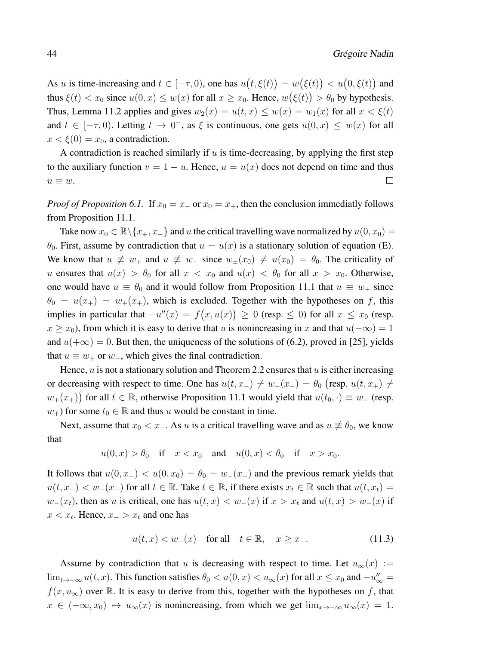As u is time-increasing and  $t \in [-\tau, 0)$ , one has  $u(t, \xi(t)) = w(\xi(t)) < u(0, \xi(t))$  and thus  $\xi(t) < x_0$  since  $u(0, x) \leq w(x)$  for all  $x \geq x_0$ . Hence,  $w(\xi(t)) > \theta_0$  by hypothesis. Thus, Lemma 11.2 applies and gives  $w_2(x) = u(t, x) \leq w(x) = w_1(x)$  for all  $x < \xi(t)$ and  $t \in [-\tau, 0)$ . Letting  $t \to 0^-$ , as  $\xi$  is continuous, one gets  $u(0, x) \leq w(x)$  for all  $x < \xi(0) = x_0$ , a contradiction.

A contradiction is reached similarly if  $u$  is time-decreasing, by applying the first step to the auxiliary function  $v = 1 - u$ . Hence,  $u = u(x)$  does not depend on time and thus  $u \equiv w$ .  $\Box$ 

*Proof of Proposition 6.1.* If  $x_0 = x_0 = x_+$ , then the conclusion immediatly follows from Proposition 11.1.

Take now  $x_0 \in \mathbb{R} \backslash \{x_+, x_-\}$  and u the critical travelling wave normalized by  $u(0, x_0) =$  $\theta_0$ . First, assume by contradiction that  $u = u(x)$  is a stationary solution of equation (E). We know that  $u \neq w_+$  and  $u \neq w_-$  since  $w_{\pm}(x_0) \neq u(x_0) = \theta_0$ . The criticality of u ensures that  $u(x) > \theta_0$  for all  $x < x_0$  and  $u(x) < \theta_0$  for all  $x > x_0$ . Otherwise, one would have  $u \equiv \theta_0$  and it would follow from Proposition 11.1 that  $u \equiv w_+$  since  $\theta_0 = u(x_+) = w_+(x_+)$ , which is excluded. Together with the hypotheses on f, this implies in particular that  $-u''(x) = f(x, u(x)) \ge 0$  (resp. ≤ 0) for all  $x \le x_0$  (resp.  $x \ge x_0$ ), from which it is easy to derive that u is nonincreasing in x and that  $u(-\infty) = 1$ and  $u(+\infty) = 0$ . But then, the uniqueness of the solutions of (6.2), proved in [25], yields that  $u \equiv w_+$  or  $w_-,$  which gives the final contradiction.

Hence,  $u$  is not a stationary solution and Theorem 2.2 ensures that  $u$  is either increasing or decreasing with respect to time. One has  $u(t, x_-) \neq w_-(x_-) = \theta_0$  (resp.  $u(t, x_+) \neq$  $w_+(x_+)$ ) for all  $t \in \mathbb{R}$ , otherwise Proposition 11.1 would yield that  $u(t_0, \cdot) \equiv w_-(\text{resp.})$  $w_+$ ) for some  $t_0 \in \mathbb{R}$  and thus u would be constant in time.

Next, assume that  $x_0 < x_-\$ . As u is a critical travelling wave and as  $u \neq \theta_0$ , we know that

$$
u(0,x) > \theta_0 \quad \text{if} \quad x < x_0 \quad \text{and} \quad u(0,x) < \theta_0 \quad \text{if} \quad x > x_0.
$$

It follows that  $u(0, x_{-}) < u(0, x_0) = \theta_0 = w_{-}(x_{-})$  and the previous remark yields that  $u(t, x_{-}) < w_{-}(x_{-})$  for all  $t \in \mathbb{R}$ . Take  $t \in \mathbb{R}$ , if there exists  $x_t \in \mathbb{R}$  such that  $u(t, x_t) =$  $w_-(x_t)$ , then as u is critical, one has  $u(t, x) < w_-(x)$  if  $x > x_t$  and  $u(t, x) > w_-(x)$  if  $x < x_t$ . Hence,  $x_{-} > x_t$  and one has

$$
u(t,x) < w_{-}(x) \quad \text{for all} \quad t \in \mathbb{R}, \quad x \ge x_{-}.\tag{11.3}
$$

Assume by contradiction that u is decreasing with respect to time. Let  $u_{\infty}(x) :=$ lim<sub>t→−∞</sub>  $u(t, x)$ . This function satisfies  $\theta_0 < u(0, x) < u_\infty(x)$  for all  $x \le x_0$  and  $-u''_\infty =$  $f(x, u_{\infty})$  over R. It is easy to derive from this, together with the hypotheses on f, that  $x \in (-\infty, x_0) \mapsto u_\infty(x)$  is nonincreasing, from which we get  $\lim_{x\to -\infty} u_\infty(x) = 1$ .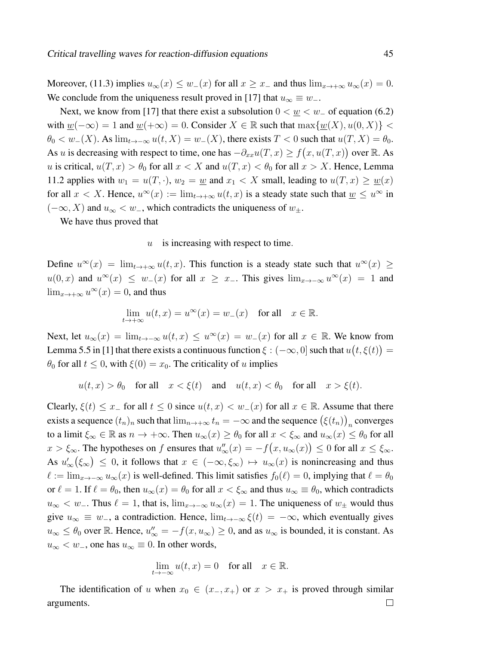Moreover, (11.3) implies  $u_{\infty}(x) \leq w_-(x)$  for all  $x \geq x_-$  and thus  $\lim_{x \to +\infty} u_{\infty}(x) = 0$ . We conclude from the uniqueness result proved in [17] that  $u_{\infty} \equiv w_{-}$ .

Next, we know from [17] that there exist a subsolution  $0 < \underline{w} < w_-\$  of equation (6.2) with  $w(-\infty) = 1$  and  $w(+\infty) = 0$ . Consider  $X \in \mathbb{R}$  such that  $\max\{w(X), u(0, X)\}$  $\theta_0 < w_-(X)$ . As  $\lim_{t\to-\infty}u(t,X) = w_-(X)$ , there exists  $T < 0$  such that  $u(T,X) = \theta_0$ . As u is decreasing with respect to time, one has  $-\partial_{xx}u(T,x) \ge f(x, u(T, x))$  over R. As u is critical,  $u(T, x) > \theta_0$  for all  $x < X$  and  $u(T, x) < \theta_0$  for all  $x > X$ . Hence, Lemma 11.2 applies with  $w_1 = u(T, \cdot)$ ,  $w_2 = w$  and  $x_1 < X$  small, leading to  $u(T, x) \ge w(x)$ for all  $x < X$ . Hence,  $u^{\infty}(x) := \lim_{t \to +\infty} u(t, x)$  is a steady state such that  $\underline{w} \leq u^{\infty}$  in  $(-\infty, X)$  and  $u_{\infty} < w_-,$  which contradicts the uniqueness of  $w_+.$ 

We have thus proved that

#### $u$  is increasing with respect to time.

Define  $u^{\infty}(x) = \lim_{t \to +\infty} u(t, x)$ . This function is a steady state such that  $u^{\infty}(x) \ge$  $u(0, x)$  and  $u^{\infty}(x) \leq w_-(x)$  for all  $x \geq x_-\$ . This gives  $\lim_{x \to -\infty} u^{\infty}(x) = 1$  and  $\lim_{x\to+\infty}u^{\infty}(x)=0$ , and thus

$$
\lim_{t \to +\infty} u(t, x) = u^{\infty}(x) = w_{-}(x) \quad \text{for all} \quad x \in \mathbb{R}.
$$

Next, let  $u_{\infty}(x) = \lim_{t \to -\infty} u(t, x) \le u^{\infty}(x) = w_-(x)$  for all  $x \in \mathbb{R}$ . We know from Lemma 5.5 in [1] that there exists a continuous function  $\xi : (-\infty, 0]$  such that  $u(t, \xi(t)) =$  $\theta_0$  for all  $t \leq 0$ , with  $\xi(0) = x_0$ . The criticality of u implies

$$
u(t, x) > \theta_0
$$
 for all  $x < \xi(t)$  and  $u(t, x) < \theta_0$  for all  $x > \xi(t)$ .

Clearly,  $\xi(t) \leq x_{-}$  for all  $t \leq 0$  since  $u(t, x) < w_{-}(x)$  for all  $x \in \mathbb{R}$ . Assume that there exists a sequence  $(t_n)_n$  such that  $\lim_{n\to+\infty}t_n=-\infty$  and the sequence  $(\xi(t_n))_n$  converges to a limit  $\xi_{\infty} \in \mathbb{R}$  as  $n \to +\infty$ . Then  $u_{\infty}(x) \geq \theta_0$  for all  $x < \xi_{\infty}$  and  $u_{\infty}(x) \leq \theta_0$  for all  $x > \xi_{\infty}$ . The hypotheses on f ensures that  $u''_{\infty}(x) = -f(x, u_{\infty}(x)) \leq 0$  for all  $x \leq \xi_{\infty}$ . As  $u'_{\infty}(\xi_{\infty}) \leq 0$ , it follows that  $x \in (-\infty, \xi_{\infty}) \mapsto u_{\infty}(x)$  is nonincreasing and thus  $\ell := \lim_{x \to -\infty} u_\infty(x)$  is well-defined. This limit satisfies  $f_0(\ell) = 0$ , implying that  $\ell = \theta_0$ or  $\ell = 1$ . If  $\ell = \theta_0$ , then  $u_{\infty}(x) = \theta_0$  for all  $x < \xi_{\infty}$  and thus  $u_{\infty} \equiv \theta_0$ , which contradicts  $u_{\infty} < w_{-}$ . Thus  $\ell = 1$ , that is,  $\lim_{x \to -\infty} u_{\infty}(x) = 1$ . The uniqueness of  $w_{+}$  would thus give  $u_{\infty} \equiv w_{-}$ , a contradiction. Hence,  $\lim_{t\to-\infty} \xi(t) = -\infty$ , which eventually gives  $u_{\infty} \leq \theta_0$  over R. Hence,  $u''_{\infty} = -f(x, u_{\infty}) \geq 0$ , and as  $u_{\infty}$  is bounded, it is constant. As  $u_{\infty} < w_{-}$ , one has  $u_{\infty} \equiv 0$ . In other words,

$$
\lim_{t \to -\infty} u(t, x) = 0 \quad \text{for all} \quad x \in \mathbb{R}.
$$

The identification of u when  $x_0 \in (x_-, x_+)$  or  $x > x_+$  is proved through similar  $\Box$ arguments.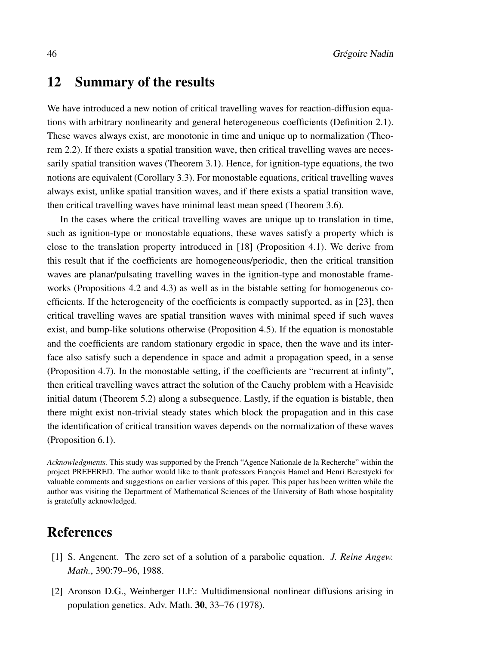## 12 Summary of the results

We have introduced a new notion of critical travelling waves for reaction-diffusion equations with arbitrary nonlinearity and general heterogeneous coefficients (Definition 2.1). These waves always exist, are monotonic in time and unique up to normalization (Theorem 2.2). If there exists a spatial transition wave, then critical travelling waves are necessarily spatial transition waves (Theorem 3.1). Hence, for ignition-type equations, the two notions are equivalent (Corollary 3.3). For monostable equations, critical travelling waves always exist, unlike spatial transition waves, and if there exists a spatial transition wave, then critical travelling waves have minimal least mean speed (Theorem 3.6).

In the cases where the critical travelling waves are unique up to translation in time, such as ignition-type or monostable equations, these waves satisfy a property which is close to the translation property introduced in [18] (Proposition 4.1). We derive from this result that if the coefficients are homogeneous/periodic, then the critical transition waves are planar/pulsating travelling waves in the ignition-type and monostable frameworks (Propositions 4.2 and 4.3) as well as in the bistable setting for homogeneous coefficients. If the heterogeneity of the coefficients is compactly supported, as in [23], then critical travelling waves are spatial transition waves with minimal speed if such waves exist, and bump-like solutions otherwise (Proposition 4.5). If the equation is monostable and the coefficients are random stationary ergodic in space, then the wave and its interface also satisfy such a dependence in space and admit a propagation speed, in a sense (Proposition 4.7). In the monostable setting, if the coefficients are "recurrent at infinty", then critical travelling waves attract the solution of the Cauchy problem with a Heaviside initial datum (Theorem 5.2) along a subsequence. Lastly, if the equation is bistable, then there might exist non-trivial steady states which block the propagation and in this case the identification of critical transition waves depends on the normalization of these waves (Proposition 6.1).

*Acknowledgments.* This study was supported by the French "Agence Nationale de la Recherche" within the project PREFERED. The author would like to thank professors François Hamel and Henri Berestycki for valuable comments and suggestions on earlier versions of this paper. This paper has been written while the author was visiting the Department of Mathematical Sciences of the University of Bath whose hospitality is gratefully acknowledged.

## References

- [1] S. Angenent. The zero set of a solution of a parabolic equation. *J. Reine Angew. Math.*, 390:79–96, 1988.
- [2] Aronson D.G., Weinberger H.F.: Multidimensional nonlinear diffusions arising in population genetics. Adv. Math. 30, 33–76 (1978).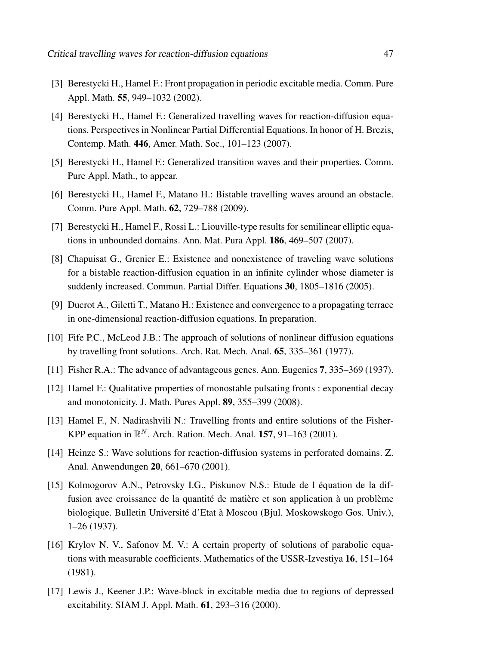- [3] Berestycki H., Hamel F.: Front propagation in periodic excitable media. Comm. Pure Appl. Math. **55**, 949–1032 (2002).
- [4] Berestycki H., Hamel F.: Generalized travelling waves for reaction-diffusion equations. Perspectives in Nonlinear Partial Differential Equations. In honor of H. Brezis, Contemp. Math. 446, Amer. Math. Soc., 101–123 (2007).
- [5] Berestycki H., Hamel F.: Generalized transition waves and their properties. Comm. Pure Appl. Math., to appear.
- [6] Berestycki H., Hamel F., Matano H.: Bistable travelling waves around an obstacle. Comm. Pure Appl. Math. 62, 729–788 (2009).
- [7] Berestycki H., Hamel F., Rossi L.: Liouville-type results for semilinear elliptic equations in unbounded domains. Ann. Mat. Pura Appl. 186, 469–507 (2007).
- [8] Chapuisat G., Grenier E.: Existence and nonexistence of traveling wave solutions for a bistable reaction-diffusion equation in an infinite cylinder whose diameter is suddenly increased. Commun. Partial Differ. Equations 30, 1805–1816 (2005).
- [9] Ducrot A., Giletti T., Matano H.: Existence and convergence to a propagating terrace in one-dimensional reaction-diffusion equations. In preparation.
- [10] Fife P.C., McLeod J.B.: The approach of solutions of nonlinear diffusion equations by travelling front solutions. Arch. Rat. Mech. Anal. 65, 335–361 (1977).
- [11] Fisher R.A.: The advance of advantageous genes. Ann. Eugenics 7, 335–369 (1937).
- [12] Hamel F.: Qualitative properties of monostable pulsating fronts : exponential decay and monotonicity. J. Math. Pures Appl. 89, 355–399 (2008).
- [13] Hamel F., N. Nadirashvili N.: Travelling fronts and entire solutions of the Fisher-KPP equation in  $\mathbb{R}^N$ . Arch. Ration. Mech. Anal. 157, 91–163 (2001).
- [14] Heinze S.: Wave solutions for reaction-diffusion systems in perforated domains. Z. Anal. Anwendungen 20, 661–670 (2001).
- [15] Kolmogorov A.N., Petrovsky I.G., Piskunov N.S.: Etude de l équation de la diffusion avec croissance de la quantité de matière et son application à un problème biologique. Bulletin Université d'Etat à Moscou (Bjul. Moskowskogo Gos. Univ.), 1–26 (1937).
- [16] Krylov N. V., Safonov M. V.: A certain property of solutions of parabolic equations with measurable coefficients. Mathematics of the USSR-Izvestiya 16, 151–164 (1981).
- [17] Lewis J., Keener J.P.: Wave-block in excitable media due to regions of depressed excitability. SIAM J. Appl. Math. 61, 293–316 (2000).